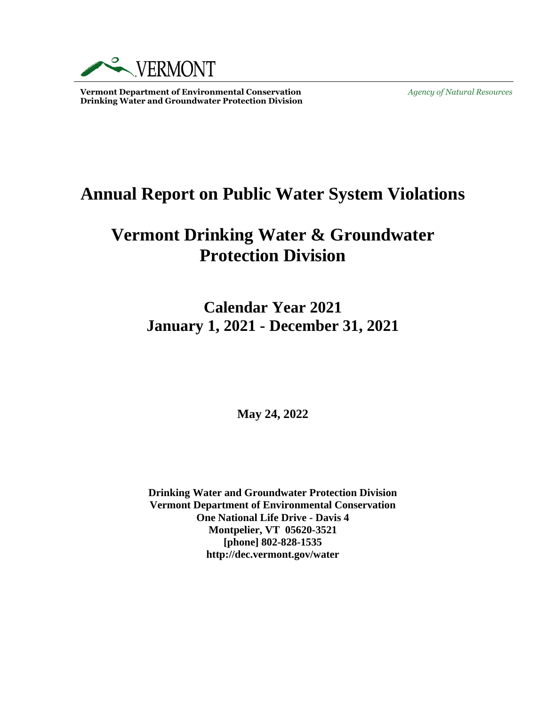

**Vermont Department of Environmental Conservation** *Agency of Natural Resources* **Drinking Water and Groundwater Protection Division** 

# **Annual Report on Public Water System Violations**

# **Vermont Drinking Water & Groundwater Protection Division**

**Calendar Year 2021 January 1, 2021 - December 31, 2021**

**May 24, 2022**

**Drinking Water and Groundwater Protection Division Vermont Department of Environmental Conservation One National Life Drive - Davis 4 Montpelier, VT 05620-3521 [phone] 802-828-1535 http://dec.vermont.gov/water**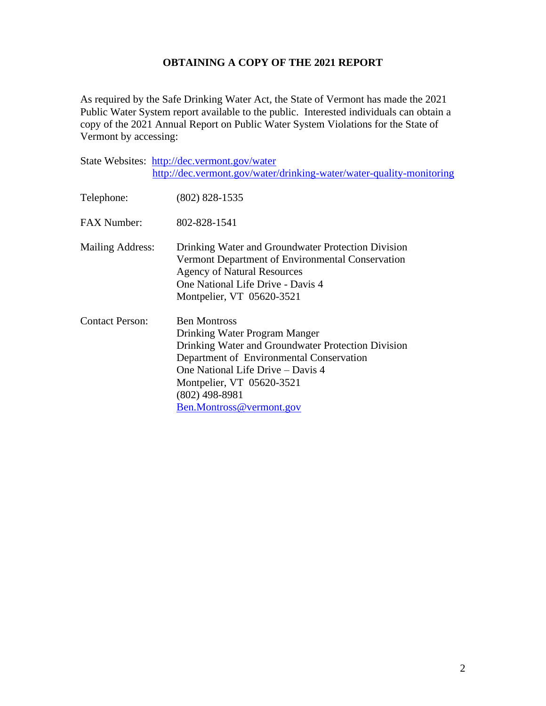# **OBTAINING A COPY OF THE 2021 REPORT**

As required by the Safe Drinking Water Act, the State of Vermont has made the 2021 Public Water System report available to the public. Interested individuals can obtain a copy of the 2021 Annual Report on Public Water System Violations for the State of Vermont by accessing:

|                        | State Websites: http://dec.vermont.gov/water                                                                                                                                                                                                                             |
|------------------------|--------------------------------------------------------------------------------------------------------------------------------------------------------------------------------------------------------------------------------------------------------------------------|
|                        | http://dec.vermont.gov/water/drinking-water/water-quality-monitoring                                                                                                                                                                                                     |
| Telephone:             | $(802)$ 828-1535                                                                                                                                                                                                                                                         |
| <b>FAX Number:</b>     | 802-828-1541                                                                                                                                                                                                                                                             |
| Mailing Address:       | Drinking Water and Groundwater Protection Division<br>Vermont Department of Environmental Conservation<br><b>Agency of Natural Resources</b><br>One National Life Drive - Davis 4<br>Montpelier, VT 05620-3521                                                           |
| <b>Contact Person:</b> | <b>Ben Montross</b><br>Drinking Water Program Manger<br>Drinking Water and Groundwater Protection Division<br>Department of Environmental Conservation<br>One National Life Drive - Davis 4<br>Montpelier, VT 05620-3521<br>$(802)$ 498-8981<br>Ben.Montross@vermont.gov |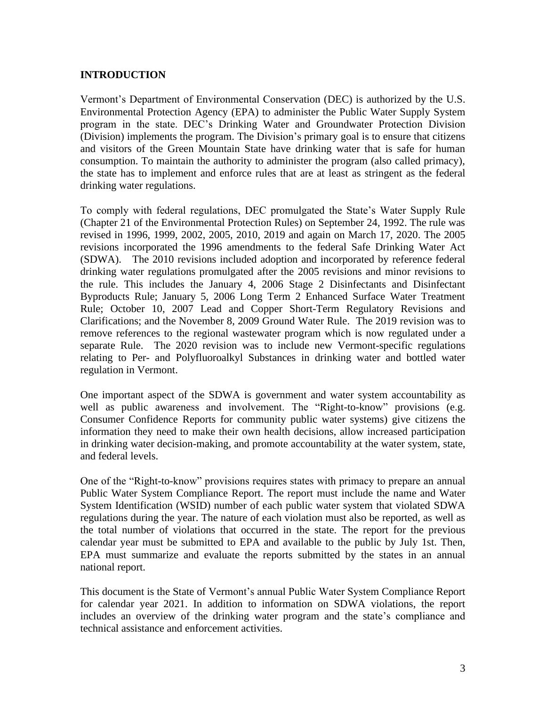# **INTRODUCTION**

Vermont's Department of Environmental Conservation (DEC) is authorized by the U.S. Environmental Protection Agency (EPA) to administer the Public Water Supply System program in the state. DEC's Drinking Water and Groundwater Protection Division (Division) implements the program. The Division's primary goal is to ensure that citizens and visitors of the Green Mountain State have drinking water that is safe for human consumption. To maintain the authority to administer the program (also called primacy), the state has to implement and enforce rules that are at least as stringent as the federal drinking water regulations.

To comply with federal regulations, DEC promulgated the State's Water Supply Rule (Chapter 21 of the Environmental Protection Rules) on September 24, 1992. The rule was revised in 1996, 1999, 2002, 2005, 2010, 2019 and again on March 17, 2020. The 2005 revisions incorporated the 1996 amendments to the federal Safe Drinking Water Act (SDWA). The 2010 revisions included adoption and incorporated by reference federal drinking water regulations promulgated after the 2005 revisions and minor revisions to the rule. This includes the January 4, 2006 Stage 2 Disinfectants and Disinfectant Byproducts Rule; January 5, 2006 Long Term 2 Enhanced Surface Water Treatment Rule; October 10, 2007 Lead and Copper Short-Term Regulatory Revisions and Clarifications; and the November 8, 2009 Ground Water Rule. The 2019 revision was to remove references to the regional wastewater program which is now regulated under a separate Rule. The 2020 revision was to include new Vermont-specific regulations relating to Per- and Polyfluoroalkyl Substances in drinking water and bottled water regulation in Vermont.

One important aspect of the SDWA is government and water system accountability as well as public awareness and involvement. The "Right-to-know" provisions (e.g. Consumer Confidence Reports for community public water systems) give citizens the information they need to make their own health decisions, allow increased participation in drinking water decision-making, and promote accountability at the water system, state, and federal levels.

One of the "Right-to-know" provisions requires states with primacy to prepare an annual Public Water System Compliance Report. The report must include the name and Water System Identification (WSID) number of each public water system that violated SDWA regulations during the year. The nature of each violation must also be reported, as well as the total number of violations that occurred in the state. The report for the previous calendar year must be submitted to EPA and available to the public by July 1st. Then, EPA must summarize and evaluate the reports submitted by the states in an annual national report.

This document is the State of Vermont's annual Public Water System Compliance Report for calendar year 2021. In addition to information on SDWA violations, the report includes an overview of the drinking water program and the state's compliance and technical assistance and enforcement activities.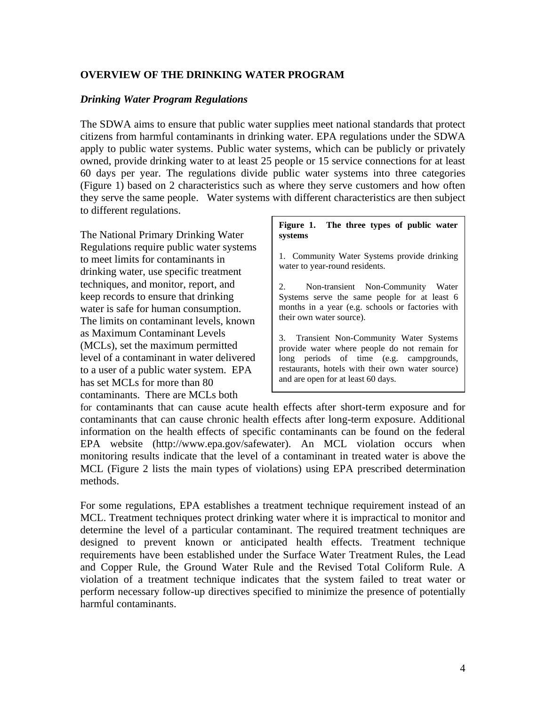### **OVERVIEW OF THE DRINKING WATER PROGRAM**

### *Drinking Water Program Regulations*

The SDWA aims to ensure that public water supplies meet national standards that protect citizens from harmful contaminants in drinking water. EPA regulations under the SDWA apply to public water systems. Public water systems, which can be publicly or privately owned, provide drinking water to at least 25 people or 15 service connections for at least 60 days per year. The regulations divide public water systems into three categories (Figure 1) based on 2 characteristics such as where they serve customers and how often they serve the same people. Water systems with different characteristics are then subject to different regulations.

The National Primary Drinking Water Regulations require public water systems to meet limits for contaminants in drinking water, use specific treatment techniques, and monitor, report, and keep records to ensure that drinking water is safe for human consumption. The limits on contaminant levels, known as Maximum Contaminant Levels (MCLs), set the maximum permitted level of a contaminant in water delivered to a user of a public water system. EPA has set MCLs for more than 80 contaminants. There are MCLs both

### **Figure 1. The three types of public water systems**

1. Community Water Systems provide drinking water to year-round residents.

2. Non-transient Non-Community Water Systems serve the same people for at least 6 months in a year (e.g. schools or factories with their own water source).

3. Transient Non-Community Water Systems provide water where people do not remain for long periods of time (e.g. campgrounds, restaurants, hotels with their own water source) and are open for at least 60 days.

for contaminants that can cause acute health effects after short-term exposure and for contaminants that can cause chronic health effects after long-term exposure. Additional information on the health effects of specific contaminants can be found on the federal EPA website (http://www.epa.gov/safewater). An MCL violation occurs when monitoring results indicate that the level of a contaminant in treated water is above the MCL (Figure 2 lists the main types of violations) using EPA prescribed determination methods.

For some regulations, EPA establishes a treatment technique requirement instead of an MCL. Treatment techniques protect drinking water where it is impractical to monitor and determine the level of a particular contaminant. The required treatment techniques are designed to prevent known or anticipated health effects. Treatment technique requirements have been established under the Surface Water Treatment Rules, the Lead and Copper Rule, the Ground Water Rule and the Revised Total Coliform Rule. A violation of a treatment technique indicates that the system failed to treat water or perform necessary follow-up directives specified to minimize the presence of potentially harmful contaminants.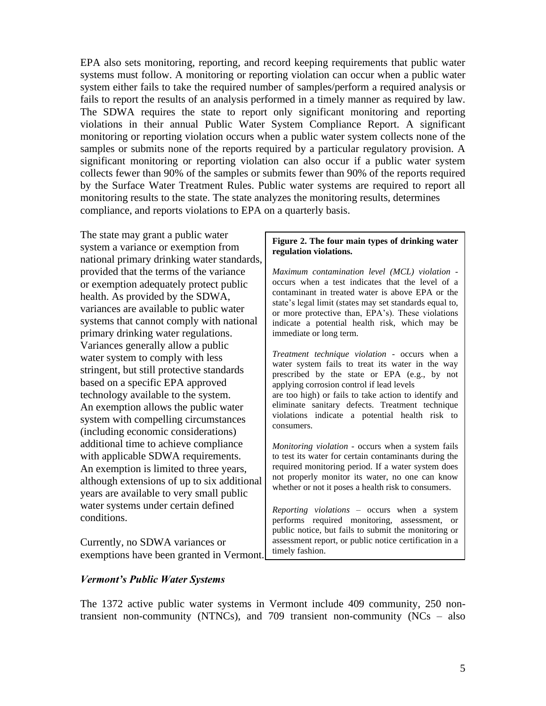EPA also sets monitoring, reporting, and record keeping requirements that public water systems must follow. A monitoring or reporting violation can occur when a public water system either fails to take the required number of samples/perform a required analysis or fails to report the results of an analysis performed in a timely manner as required by law. The SDWA requires the state to report only significant monitoring and reporting violations in their annual Public Water System Compliance Report. A significant monitoring or reporting violation occurs when a public water system collects none of the samples or submits none of the reports required by a particular regulatory provision. A significant monitoring or reporting violation can also occur if a public water system collects fewer than 90% of the samples or submits fewer than 90% of the reports required by the Surface Water Treatment Rules. Public water systems are required to report all monitoring results to the state. The state analyzes the monitoring results, determines compliance, and reports violations to EPA on a quarterly basis.

The state may grant a public water system a variance or exemption from national primary drinking water standards, provided that the terms of the variance or exemption adequately protect public health. As provided by the SDWA, variances are available to public water systems that cannot comply with national primary drinking water regulations. Variances generally allow a public water system to comply with less stringent, but still protective standards based on a specific EPA approved technology available to the system. An exemption allows the public water system with compelling circumstances (including economic considerations) additional time to achieve compliance with applicable SDWA requirements. An exemption is limited to three years, although extensions of up to six additional years are available to very small public water systems under certain defined conditions.

Currently, no SDWA variances or exemptions have been granted in Vermont.

### **Figure 2. The four main types of drinking water regulation violations.**

*Maximum contamination level (MCL) violation* occurs when a test indicates that the level of a contaminant in treated water is above EPA or the state's legal limit (states may set standards equal to, or more protective than, EPA's). These violations indicate a potential health risk, which may be immediate or long term.

*Treatment technique violation* - occurs when a water system fails to treat its water in the way prescribed by the state or EPA (e.g., by not applying corrosion control if lead levels are too high) or fails to take action to identify and eliminate sanitary defects. Treatment technique violations indicate a potential health risk to consumers.

*Monitoring violation* - occurs when a system fails to test its water for certain contaminants during the required monitoring period. If a water system does not properly monitor its water, no one can know whether or not it poses a health risk to consumers.

*Reporting violations* – occurs when a system performs required monitoring, assessment, or public notice, but fails to submit the monitoring or assessment report, or public notice certification in a timely fashion.

### *Vermont's Public Water Systems*

The 1372 active public water systems in Vermont include 409 community, 250 nontransient non-community (NTNCs), and 709 transient non-community (NCs – also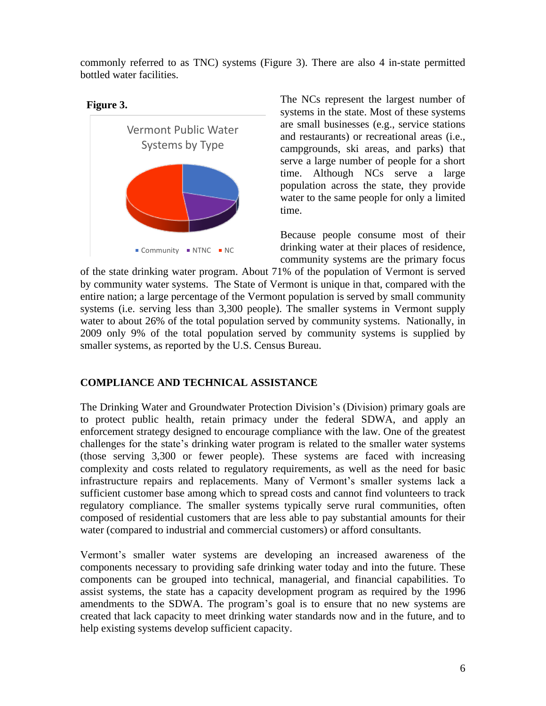commonly referred to as TNC) systems (Figure 3). There are also 4 in-state permitted bottled water facilities.

# **Figure 3.**



The NCs represent the largest number of systems in the state. Most of these systems are small businesses (e.g., service stations and restaurants) or recreational areas (i.e., campgrounds, ski areas, and parks) that serve a large number of people for a short time. Although NCs serve a large population across the state, they provide water to the same people for only a limited time.

Because people consume most of their drinking water at their places of residence, community systems are the primary focus

of the state drinking water program. About 71% of the population of Vermont is served by community water systems. The State of Vermont is unique in that, compared with the entire nation; a large percentage of the Vermont population is served by small community systems (i.e. serving less than 3,300 people). The smaller systems in Vermont supply water to about 26% of the total population served by community systems. Nationally, in 2009 only 9% of the total population served by community systems is supplied by smaller systems, as reported by the U.S. Census Bureau.

# **COMPLIANCE AND TECHNICAL ASSISTANCE**

The Drinking Water and Groundwater Protection Division's (Division) primary goals are to protect public health, retain primacy under the federal SDWA, and apply an enforcement strategy designed to encourage compliance with the law. One of the greatest challenges for the state's drinking water program is related to the smaller water systems (those serving 3,300 or fewer people). These systems are faced with increasing complexity and costs related to regulatory requirements, as well as the need for basic infrastructure repairs and replacements. Many of Vermont's smaller systems lack a sufficient customer base among which to spread costs and cannot find volunteers to track regulatory compliance. The smaller systems typically serve rural communities, often composed of residential customers that are less able to pay substantial amounts for their water (compared to industrial and commercial customers) or afford consultants.

Vermont's smaller water systems are developing an increased awareness of the components necessary to providing safe drinking water today and into the future. These components can be grouped into technical, managerial, and financial capabilities. To assist systems, the state has a capacity development program as required by the 1996 amendments to the SDWA. The program's goal is to ensure that no new systems are created that lack capacity to meet drinking water standards now and in the future, and to help existing systems develop sufficient capacity.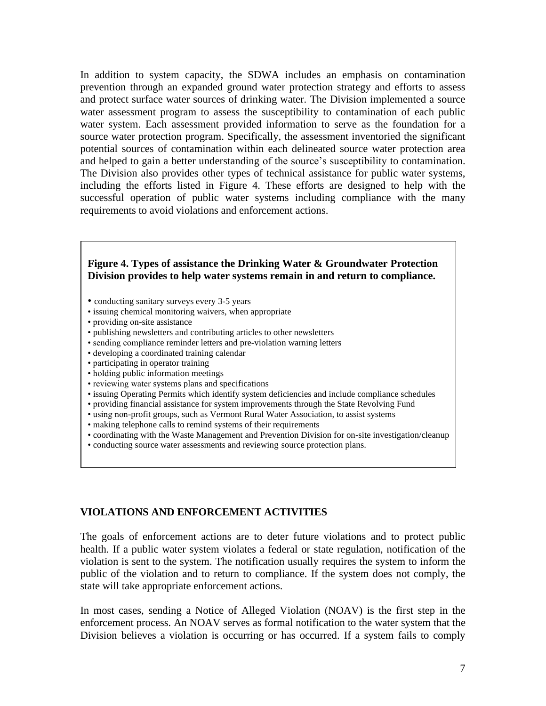In addition to system capacity, the SDWA includes an emphasis on contamination prevention through an expanded ground water protection strategy and efforts to assess and protect surface water sources of drinking water. The Division implemented a source water assessment program to assess the susceptibility to contamination of each public water system. Each assessment provided information to serve as the foundation for a source water protection program. Specifically, the assessment inventoried the significant potential sources of contamination within each delineated source water protection area and helped to gain a better understanding of the source's susceptibility to contamination. The Division also provides other types of technical assistance for public water systems, including the efforts listed in Figure 4. These efforts are designed to help with the successful operation of public water systems including compliance with the many requirements to avoid violations and enforcement actions.

### **Figure 4. Types of assistance the Drinking Water & Groundwater Protection Division provides to help water systems remain in and return to compliance.**

- conducting sanitary surveys every 3-5 years
- issuing chemical monitoring waivers, when appropriate
- providing on-site assistance
- publishing newsletters and contributing articles to other newsletters
- sending compliance reminder letters and pre-violation warning letters
- developing a coordinated training calendar
- participating in operator training
- holding public information meetings
- reviewing water systems plans and specifications
- issuing Operating Permits which identify system deficiencies and include compliance schedules
- providing financial assistance for system improvements through the State Revolving Fund
- using non-profit groups, such as Vermont Rural Water Association, to assist systems
- making telephone calls to remind systems of their requirements
- coordinating with the Waste Management and Prevention Division for on-site investigation/cleanup
- conducting source water assessments and reviewing source protection plans.

### **VIOLATIONS AND ENFORCEMENT ACTIVITIES**

The goals of enforcement actions are to deter future violations and to protect public health. If a public water system violates a federal or state regulation, notification of the violation is sent to the system. The notification usually requires the system to inform the public of the violation and to return to compliance. If the system does not comply, the state will take appropriate enforcement actions.

In most cases, sending a Notice of Alleged Violation (NOAV) is the first step in the enforcement process. An NOAV serves as formal notification to the water system that the Division believes a violation is occurring or has occurred. If a system fails to comply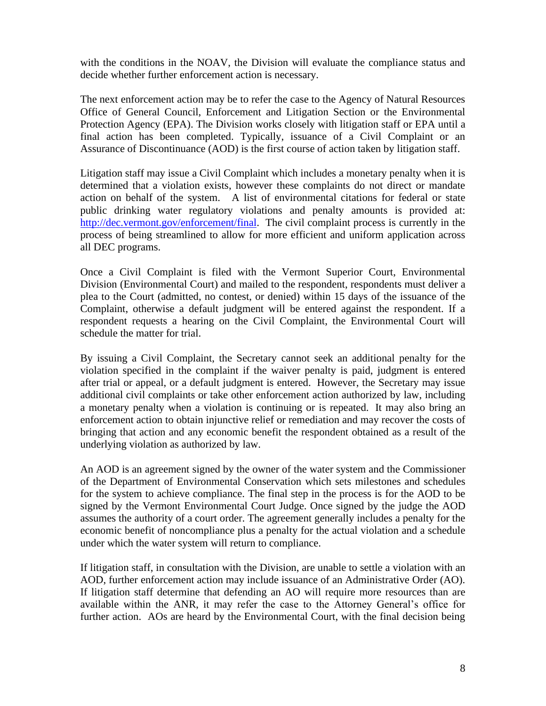with the conditions in the NOAV, the Division will evaluate the compliance status and decide whether further enforcement action is necessary.

The next enforcement action may be to refer the case to the Agency of Natural Resources Office of General Council, Enforcement and Litigation Section or the Environmental Protection Agency (EPA). The Division works closely with litigation staff or EPA until a final action has been completed. Typically, issuance of a Civil Complaint or an Assurance of Discontinuance (AOD) is the first course of action taken by litigation staff.

Litigation staff may issue a Civil Complaint which includes a monetary penalty when it is determined that a violation exists, however these complaints do not direct or mandate action on behalf of the system. A list of environmental citations for federal or state public drinking water regulatory violations and penalty amounts is provided at: [http://dec.vermont.gov/enforcement/final.](http://dec.vermont.gov/enforcement/final) The civil complaint process is currently in the process of being streamlined to allow for more efficient and uniform application across all DEC programs.

Once a Civil Complaint is filed with the Vermont Superior Court, Environmental Division (Environmental Court) and mailed to the respondent, respondents must deliver a plea to the Court (admitted, no contest, or denied) within 15 days of the issuance of the Complaint, otherwise a default judgment will be entered against the respondent. If a respondent requests a hearing on the Civil Complaint, the Environmental Court will schedule the matter for trial.

By issuing a Civil Complaint, the Secretary cannot seek an additional penalty for the violation specified in the complaint if the waiver penalty is paid, judgment is entered after trial or appeal, or a default judgment is entered. However, the Secretary may issue additional civil complaints or take other enforcement action authorized by law, including a monetary penalty when a violation is continuing or is repeated. It may also bring an enforcement action to obtain injunctive relief or remediation and may recover the costs of bringing that action and any economic benefit the respondent obtained as a result of the underlying violation as authorized by law.

An AOD is an agreement signed by the owner of the water system and the Commissioner of the Department of Environmental Conservation which sets milestones and schedules for the system to achieve compliance. The final step in the process is for the AOD to be signed by the Vermont Environmental Court Judge. Once signed by the judge the AOD assumes the authority of a court order. The agreement generally includes a penalty for the economic benefit of noncompliance plus a penalty for the actual violation and a schedule under which the water system will return to compliance.

If litigation staff, in consultation with the Division, are unable to settle a violation with an AOD, further enforcement action may include issuance of an Administrative Order (AO). If litigation staff determine that defending an AO will require more resources than are available within the ANR, it may refer the case to the Attorney General's office for further action. AOs are heard by the Environmental Court, with the final decision being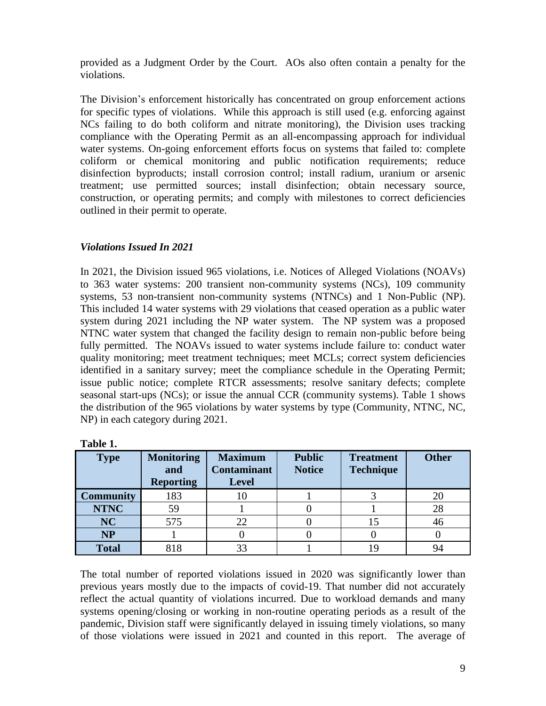provided as a Judgment Order by the Court. AOs also often contain a penalty for the violations.

The Division's enforcement historically has concentrated on group enforcement actions for specific types of violations. While this approach is still used (e.g. enforcing against NCs failing to do both coliform and nitrate monitoring), the Division uses tracking compliance with the Operating Permit as an all-encompassing approach for individual water systems. On-going enforcement efforts focus on systems that failed to: complete coliform or chemical monitoring and public notification requirements; reduce disinfection byproducts; install corrosion control; install radium, uranium or arsenic treatment; use permitted sources; install disinfection; obtain necessary source, construction, or operating permits; and comply with milestones to correct deficiencies outlined in their permit to operate.

# *Violations Issued In 2021*

In 2021, the Division issued 965 violations, i.e. Notices of Alleged Violations (NOAVs) to 363 water systems: 200 transient non-community systems (NCs), 109 community systems, 53 non-transient non-community systems (NTNCs) and 1 Non-Public (NP). This included 14 water systems with 29 violations that ceased operation as a public water system during 2021 including the NP water system. The NP system was a proposed NTNC water system that changed the facility design to remain non-public before being fully permitted. The NOAVs issued to water systems include failure to: conduct water quality monitoring; meet treatment techniques; meet MCLs; correct system deficiencies identified in a sanitary survey; meet the compliance schedule in the Operating Permit; issue public notice; complete RTCR assessments; resolve sanitary defects; complete seasonal start-ups (NCs); or issue the annual CCR (community systems). Table 1 shows the distribution of the 965 violations by water systems by type (Community, NTNC, NC, NP) in each category during 2021.

| Tanic T.         |                   |                    |               |                  |              |
|------------------|-------------------|--------------------|---------------|------------------|--------------|
| <b>Type</b>      | <b>Monitoring</b> | <b>Maximum</b>     | <b>Public</b> | <b>Treatment</b> | <b>Other</b> |
|                  | and               | <b>Contaminant</b> | <b>Notice</b> | <b>Technique</b> |              |
|                  | <b>Reporting</b>  | <b>Level</b>       |               |                  |              |
| <b>Community</b> | 183               | 10                 |               |                  | 20           |
| <b>NTNC</b>      | 59                |                    |               |                  | 28           |
| <b>NC</b>        | 575               |                    |               | 15               | 46           |
| <b>NP</b>        |                   |                    |               |                  |              |
| <b>Total</b>     | 818               |                    |               | 19               | 94           |

**Table 1.**

The total number of reported violations issued in 2020 was significantly lower than previous years mostly due to the impacts of covid-19. That number did not accurately reflect the actual quantity of violations incurred. Due to workload demands and many systems opening/closing or working in non-routine operating periods as a result of the pandemic, Division staff were significantly delayed in issuing timely violations, so many of those violations were issued in 2021 and counted in this report. The average of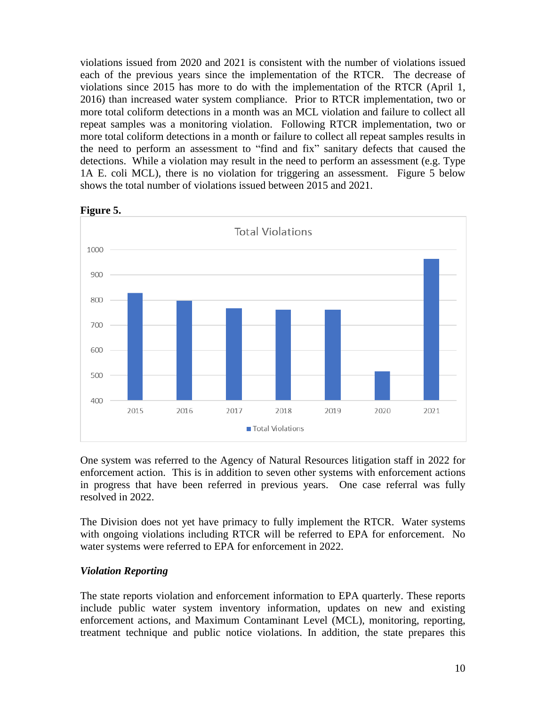violations issued from 2020 and 2021 is consistent with the number of violations issued each of the previous years since the implementation of the RTCR. The decrease of violations since 2015 has more to do with the implementation of the RTCR (April 1, 2016) than increased water system compliance. Prior to RTCR implementation, two or more total coliform detections in a month was an MCL violation and failure to collect all repeat samples was a monitoring violation. Following RTCR implementation, two or more total coliform detections in a month or failure to collect all repeat samples results in the need to perform an assessment to "find and fix" sanitary defects that caused the detections. While a violation may result in the need to perform an assessment (e.g. Type 1A E. coli MCL), there is no violation for triggering an assessment. Figure 5 below shows the total number of violations issued between 2015 and 2021.



**Figure 5.**

One system was referred to the Agency of Natural Resources litigation staff in 2022 for enforcement action. This is in addition to seven other systems with enforcement actions in progress that have been referred in previous years. One case referral was fully resolved in 2022.

The Division does not yet have primacy to fully implement the RTCR. Water systems with ongoing violations including RTCR will be referred to EPA for enforcement. No water systems were referred to EPA for enforcement in 2022.

# *Violation Reporting*

The state reports violation and enforcement information to EPA quarterly. These reports include public water system inventory information, updates on new and existing enforcement actions, and Maximum Contaminant Level (MCL), monitoring, reporting, treatment technique and public notice violations. In addition, the state prepares this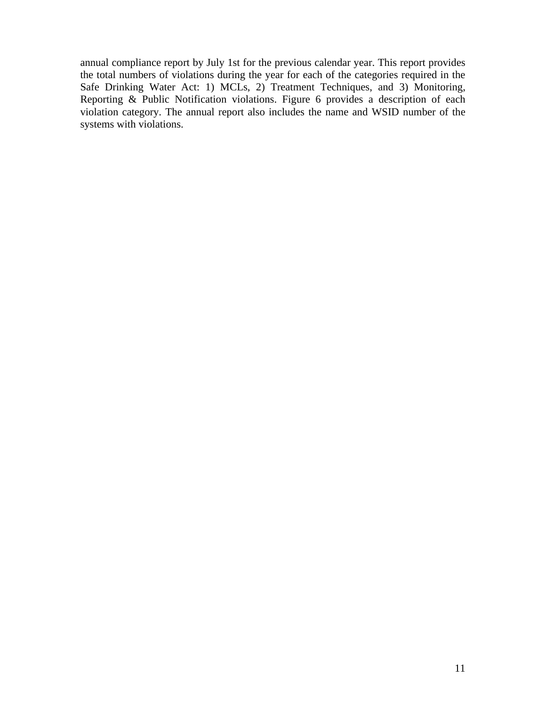annual compliance report by July 1st for the previous calendar year. This report provides the total numbers of violations during the year for each of the categories required in the Safe Drinking Water Act: 1) MCLs, 2) Treatment Techniques, and 3) Monitoring, Reporting & Public Notification violations. Figure 6 provides a description of each violation category. The annual report also includes the name and WSID number of the systems with violations.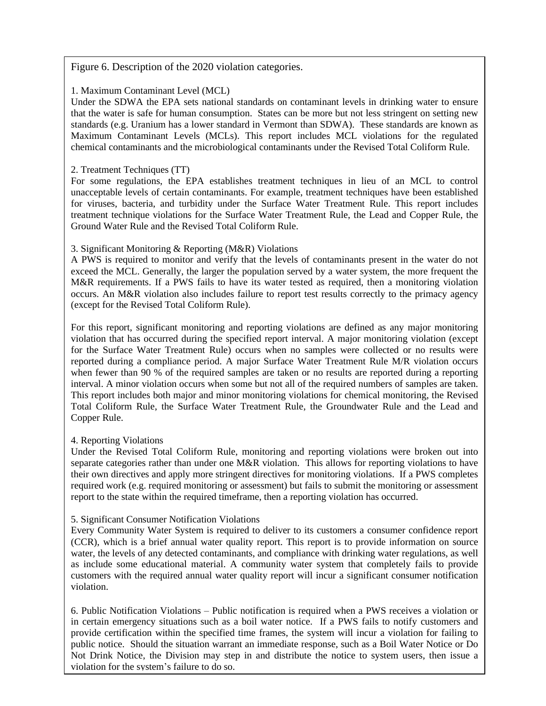Figure 6. Description of the 2020 violation categories.

### 1. Maximum Contaminant Level (MCL)

Under the SDWA the EPA sets national standards on contaminant levels in drinking water to ensure that the water is safe for human consumption. States can be more but not less stringent on setting new standards (e.g. Uranium has a lower standard in Vermont than SDWA). These standards are known as Maximum Contaminant Levels (MCLs). This report includes MCL violations for the regulated chemical contaminants and the microbiological contaminants under the Revised Total Coliform Rule.

### 2. Treatment Techniques (TT)

For some regulations, the EPA establishes treatment techniques in lieu of an MCL to control unacceptable levels of certain contaminants. For example, treatment techniques have been established for viruses, bacteria, and turbidity under the Surface Water Treatment Rule. This report includes treatment technique violations for the Surface Water Treatment Rule, the Lead and Copper Rule, the Ground Water Rule and the Revised Total Coliform Rule.

### 3. Significant Monitoring & Reporting (M&R) Violations

A PWS is required to monitor and verify that the levels of contaminants present in the water do not exceed the MCL. Generally, the larger the population served by a water system, the more frequent the M&R requirements. If a PWS fails to have its water tested as required, then a monitoring violation occurs. An M&R violation also includes failure to report test results correctly to the primacy agency (except for the Revised Total Coliform Rule).

For this report, significant monitoring and reporting violations are defined as any major monitoring violation that has occurred during the specified report interval. A major monitoring violation (except for the Surface Water Treatment Rule) occurs when no samples were collected or no results were reported during a compliance period. A major Surface Water Treatment Rule M/R violation occurs when fewer than 90 % of the required samples are taken or no results are reported during a reporting interval. A minor violation occurs when some but not all of the required numbers of samples are taken. This report includes both major and minor monitoring violations for chemical monitoring, the Revised Total Coliform Rule, the Surface Water Treatment Rule, the Groundwater Rule and the Lead and Copper Rule.

### 4. Reporting Violations

Inder the Revised Total Coliform Rule, monitoring and reporting violations were broken out into their own directives and apply more stringent directives for monitoring violations. If a PWS completes required work (e.g. required monitoring or assessment) but fails to submit the monitoring or assessment separate categories rather than under one M&R violation. This allows for reporting violations to have report to the state within the required timeframe, then a reporting violation has occurred.

# 5. Significant Consumer Notification Violations

Every Community Water System is required to deliver to its customers a consumer confidence report (CCR), which is a brief annual water quality report. This report is to provide information on source water, the levels of any detected contaminants, and compliance with drinking water regulations, as well as include some educational material. A community water system that completely fails to provide customers with the required annual water quality report will incur a significant consumer notification violation.

12 6. Public Notification Violations – Public notification is required when a PWS receives a violation or in certain emergency situations such as a boil water notice. If a PWS fails to notify customers and provide certification within the specified time frames, the system will incur a violation for failing to public notice. Should the situation warrant an immediate response, such as a Boil Water Notice or Do Not Drink Notice, the Division may step in and distribute the notice to system users, then issue a violation for the system's failure to do so.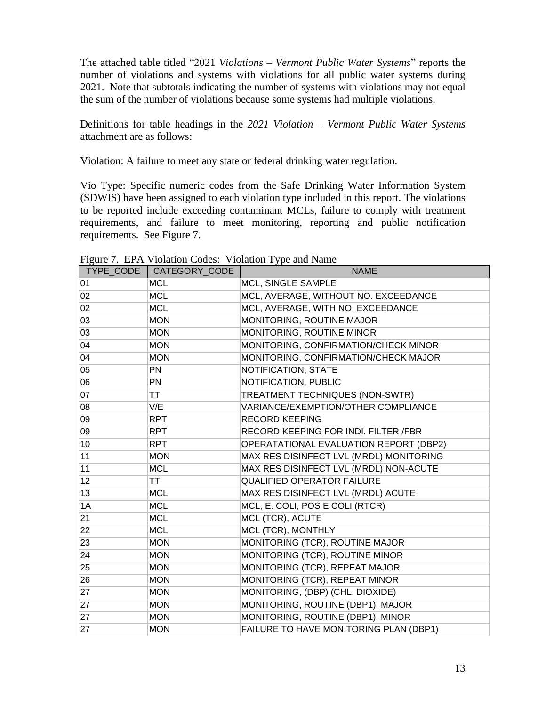The attached table titled "2021 *Violations – Vermont Public Water Systems*" reports the number of violations and systems with violations for all public water systems during 2021. Note that subtotals indicating the number of systems with violations may not equal the sum of the number of violations because some systems had multiple violations.

Definitions for table headings in the *2021 Violation – Vermont Public Water Systems* attachment are as follows:

Violation: A failure to meet any state or federal drinking water regulation.

Vio Type: Specific numeric codes from the Safe Drinking Water Information System (SDWIS) have been assigned to each violation type included in this report. The violations to be reported include exceeding contaminant MCLs, failure to comply with treatment requirements, and failure to meet monitoring, reporting and public notification requirements. See Figure 7.

| TYPE CODE | CATEGORY_CODE | <b>NAME</b>                             |
|-----------|---------------|-----------------------------------------|
| 01        | <b>MCL</b>    | MCL, SINGLE SAMPLE                      |
| 02        | <b>MCL</b>    | MCL, AVERAGE, WITHOUT NO. EXCEEDANCE    |
| 02        | <b>MCL</b>    | MCL, AVERAGE, WITH NO. EXCEEDANCE       |
| 03        | <b>MON</b>    | MONITORING, ROUTINE MAJOR               |
| 03        | <b>MON</b>    | MONITORING, ROUTINE MINOR               |
| 04        | <b>MON</b>    | MONITORING, CONFIRMATION/CHECK MINOR    |
| 04        | <b>MON</b>    | MONITORING, CONFIRMATION/CHECK MAJOR    |
| 05        | PN            | NOTIFICATION, STATE                     |
| 06        | PN            | NOTIFICATION, PUBLIC                    |
| 07        | <b>TT</b>     | TREATMENT TECHNIQUES (NON-SWTR)         |
| 08        | V/E           | VARIANCE/EXEMPTION/OTHER COMPLIANCE     |
| 09        | <b>RPT</b>    | <b>RECORD KEEPING</b>                   |
| 09        | <b>RPT</b>    | RECORD KEEPING FOR INDI. FILTER /FBR    |
| 10        | <b>RPT</b>    | OPERATATIONAL EVALUATION REPORT (DBP2)  |
| 11        | <b>MON</b>    | MAX RES DISINFECT LVL (MRDL) MONITORING |
| 11        | <b>MCL</b>    | MAX RES DISINFECT LVL (MRDL) NON-ACUTE  |
| 12        | TT            | <b>QUALIFIED OPERATOR FAILURE</b>       |
| 13        | <b>MCL</b>    | MAX RES DISINFECT LVL (MRDL) ACUTE      |
| 1A        | <b>MCL</b>    | MCL, E. COLI, POS E COLI (RTCR)         |
| 21        | <b>MCL</b>    | MCL (TCR), ACUTE                        |
| 22        | <b>MCL</b>    | MCL (TCR), MONTHLY                      |
| 23        | <b>MON</b>    | MONITORING (TCR), ROUTINE MAJOR         |
| 24        | <b>MON</b>    | MONITORING (TCR), ROUTINE MINOR         |
| 25        | <b>MON</b>    | MONITORING (TCR), REPEAT MAJOR          |
| 26        | <b>MON</b>    | MONITORING (TCR), REPEAT MINOR          |
| 27        | <b>MON</b>    | MONITORING, (DBP) (CHL. DIOXIDE)        |
| 27        | <b>MON</b>    | MONITORING, ROUTINE (DBP1), MAJOR       |
| 27        | <b>MON</b>    | MONITORING, ROUTINE (DBP1), MINOR       |
| 27        | <b>MON</b>    | FAILURE TO HAVE MONITORING PLAN (DBP1)  |

Figure 7. EPA Violation Codes: Violation Type and Name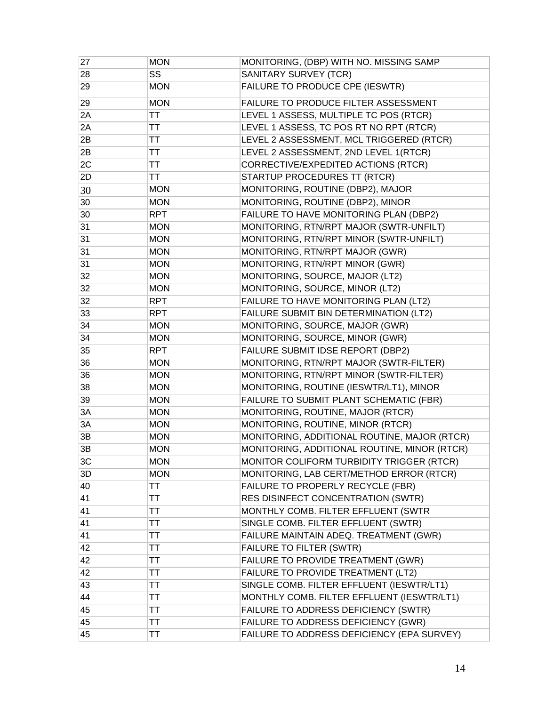| 27 | <b>MON</b> | MONITORING, (DBP) WITH NO. MISSING SAMP      |
|----|------------|----------------------------------------------|
| 28 | <b>SS</b>  | SANITARY SURVEY (TCR)                        |
| 29 | <b>MON</b> | FAILURE TO PRODUCE CPE (IESWTR)              |
| 29 | <b>MON</b> | FAILURE TO PRODUCE FILTER ASSESSMENT         |
| 2A | ТT         | LEVEL 1 ASSESS, MULTIPLE TC POS (RTCR)       |
| 2A | ТT         | LEVEL 1 ASSESS, TC POS RT NO RPT (RTCR)      |
| 2B | ТT         | LEVEL 2 ASSESSMENT, MCL TRIGGERED (RTCR)     |
| 2B | ТT         | LEVEL 2 ASSESSMENT, 2ND LEVEL 1(RTCR)        |
| 2C | ТT         | CORRECTIVE/EXPEDITED ACTIONS (RTCR)          |
| 2D | ТT         | STARTUP PROCEDURES TT (RTCR)                 |
| 30 | <b>MON</b> | MONITORING, ROUTINE (DBP2), MAJOR            |
| 30 | <b>MON</b> | MONITORING, ROUTINE (DBP2), MINOR            |
| 30 | <b>RPT</b> | FAILURE TO HAVE MONITORING PLAN (DBP2)       |
| 31 | <b>MON</b> | MONITORING, RTN/RPT MAJOR (SWTR-UNFILT)      |
| 31 | <b>MON</b> | MONITORING, RTN/RPT MINOR (SWTR-UNFILT)      |
| 31 | <b>MON</b> | MONITORING, RTN/RPT MAJOR (GWR)              |
| 31 | <b>MON</b> | MONITORING, RTN/RPT MINOR (GWR)              |
| 32 | <b>MON</b> | MONITORING, SOURCE, MAJOR (LT2)              |
| 32 | <b>MON</b> | MONITORING, SOURCE, MINOR (LT2)              |
| 32 | <b>RPT</b> | FAILURE TO HAVE MONITORING PLAN (LT2)        |
| 33 | <b>RPT</b> | FAILURE SUBMIT BIN DETERMINATION (LT2)       |
| 34 | <b>MON</b> | MONITORING, SOURCE, MAJOR (GWR)              |
| 34 | <b>MON</b> | MONITORING, SOURCE, MINOR (GWR)              |
| 35 | <b>RPT</b> | FAILURE SUBMIT IDSE REPORT (DBP2)            |
| 36 | <b>MON</b> | MONITORING, RTN/RPT MAJOR (SWTR-FILTER)      |
| 36 | <b>MON</b> | MONITORING, RTN/RPT MINOR (SWTR-FILTER)      |
| 38 | <b>MON</b> | MONITORING, ROUTINE (IESWTR/LT1), MINOR      |
| 39 | <b>MON</b> | FAILURE TO SUBMIT PLANT SCHEMATIC (FBR)      |
| 3A | <b>MON</b> | MONITORING, ROUTINE, MAJOR (RTCR)            |
| 3A | <b>MON</b> | MONITORING, ROUTINE, MINOR (RTCR)            |
| 3B | <b>MON</b> | MONITORING, ADDITIONAL ROUTINE, MAJOR (RTCR) |
| 3B | <b>MON</b> | MONITORING, ADDITIONAL ROUTINE, MINOR (RTCR) |
| 3C | <b>MON</b> | MONITOR COLIFORM TURBIDITY TRIGGER (RTCR)    |
| 3D | <b>MON</b> | MONITORING, LAB CERT/METHOD ERROR (RTCR)     |
| 40 | <b>TT</b>  | FAILURE TO PROPERLY RECYCLE (FBR)            |
| 41 | TT         | RES DISINFECT CONCENTRATION (SWTR)           |
| 41 | ТT         | MONTHLY COMB. FILTER EFFLUENT (SWTR          |
| 41 | ТT         | SINGLE COMB. FILTER EFFLUENT (SWTR)          |
| 41 | ТT         | FAILURE MAINTAIN ADEQ. TREATMENT (GWR)       |
| 42 | ТT         | FAILURE TO FILTER (SWTR)                     |
| 42 | ТT         | FAILURE TO PROVIDE TREATMENT (GWR)           |
| 42 | ТT         | FAILURE TO PROVIDE TREATMENT (LT2)           |
| 43 | ТT         | SINGLE COMB. FILTER EFFLUENT (IESWTR/LT1)    |
| 44 | ТT         | MONTHLY COMB. FILTER EFFLUENT (IESWTR/LT1)   |
| 45 | ТT         | FAILURE TO ADDRESS DEFICIENCY (SWTR)         |
| 45 | TT         | FAILURE TO ADDRESS DEFICIENCY (GWR)          |
| 45 | ТT         | FAILURE TO ADDRESS DEFICIENCY (EPA SURVEY)   |
|    |            |                                              |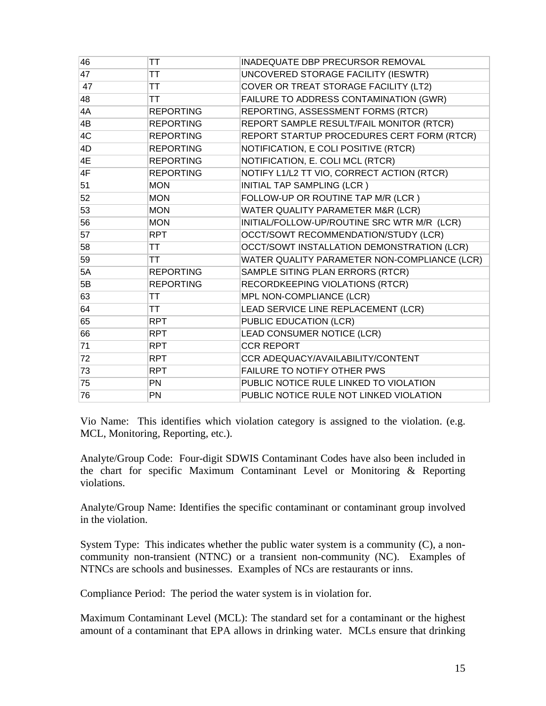| 46 | ТT               | INADEQUATE DBP PRECURSOR REMOVAL             |
|----|------------------|----------------------------------------------|
| 47 | ТT               | UNCOVERED STORAGE FACILITY (IESWTR)          |
| 47 | ТT               | COVER OR TREAT STORAGE FACILITY (LT2)        |
| 48 | TT               | FAILURE TO ADDRESS CONTAMINATION (GWR)       |
| 4A | <b>REPORTING</b> | REPORTING, ASSESSMENT FORMS (RTCR)           |
| 4B | <b>REPORTING</b> | REPORT SAMPLE RESULT/FAIL MONITOR (RTCR)     |
| 4C | <b>REPORTING</b> | REPORT STARTUP PROCEDURES CERT FORM (RTCR)   |
| 4D | <b>REPORTING</b> | NOTIFICATION, E COLI POSITIVE (RTCR)         |
| 4E | <b>REPORTING</b> | NOTIFICATION, E. COLI MCL (RTCR)             |
| 4F | <b>REPORTING</b> | NOTIFY L1/L2 TT VIO, CORRECT ACTION (RTCR)   |
| 51 | <b>MON</b>       | INITIAL TAP SAMPLING (LCR)                   |
| 52 | <b>MON</b>       | FOLLOW-UP OR ROUTINE TAP M/R (LCR)           |
| 53 | <b>MON</b>       | WATER QUALITY PARAMETER M&R (LCR)            |
| 56 | <b>MON</b>       | INITIAL/FOLLOW-UP/ROUTINE SRC WTR M/R (LCR)  |
| 57 | <b>RPT</b>       | OCCT/SOWT RECOMMENDATION/STUDY (LCR)         |
| 58 | ТT               | OCCT/SOWT INSTALLATION DEMONSTRATION (LCR)   |
| 59 | ТT               | WATER QUALITY PARAMETER NON-COMPLIANCE (LCR) |
| 5A | <b>REPORTING</b> | SAMPLE SITING PLAN ERRORS (RTCR)             |
| 5Β | <b>REPORTING</b> | RECORDKEEPING VIOLATIONS (RTCR)              |
| 63 | ТT               | MPL NON-COMPLIANCE (LCR)                     |
| 64 | TT               | LEAD SERVICE LINE REPLACEMENT (LCR)          |
| 65 | <b>RPT</b>       | PUBLIC EDUCATION (LCR)                       |
| 66 | <b>RPT</b>       | LEAD CONSUMER NOTICE (LCR)                   |
| 71 | <b>RPT</b>       | <b>CCR REPORT</b>                            |
| 72 | <b>RPT</b>       | CCR ADEQUACY/AVAILABILITY/CONTENT            |
| 73 | <b>RPT</b>       | FAILURE TO NOTIFY OTHER PWS                  |
| 75 | PN               | PUBLIC NOTICE RULE LINKED TO VIOLATION       |
| 76 | PN               | PUBLIC NOTICE RULE NOT LINKED VIOLATION      |

Vio Name: This identifies which violation category is assigned to the violation. (e.g. MCL, Monitoring, Reporting, etc.).

Analyte/Group Code: Four-digit SDWIS Contaminant Codes have also been included in the chart for specific Maximum Contaminant Level or Monitoring & Reporting violations.

Analyte/Group Name: Identifies the specific contaminant or contaminant group involved in the violation.

System Type: This indicates whether the public water system is a community (C), a noncommunity non-transient (NTNC) or a transient non-community (NC). Examples of NTNCs are schools and businesses. Examples of NCs are restaurants or inns.

Compliance Period: The period the water system is in violation for.

Maximum Contaminant Level (MCL): The standard set for a contaminant or the highest amount of a contaminant that EPA allows in drinking water. MCLs ensure that drinking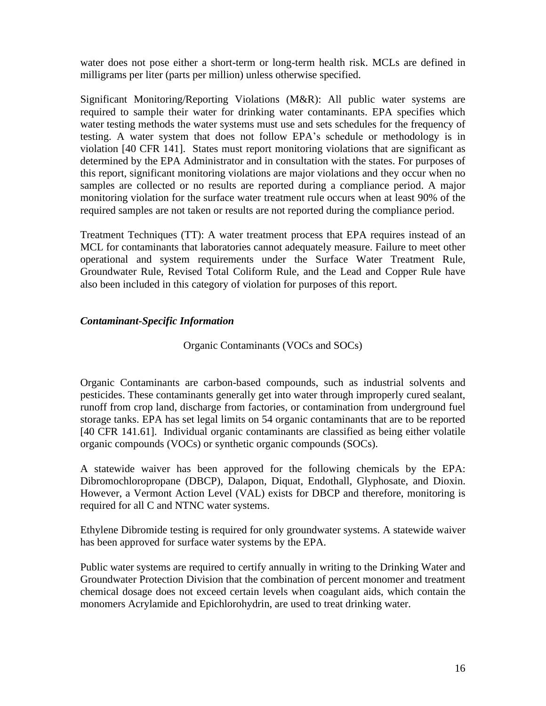water does not pose either a short-term or long-term health risk. MCLs are defined in milligrams per liter (parts per million) unless otherwise specified.

Significant Monitoring/Reporting Violations (M&R): All public water systems are required to sample their water for drinking water contaminants. EPA specifies which water testing methods the water systems must use and sets schedules for the frequency of testing. A water system that does not follow EPA's schedule or methodology is in violation [40 CFR 141]. States must report monitoring violations that are significant as determined by the EPA Administrator and in consultation with the states. For purposes of this report, significant monitoring violations are major violations and they occur when no samples are collected or no results are reported during a compliance period. A major monitoring violation for the surface water treatment rule occurs when at least 90% of the required samples are not taken or results are not reported during the compliance period.

Treatment Techniques (TT): A water treatment process that EPA requires instead of an MCL for contaminants that laboratories cannot adequately measure. Failure to meet other operational and system requirements under the Surface Water Treatment Rule, Groundwater Rule, Revised Total Coliform Rule, and the Lead and Copper Rule have also been included in this category of violation for purposes of this report.

# *Contaminant-Specific Information*

# Organic Contaminants (VOCs and SOCs)

Organic Contaminants are carbon-based compounds, such as industrial solvents and pesticides. These contaminants generally get into water through improperly cured sealant, runoff from crop land, discharge from factories, or contamination from underground fuel storage tanks. EPA has set legal limits on 54 organic contaminants that are to be reported [40 CFR 141.61]. Individual organic contaminants are classified as being either volatile organic compounds (VOCs) or synthetic organic compounds (SOCs).

A statewide waiver has been approved for the following chemicals by the EPA: Dibromochloropropane (DBCP), Dalapon, Diquat, Endothall, Glyphosate, and Dioxin. However, a Vermont Action Level (VAL) exists for DBCP and therefore, monitoring is required for all C and NTNC water systems.

Ethylene Dibromide testing is required for only groundwater systems. A statewide waiver has been approved for surface water systems by the EPA.

Public water systems are required to certify annually in writing to the Drinking Water and Groundwater Protection Division that the combination of percent monomer and treatment chemical dosage does not exceed certain levels when coagulant aids, which contain the monomers Acrylamide and Epichlorohydrin, are used to treat drinking water.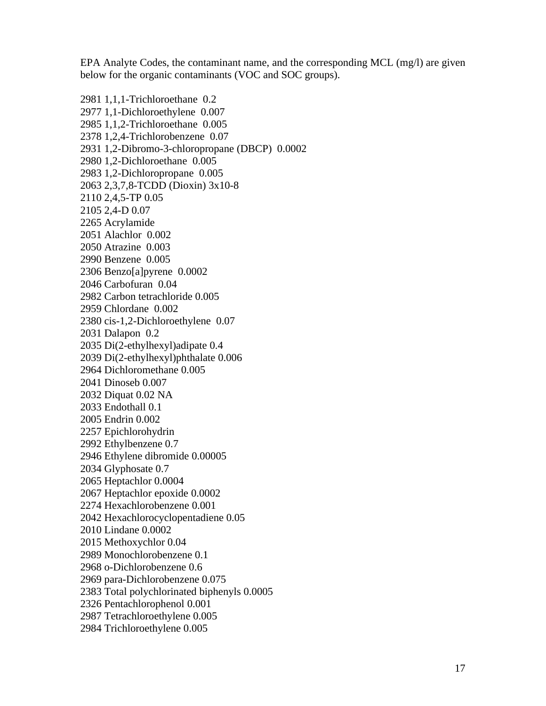EPA Analyte Codes, the contaminant name, and the corresponding MCL (mg/l) are given below for the organic contaminants (VOC and SOC groups).

2981 1,1,1-Trichloroethane 0.2 2977 1,1-Dichloroethylene 0.007 2985 1,1,2-Trichloroethane 0.005 2378 1,2,4-Trichlorobenzene 0.07 2931 1,2-Dibromo-3-chloropropane (DBCP) 0.0002 2980 1,2-Dichloroethane 0.005 2983 1,2-Dichloropropane 0.005 2063 2,3,7,8-TCDD (Dioxin) 3x10-8 2110 2,4,5-TP 0.05 2105 2,4-D 0.07 2265 Acrylamide 2051 Alachlor 0.002 2050 Atrazine 0.003 2990 Benzene 0.005 2306 Benzo[a]pyrene 0.0002 2046 Carbofuran 0.04 2982 Carbon tetrachloride 0.005 2959 Chlordane 0.002 2380 cis-1,2-Dichloroethylene 0.07 2031 Dalapon 0.2 2035 Di(2-ethylhexyl)adipate 0.4 2039 Di(2-ethylhexyl)phthalate 0.006 2964 Dichloromethane 0.005 2041 Dinoseb 0.007 2032 Diquat 0.02 NA 2033 Endothall 0.1 2005 Endrin 0.002 2257 Epichlorohydrin 2992 Ethylbenzene 0.7 2946 Ethylene dibromide 0.00005 2034 Glyphosate 0.7 2065 Heptachlor 0.0004 2067 Heptachlor epoxide 0.0002 2274 Hexachlorobenzene 0.001 2042 Hexachlorocyclopentadiene 0.05 2010 Lindane 0.0002 2015 Methoxychlor 0.04 2989 Monochlorobenzene 0.1 2968 o-Dichlorobenzene 0.6 2969 para-Dichlorobenzene 0.075 2383 Total polychlorinated biphenyls 0.0005 2326 Pentachlorophenol 0.001 2987 Tetrachloroethylene 0.005 2984 Trichloroethylene 0.005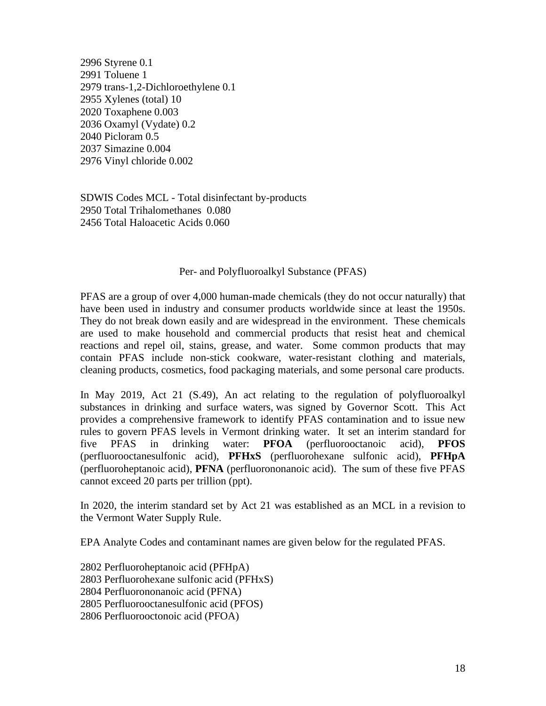2996 Styrene 0.1 2991 Toluene 1 2979 trans-1,2-Dichloroethylene 0.1 2955 Xylenes (total) 10 2020 Toxaphene 0.003 2036 Oxamyl (Vydate) 0.2 2040 Picloram 0.5 2037 Simazine 0.004 2976 Vinyl chloride 0.002

SDWIS Codes MCL - Total disinfectant by-products 2950 Total Trihalomethanes 0.080 2456 Total Haloacetic Acids 0.060

### Per- and Polyfluoroalkyl Substance (PFAS)

PFAS are a group of over 4,000 human-made chemicals (they do not occur naturally) that have been used in industry and consumer products worldwide since at least the 1950s. They do not break down easily and are widespread in the environment. These chemicals are used to make household and commercial products that resist heat and chemical reactions and repel oil, stains, grease, and water. Some common products that may contain PFAS include non-stick cookware, water-resistant clothing and materials, cleaning products, cosmetics, food packaging materials, and some personal care products.

In May 2019, Act 21 (S.49), An act relating to the regulation of polyfluoroalkyl substances in drinking and surface waters, was signed by Governor Scott. This Act provides a comprehensive framework to identify PFAS contamination and to issue new rules to govern PFAS levels in Vermont drinking water. It set an interim standard for five PFAS in drinking water: **PFOA** (perfluorooctanoic acid), **PFOS** (perfluorooctanesulfonic acid), **PFHxS** (perfluorohexane sulfonic acid), **PFHpA** (perfluoroheptanoic acid), **PFNA** (perfluorononanoic acid). The sum of these five PFAS cannot exceed 20 parts per trillion (ppt).

In 2020, the interim standard set by Act 21 was established as an MCL in a revision to the Vermont Water Supply Rule.

EPA Analyte Codes and contaminant names are given below for the regulated PFAS.

2802 Perfluoroheptanoic acid (PFHpA) 2803 Perfluorohexane sulfonic acid (PFHxS) 2804 Perfluorononanoic acid (PFNA) 2805 Perfluorooctanesulfonic acid (PFOS) 2806 Perfluorooctonoic acid (PFOA)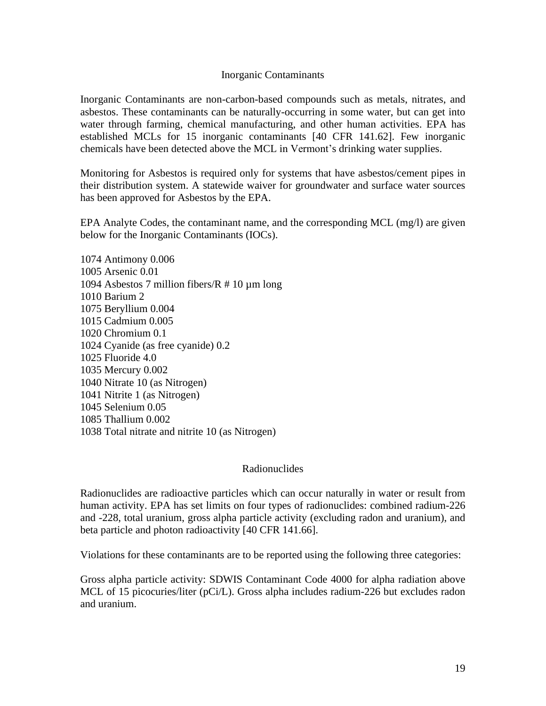### Inorganic Contaminants

Inorganic Contaminants are non-carbon-based compounds such as metals, nitrates, and asbestos. These contaminants can be naturally-occurring in some water, but can get into water through farming, chemical manufacturing, and other human activities. EPA has established MCLs for 15 inorganic contaminants [40 CFR 141.62]. Few inorganic chemicals have been detected above the MCL in Vermont's drinking water supplies.

Monitoring for Asbestos is required only for systems that have asbestos/cement pipes in their distribution system. A statewide waiver for groundwater and surface water sources has been approved for Asbestos by the EPA.

EPA Analyte Codes, the contaminant name, and the corresponding MCL (mg/l) are given below for the Inorganic Contaminants (IOCs).

1074 Antimony 0.006 1005 Arsenic 0.01 1094 Asbestos 7 million fibers/ $R \neq 10 \mu m$  long 1010 Barium 2 1075 Beryllium 0.004 1015 Cadmium 0.005 1020 Chromium 0.1 1024 Cyanide (as free cyanide) 0.2 1025 Fluoride 4.0 1035 Mercury 0.002 1040 Nitrate 10 (as Nitrogen) 1041 Nitrite 1 (as Nitrogen) 1045 Selenium 0.05 1085 Thallium 0.002 1038 Total nitrate and nitrite 10 (as Nitrogen)

### Radionuclides

Radionuclides are radioactive particles which can occur naturally in water or result from human activity. EPA has set limits on four types of radionuclides: combined radium-226 and -228, total uranium, gross alpha particle activity (excluding radon and uranium), and beta particle and photon radioactivity [40 CFR 141.66].

Violations for these contaminants are to be reported using the following three categories:

Gross alpha particle activity: SDWIS Contaminant Code 4000 for alpha radiation above MCL of 15 picocuries/liter (pCi/L). Gross alpha includes radium-226 but excludes radon and uranium.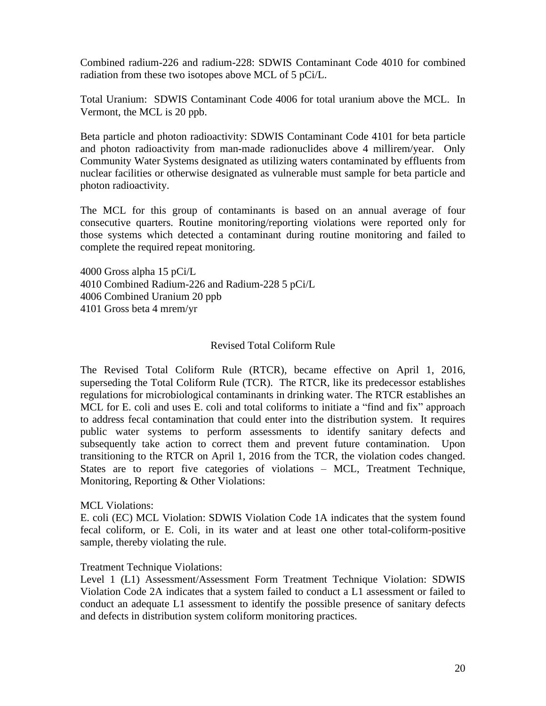Combined radium-226 and radium-228: SDWIS Contaminant Code 4010 for combined radiation from these two isotopes above MCL of 5 pCi/L.

Total Uranium: SDWIS Contaminant Code 4006 for total uranium above the MCL. In Vermont, the MCL is 20 ppb.

Beta particle and photon radioactivity: SDWIS Contaminant Code 4101 for beta particle and photon radioactivity from man-made radionuclides above 4 millirem/year. Only Community Water Systems designated as utilizing waters contaminated by effluents from nuclear facilities or otherwise designated as vulnerable must sample for beta particle and photon radioactivity.

The MCL for this group of contaminants is based on an annual average of four consecutive quarters. Routine monitoring/reporting violations were reported only for those systems which detected a contaminant during routine monitoring and failed to complete the required repeat monitoring.

4000 Gross alpha 15 pCi/L 4010 Combined Radium-226 and Radium-228 5 pCi/L 4006 Combined Uranium 20 ppb 4101 Gross beta 4 mrem/yr

# Revised Total Coliform Rule

The Revised Total Coliform Rule (RTCR), became effective on April 1, 2016, superseding the Total Coliform Rule (TCR). The RTCR, like its predecessor establishes regulations for microbiological contaminants in drinking water. The RTCR establishes an MCL for E. coli and uses E. coli and total coliforms to initiate a "find and fix" approach to address fecal contamination that could enter into the distribution system. It requires public water systems to perform assessments to identify sanitary defects and subsequently take action to correct them and prevent future contamination. Upon transitioning to the RTCR on April 1, 2016 from the TCR, the violation codes changed. States are to report five categories of violations – MCL, Treatment Technique, Monitoring, Reporting & Other Violations:

### MCL Violations:

E. coli (EC) MCL Violation: SDWIS Violation Code 1A indicates that the system found fecal coliform, or E. Coli, in its water and at least one other total-coliform-positive sample, thereby violating the rule.

### Treatment Technique Violations:

Level 1 (L1) Assessment/Assessment Form Treatment Technique Violation: SDWIS Violation Code 2A indicates that a system failed to conduct a L1 assessment or failed to conduct an adequate L1 assessment to identify the possible presence of sanitary defects and defects in distribution system coliform monitoring practices.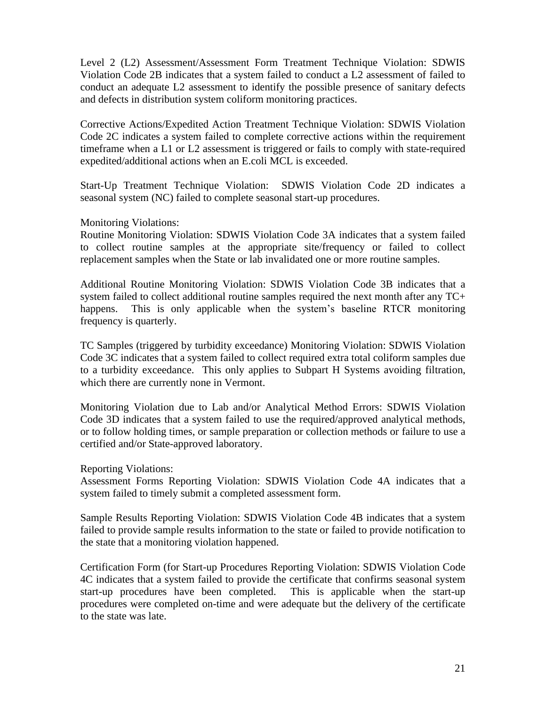Level 2 (L2) Assessment/Assessment Form Treatment Technique Violation: SDWIS Violation Code 2B indicates that a system failed to conduct a L2 assessment of failed to conduct an adequate L2 assessment to identify the possible presence of sanitary defects and defects in distribution system coliform monitoring practices.

Corrective Actions/Expedited Action Treatment Technique Violation: SDWIS Violation Code 2C indicates a system failed to complete corrective actions within the requirement timeframe when a L1 or L2 assessment is triggered or fails to comply with state-required expedited/additional actions when an E.coli MCL is exceeded.

Start-Up Treatment Technique Violation: SDWIS Violation Code 2D indicates a seasonal system (NC) failed to complete seasonal start-up procedures.

# Monitoring Violations:

Routine Monitoring Violation: SDWIS Violation Code 3A indicates that a system failed to collect routine samples at the appropriate site/frequency or failed to collect replacement samples when the State or lab invalidated one or more routine samples.

Additional Routine Monitoring Violation: SDWIS Violation Code 3B indicates that a system failed to collect additional routine samples required the next month after any TC+ happens. This is only applicable when the system's baseline RTCR monitoring frequency is quarterly.

TC Samples (triggered by turbidity exceedance) Monitoring Violation: SDWIS Violation Code 3C indicates that a system failed to collect required extra total coliform samples due to a turbidity exceedance. This only applies to Subpart H Systems avoiding filtration, which there are currently none in Vermont.

Monitoring Violation due to Lab and/or Analytical Method Errors: SDWIS Violation Code 3D indicates that a system failed to use the required/approved analytical methods, or to follow holding times, or sample preparation or collection methods or failure to use a certified and/or State-approved laboratory.

Reporting Violations:

Assessment Forms Reporting Violation: SDWIS Violation Code 4A indicates that a system failed to timely submit a completed assessment form.

Sample Results Reporting Violation: SDWIS Violation Code 4B indicates that a system failed to provide sample results information to the state or failed to provide notification to the state that a monitoring violation happened.

Certification Form (for Start-up Procedures Reporting Violation: SDWIS Violation Code 4C indicates that a system failed to provide the certificate that confirms seasonal system start-up procedures have been completed. This is applicable when the start-up procedures were completed on-time and were adequate but the delivery of the certificate to the state was late.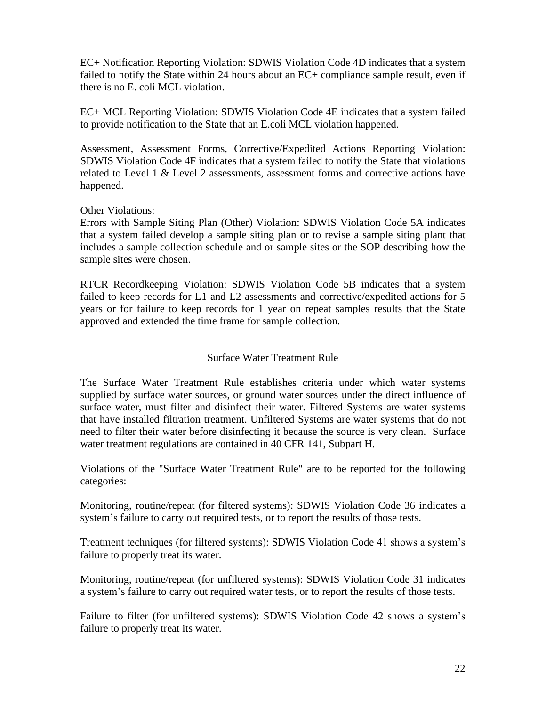EC+ Notification Reporting Violation: SDWIS Violation Code 4D indicates that a system failed to notify the State within 24 hours about an EC+ compliance sample result, even if there is no E. coli MCL violation.

EC+ MCL Reporting Violation: SDWIS Violation Code 4E indicates that a system failed to provide notification to the State that an E.coli MCL violation happened.

Assessment, Assessment Forms, Corrective/Expedited Actions Reporting Violation: SDWIS Violation Code 4F indicates that a system failed to notify the State that violations related to Level 1  $\&$  Level 2 assessments, assessment forms and corrective actions have happened.

# Other Violations:

Errors with Sample Siting Plan (Other) Violation: SDWIS Violation Code 5A indicates that a system failed develop a sample siting plan or to revise a sample siting plant that includes a sample collection schedule and or sample sites or the SOP describing how the sample sites were chosen.

RTCR Recordkeeping Violation: SDWIS Violation Code 5B indicates that a system failed to keep records for L1 and L2 assessments and corrective/expedited actions for 5 years or for failure to keep records for 1 year on repeat samples results that the State approved and extended the time frame for sample collection.

# Surface Water Treatment Rule

The Surface Water Treatment Rule establishes criteria under which water systems supplied by surface water sources, or ground water sources under the direct influence of surface water, must filter and disinfect their water. Filtered Systems are water systems that have installed filtration treatment. Unfiltered Systems are water systems that do not need to filter their water before disinfecting it because the source is very clean. Surface water treatment regulations are contained in 40 CFR 141, Subpart H.

Violations of the "Surface Water Treatment Rule" are to be reported for the following categories:

Monitoring, routine/repeat (for filtered systems): SDWIS Violation Code 36 indicates a system's failure to carry out required tests, or to report the results of those tests.

Treatment techniques (for filtered systems): SDWIS Violation Code 41 shows a system's failure to properly treat its water.

Monitoring, routine/repeat (for unfiltered systems): SDWIS Violation Code 31 indicates a system's failure to carry out required water tests, or to report the results of those tests.

Failure to filter (for unfiltered systems): SDWIS Violation Code 42 shows a system's failure to properly treat its water.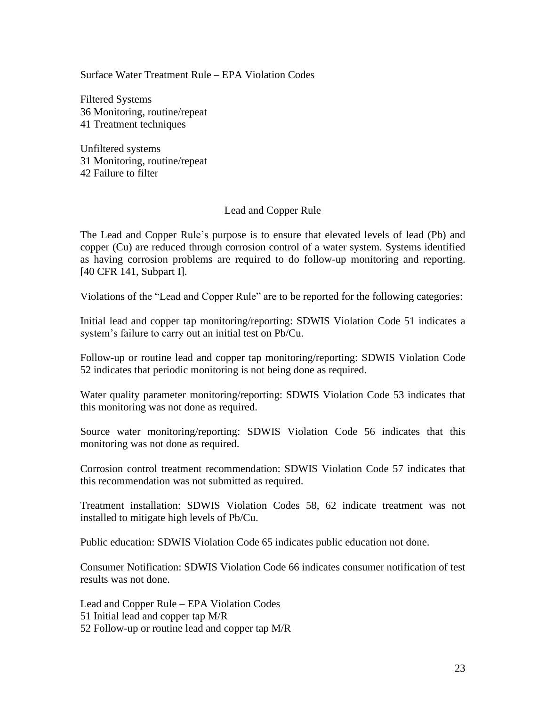Surface Water Treatment Rule – EPA Violation Codes

Filtered Systems 36 Monitoring, routine/repeat 41 Treatment techniques

Unfiltered systems 31 Monitoring, routine/repeat 42 Failure to filter

### Lead and Copper Rule

The Lead and Copper Rule's purpose is to ensure that elevated levels of lead (Pb) and copper (Cu) are reduced through corrosion control of a water system. Systems identified as having corrosion problems are required to do follow-up monitoring and reporting. [40 CFR 141, Subpart I].

Violations of the "Lead and Copper Rule" are to be reported for the following categories:

Initial lead and copper tap monitoring/reporting: SDWIS Violation Code 51 indicates a system's failure to carry out an initial test on Pb/Cu.

Follow-up or routine lead and copper tap monitoring/reporting: SDWIS Violation Code 52 indicates that periodic monitoring is not being done as required.

Water quality parameter monitoring/reporting: SDWIS Violation Code 53 indicates that this monitoring was not done as required.

Source water monitoring/reporting: SDWIS Violation Code 56 indicates that this monitoring was not done as required.

Corrosion control treatment recommendation: SDWIS Violation Code 57 indicates that this recommendation was not submitted as required.

Treatment installation: SDWIS Violation Codes 58, 62 indicate treatment was not installed to mitigate high levels of Pb/Cu.

Public education: SDWIS Violation Code 65 indicates public education not done.

Consumer Notification: SDWIS Violation Code 66 indicates consumer notification of test results was not done.

Lead and Copper Rule – EPA Violation Codes 51 Initial lead and copper tap M/R 52 Follow-up or routine lead and copper tap M/R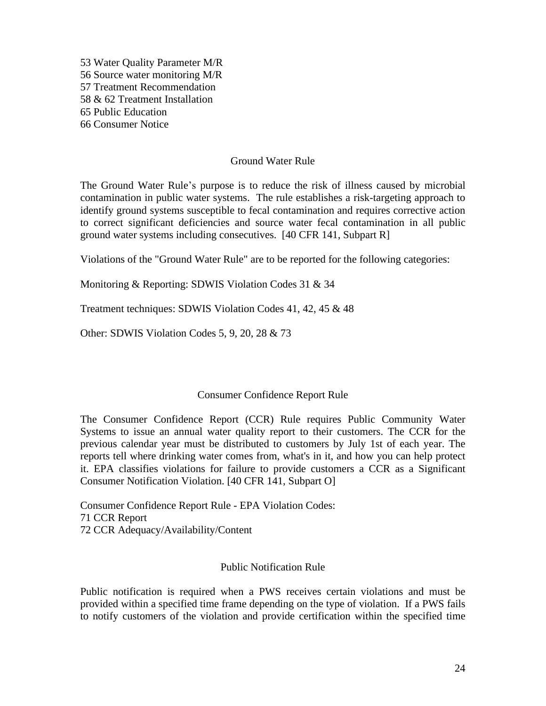53 Water Quality Parameter M/R 56 Source water monitoring M/R 57 Treatment Recommendation 58 & 62 Treatment Installation 65 Public Education 66 Consumer Notice

### Ground Water Rule

The Ground Water Rule's purpose is to reduce the risk of illness caused by microbial contamination in public water systems. The rule establishes a risk-targeting approach to identify ground systems susceptible to fecal contamination and requires corrective action to correct significant deficiencies and source water fecal contamination in all public ground water systems including consecutives. [40 CFR 141, Subpart R]

Violations of the "Ground Water Rule" are to be reported for the following categories:

Monitoring & Reporting: SDWIS Violation Codes 31 & 34

Treatment techniques: SDWIS Violation Codes 41, 42, 45 & 48

Other: SDWIS Violation Codes 5, 9, 20, 28 & 73

### Consumer Confidence Report Rule

The Consumer Confidence Report (CCR) Rule requires Public Community Water Systems to issue an annual water quality report to their customers. The CCR for the previous calendar year must be distributed to customers by July 1st of each year. The reports tell where drinking water comes from, what's in it, and how you can help protect it. EPA classifies violations for failure to provide customers a CCR as a Significant Consumer Notification Violation. [40 CFR 141, Subpart O]

Consumer Confidence Report Rule - EPA Violation Codes: 71 CCR Report 72 CCR Adequacy/Availability/Content

### Public Notification Rule

Public notification is required when a PWS receives certain violations and must be provided within a specified time frame depending on the type of violation. If a PWS fails to notify customers of the violation and provide certification within the specified time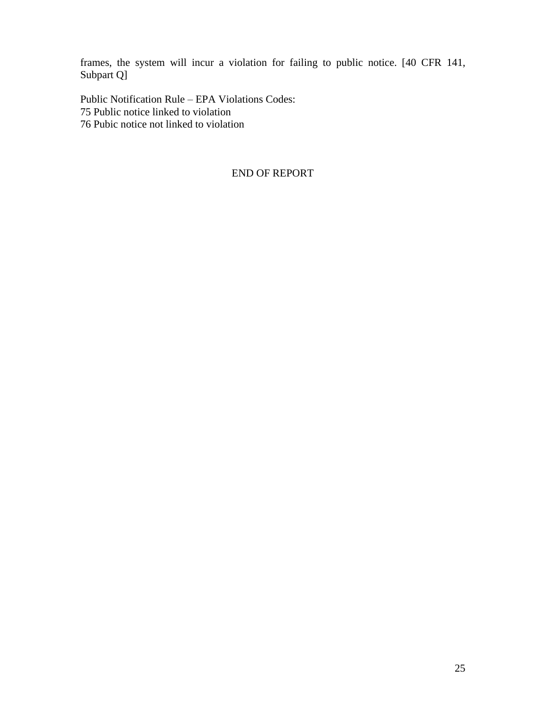frames, the system will incur a violation for failing to public notice. [40 CFR 141, Subpart Q]

Public Notification Rule – EPA Violations Codes: 75 Public notice linked to violation 76 Pubic notice not linked to violation

# END OF REPORT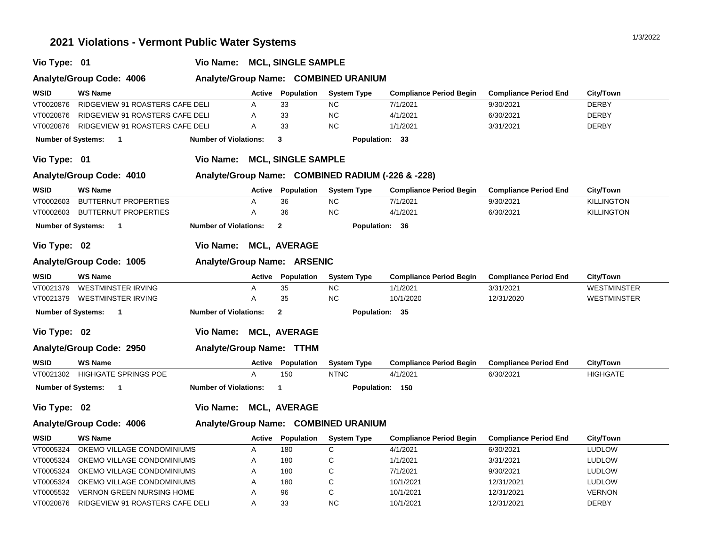# **2021 Violations - Vermont Public Water Systems** 1/3/2022 **1/3/2022**

| Vio Type: 01                                                     |                                  | Vio Name:                    |               | <b>MCL, SINGLE SAMPLE</b> |                                                   |                                |                              |                    |  |
|------------------------------------------------------------------|----------------------------------|------------------------------|---------------|---------------------------|---------------------------------------------------|--------------------------------|------------------------------|--------------------|--|
| Analyte/Group Name: COMBINED URANIUM<br>Analyte/Group Code: 4006 |                                  |                              |               |                           |                                                   |                                |                              |                    |  |
| WSID                                                             | <b>WS Name</b>                   |                              | Active        | <b>Population</b>         | <b>System Type</b>                                | <b>Compliance Period Begin</b> | <b>Compliance Period End</b> | City/Town          |  |
| VT0020876                                                        | RIDGEVIEW 91 ROASTERS CAFE DELI  |                              | A             | 33                        | <b>NC</b>                                         | 7/1/2021                       | 9/30/2021                    | <b>DERBY</b>       |  |
| VT0020876                                                        | RIDGEVIEW 91 ROASTERS CAFE DELI  |                              | Α             | 33                        | $NC$                                              | 4/1/2021                       | 6/30/2021                    | <b>DERBY</b>       |  |
| VT0020876                                                        | RIDGEVIEW 91 ROASTERS CAFE DELI  |                              | A             | 33                        | NC                                                | 1/1/2021                       | 3/31/2021                    | <b>DERBY</b>       |  |
| <b>Number of Systems:</b>                                        | $\overline{\phantom{1}}$         | <b>Number of Violations:</b> |               | 3                         | Population: 33                                    |                                |                              |                    |  |
| Vio Type: 01                                                     |                                  | Vio Name: MCL, SINGLE SAMPLE |               |                           |                                                   |                                |                              |                    |  |
|                                                                  | Analyte/Group Code: 4010         |                              |               |                           | Analyte/Group Name: COMBINED RADIUM (-226 & -228) |                                |                              |                    |  |
| <b>WSID</b>                                                      | <b>WS Name</b>                   |                              | Active        | Population                | <b>System Type</b>                                | <b>Compliance Period Begin</b> | <b>Compliance Period End</b> | City/Town          |  |
| VT0002603                                                        | <b>BUTTERNUT PROPERTIES</b>      |                              | Α             | 36                        | <b>NC</b>                                         | 7/1/2021                       | 9/30/2021                    | <b>KILLINGTON</b>  |  |
| VT0002603                                                        | <b>BUTTERNUT PROPERTIES</b>      |                              | Α             | 36                        | <b>NC</b>                                         | 4/1/2021                       | 6/30/2021                    | <b>KILLINGTON</b>  |  |
| <b>Number of Systems:</b>                                        | $\mathbf{1}$                     | <b>Number of Violations:</b> |               | $\mathbf{2}$              | Population: 36                                    |                                |                              |                    |  |
| Vio Type: 02                                                     |                                  | Vio Name: MCL, AVERAGE       |               |                           |                                                   |                                |                              |                    |  |
|                                                                  | Analyte/Group Code: 1005         | Analyte/Group Name: ARSENIC  |               |                           |                                                   |                                |                              |                    |  |
| <b>WSID</b>                                                      | <b>WS Name</b>                   |                              | Active        | Population                | <b>System Type</b>                                | <b>Compliance Period Begin</b> | <b>Compliance Period End</b> | City/Town          |  |
| VT0021379                                                        | <b>WESTMINSTER IRVING</b>        |                              | Α             | 35                        | <b>NC</b>                                         | 1/1/2021                       | 3/31/2021                    | <b>WESTMINSTER</b> |  |
|                                                                  | VT0021379 WESTMINSTER IRVING     |                              | A             | 35                        | <b>NC</b>                                         | 10/1/2020                      | 12/31/2020                   | <b>WESTMINSTER</b> |  |
| <b>Number of Systems:</b>                                        | $\mathbf{1}$                     | <b>Number of Violations:</b> |               | $\overline{2}$            | Population: 35                                    |                                |                              |                    |  |
| Vio Type: 02                                                     |                                  | Vio Name: MCL, AVERAGE       |               |                           |                                                   |                                |                              |                    |  |
|                                                                  | Analyte/Group Code: 2950         | Analyte/Group Name: TTHM     |               |                           |                                                   |                                |                              |                    |  |
| <b>WSID</b>                                                      | <b>WS Name</b>                   |                              | Active        | Population                | <b>System Type</b>                                | <b>Compliance Period Begin</b> | <b>Compliance Period End</b> | City/Town          |  |
| VT0021302                                                        | <b>HIGHGATE SPRINGS POE</b>      |                              | A             | 150                       | <b>NTNC</b>                                       | 4/1/2021                       | 6/30/2021                    | <b>HIGHGATE</b>    |  |
| <b>Number of Systems:</b>                                        | $\overline{\mathbf{1}}$          | <b>Number of Violations:</b> |               | $\mathbf{1}$              | Population: 150                                   |                                |                              |                    |  |
| Vio Type: 02                                                     |                                  | Vio Name: MCL, AVERAGE       |               |                           |                                                   |                                |                              |                    |  |
|                                                                  | Analyte/Group Code: 4006         |                              |               |                           | Analyte/Group Name: COMBINED URANIUM              |                                |                              |                    |  |
| <b>WSID</b>                                                      | <b>WS Name</b>                   |                              | <b>Active</b> | Population                | <b>System Type</b>                                | <b>Compliance Period Begin</b> | <b>Compliance Period End</b> | City/Town          |  |
| VT0005324                                                        | OKEMO VILLAGE CONDOMINIUMS       |                              | Α             | 180                       | $\mathsf C$                                       | 4/1/2021                       | 6/30/2021                    | <b>LUDLOW</b>      |  |
| VT0005324                                                        | OKEMO VILLAGE CONDOMINIUMS       |                              | Α             | 180                       | C                                                 | 1/1/2021                       | 3/31/2021                    | <b>LUDLOW</b>      |  |
| VT0005324                                                        | OKEMO VILLAGE CONDOMINIUMS       |                              | A             | 180                       | $\mathsf C$                                       | 7/1/2021                       | 9/30/2021                    | <b>LUDLOW</b>      |  |
| VT0005324                                                        | OKEMO VILLAGE CONDOMINIUMS       |                              | A             | 180                       | $\mathsf C$                                       | 10/1/2021                      | 12/31/2021                   | <b>LUDLOW</b>      |  |
| VT0005532                                                        | <b>VERNON GREEN NURSING HOME</b> |                              | Α             | 96                        | $\mathsf{C}$                                      | 10/1/2021                      | 12/31/2021                   | <b>VERNON</b>      |  |
| VT0020876                                                        | RIDGEVIEW 91 ROASTERS CAFE DELI  |                              | A             | 33                        | <b>NC</b>                                         | 10/1/2021                      | 12/31/2021                   | <b>DERBY</b>       |  |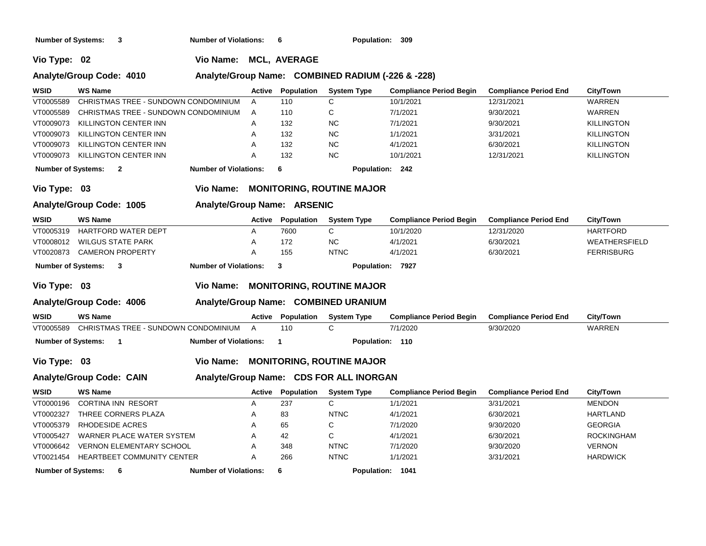**Number of Systems: 3 Number of Violations: 6 Population: 309**

**Vio Type: 02 Vio Name: MCL, AVERAGE**

### **Analyte/Group Code: 4010 Analyte/Group Name: COMBINED RADIUM (-226 & -228)**

| <b>WSID</b>               | WS Name                              | <b>Active</b> | Population | <b>System Type</b> | <b>Compliance Period Begin</b> | <b>Compliance Period End</b> | City/Town     |
|---------------------------|--------------------------------------|---------------|------------|--------------------|--------------------------------|------------------------------|---------------|
| VT0005589                 | CHRISTMAS TREE - SUNDOWN CONDOMINIUM |               | 110        |                    | 10/1/2021                      | 12/31/2021                   | <b>WARREN</b> |
| VT0005589                 | CHRISTMAS TREE - SUNDOWN CONDOMINIUM | A             | 110        |                    | 7/1/2021                       | 9/30/2021                    | <b>WARREN</b> |
| VT0009073                 | KILLINGTON CENTER INN                |               | 132        | NC.                | 7/1/2021                       | 9/30/2021                    | KILLINGTON    |
| VT0009073                 | KILLINGTON CENTER INN                |               | 132        | <b>NC</b>          | 1/1/2021                       | 3/31/2021                    | KILLINGTON    |
| VT0009073                 | KILLINGTON CENTER INN                |               | 132        | <b>NC</b>          | 4/1/2021                       | 6/30/2021                    | KILLINGTON    |
| VT0009073                 | KILLINGTON CENTER INN                |               | 132        | NC.                | 10/1/2021                      | 12/31/2021                   | KILLINGTON    |
| <b>Number of Systems:</b> | <b>Number of Violations:</b><br>2    |               | 6          | <b>Population:</b> | - 242                          |                              |               |
|                           |                                      |               |            |                    |                                |                              |               |

### **Vio Type: 03 Vio Name: MONITORING, ROUTINE MAJOR**

### **Analyte/Group Code: 1005 Analyte/Group Name: ARSENIC**

| <b>WSID</b> | <b>WS Name</b>              | Active                       | Population | <b>System Type</b> | <b>Compliance Period Begin</b> | <b>Compliance Period End</b> | City/Town         |
|-------------|-----------------------------|------------------------------|------------|--------------------|--------------------------------|------------------------------|-------------------|
| VT0005319   | HARTFORD WATER DEPT         |                              | 7600       |                    | 10/1/2020                      | 12/31/2020                   | <b>HARTFORD</b>   |
|             | VT0008012 WILGUS STATE PARK |                              | 172        | <b>NC</b>          | 4/1/2021                       | 6/30/2021                    | WEATHERSFIELD     |
|             | VT0020873 CAMERON PROPERTY  |                              | 155        | <b>NTNC</b>        | 4/1/2021                       | 6/30/2021                    | <b>FERRISBURG</b> |
|             | Number of Systems:          | <b>Number of Violations:</b> |            | <b>Population:</b> | 7927                           |                              |                   |

### **Vio Type: 03 Vio Name: MONITORING, ROUTINE MAJOR**

### **Analyte/Group Code: 4006 Analyte/Group Name: COMBINED URANIUM**

| <b>WSID</b>               | <b>WS Name</b> |                                      | Active | Population | <b>System Type</b> | <b>Compliance Period Begin</b> | <b>Compliance Period End</b> | <b>City/Town</b> |
|---------------------------|----------------|--------------------------------------|--------|------------|--------------------|--------------------------------|------------------------------|------------------|
| VT0005589                 |                | CHRISTMAS TREE - SUNDOWN CONDOMINIUM |        | 110        |                    | 7/1/2020                       | 9/30/2020                    | WARREN           |
| <b>Number of Systems:</b> |                | <b>Number of Violations:</b>         |        |            | <b>Population:</b> | 110                            |                              |                  |

### **Vio Type: 03 Vio Name: MONITORING, ROUTINE MAJOR**

# **Analyte/Group Code: CAIN Analyte/Group Name: CDS FOR ALL INORGAN**

| <b>WSID</b>               | <b>WS Name</b>                    | <b>Active</b> | Population | <b>System Type</b> | <b>Compliance Period Begin</b> | <b>Compliance Period End</b> | City/Town       |
|---------------------------|-----------------------------------|---------------|------------|--------------------|--------------------------------|------------------------------|-----------------|
| VT0000196                 | <b>CORTINA INN RESORT</b>         |               | 237        |                    | 1/1/2021                       | 3/31/2021                    | <b>MENDON</b>   |
| VT0002327                 | THREE CORNERS PLAZA               |               | 83         | <b>NTNC</b>        | 4/1/2021                       | 6/30/2021                    | HARTLAND        |
| VT0005379                 | RHODESIDE ACRES                   | $\mathsf{A}$  | 65         |                    | 7/1/2020                       | 9/30/2020                    | <b>GEORGIA</b>  |
| VT0005427                 | WARNER PLACE WATER SYSTEM         |               | 42         |                    | 4/1/2021                       | 6/30/2021                    | ROCKINGHAM      |
| VT0006642                 | <b>VERNON ELEMENTARY SCHOOL</b>   |               | 348        | <b>NTNC</b>        | 7/1/2020                       | 9/30/2020                    | <b>VERNON</b>   |
| VT0021454                 | <b>HEARTBEET COMMUNITY CENTER</b> |               | 266        | <b>NTNC</b>        | 1/1/2021                       | 3/31/2021                    | <b>HARDWICK</b> |
| <b>Number of Systems:</b> | <b>Number of Violations:</b><br>6 |               |            | <b>Population:</b> | 1041                           |                              |                 |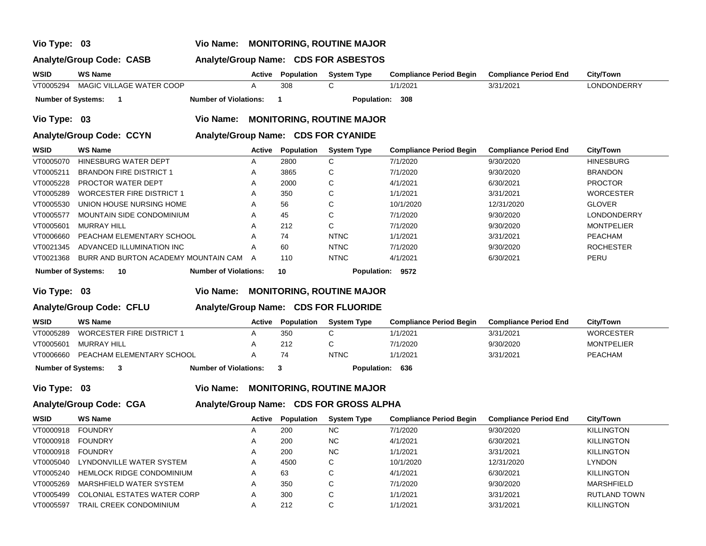### **Vio Type: 03 Vio Name: MONITORING, ROUTINE MAJOR**

### **Analyte/Group Code: CASB Analyte/Group Name: CDS FOR ASBESTOS**

| WSID                      | <b>WS Name</b>                       |                              | Active | Population | <b>System Type</b>                  | <b>Compliance Period Begin</b> | <b>Compliance Period End</b> | <b>City/Town</b>  |
|---------------------------|--------------------------------------|------------------------------|--------|------------|-------------------------------------|--------------------------------|------------------------------|-------------------|
| VT0005294                 | MAGIC VILLAGE WATER COOP             |                              | A      | 308        | C                                   | 1/1/2021                       | 3/31/2021                    | LONDONDERRY       |
| <b>Number of Systems:</b> | -1                                   | <b>Number of Violations:</b> |        | 1          | Population:                         | 308                            |                              |                   |
| Vio Type: 03              |                                      | <b>Vio Name:</b>             |        |            | <b>MONITORING, ROUTINE MAJOR</b>    |                                |                              |                   |
|                           | <b>Analyte/Group Code: CCYN</b>      |                              |        |            | Analyte/Group Name: CDS FOR CYANIDE |                                |                              |                   |
| <b>WSID</b>               | <b>WS Name</b>                       |                              | Active | Population | <b>System Type</b>                  | <b>Compliance Period Begin</b> | <b>Compliance Period End</b> | City/Town         |
| VT0005070                 | HINESBURG WATER DEPT                 |                              | A      | 2800       | C                                   | 7/1/2020                       | 9/30/2020                    | <b>HINESBURG</b>  |
| VT0005211                 | <b>BRANDON FIRE DISTRICT 1</b>       |                              | A      | 3865       | С                                   | 7/1/2020                       | 9/30/2020                    | <b>BRANDON</b>    |
| VT0005228                 | PROCTOR WATER DEPT                   |                              | A      | 2000       | C                                   | 4/1/2021                       | 6/30/2021                    | <b>PROCTOR</b>    |
| VT0005289                 | <b>WORCESTER FIRE DISTRICT 1</b>     |                              | A      | 350        | С                                   | 1/1/2021                       | 3/31/2021                    | <b>WORCESTER</b>  |
| VT0005530                 | UNION HOUSE NURSING HOME             |                              | A      | 56         | C                                   | 10/1/2020                      | 12/31/2020                   | <b>GLOVER</b>     |
| VT0005577                 | <b>MOUNTAIN SIDE CONDOMINIUM</b>     |                              | A      | 45         | С                                   | 7/1/2020                       | 9/30/2020                    | LONDONDERRY       |
| VT0005601                 | <b>MURRAY HILL</b>                   |                              | A      | 212        | C                                   | 7/1/2020                       | 9/30/2020                    | <b>MONTPELIER</b> |
| VT0006660                 | PEACHAM ELEMENTARY SCHOOL            |                              | A      | 74         | <b>NTNC</b>                         | 1/1/2021                       | 3/31/2021                    | PEACHAM           |
| VT0021345                 | ADVANCED ILLUMINATION INC            |                              | A      | 60         | <b>NTNC</b>                         | 7/1/2020                       | 9/30/2020                    | <b>ROCHESTER</b>  |
| VT0021368                 | BURR AND BURTON ACADEMY MOUNTAIN CAM |                              | A      | 110        | <b>NTNC</b>                         | 4/1/2021                       | 6/30/2021                    | PERU              |
| <b>Number of Systems:</b> | 10                                   | <b>Number of Violations:</b> |        | 10         | Population:                         | 9572                           |                              |                   |
| Vio Type:                 | -03                                  | Vio Name:                    |        |            | <b>MONITORING, ROUTINE MAJOR</b>    |                                |                              |                   |

### **Analyte/Group Code: CFLU Analyte/Group Name: CDS FOR FLUORIDE**

| <b>WSID</b>        | <b>WS Name</b>                   | Active | <b>Population</b> | <b>System Type</b> | <b>Compliance Period Begin</b> | <b>Compliance Period End</b> | City/Town         |
|--------------------|----------------------------------|--------|-------------------|--------------------|--------------------------------|------------------------------|-------------------|
| VT0005289          | <b>WORCESTER FIRE DISTRICT 1</b> |        | 350               |                    | 1/1/2021                       | 3/31/2021                    | <b>WORCESTER</b>  |
| VT0005601          | MURRAY HILL                      |        | 212               |                    | 7/1/2020                       | 9/30/2020                    | <b>MONTPELIER</b> |
| VT0006660          | PEACHAM ELEMENTARY SCHOOL        |        | 74                | <b>NTNC</b>        | 1/1/2021                       | 3/31/2021                    | <b>PEACHAM</b>    |
| Number of Systems: | <b>Number of Violations:</b>     |        |                   | Population: 636    |                                |                              |                   |

**Vio Type: 03 Vio Name: MONITORING, ROUTINE MAJOR**

### **Analyte/Group Code: CGA Analyte/Group Name: CDS FOR GROSS ALPHA**

| WSID      | <b>WS Name</b>                   | Active | Population | <b>System Type</b> | <b>Compliance Period Begin</b> | <b>Compliance Period End</b> | City/Town         |
|-----------|----------------------------------|--------|------------|--------------------|--------------------------------|------------------------------|-------------------|
| VT0000918 | <b>FOUNDRY</b>                   |        | 200        | <b>NC</b>          | 7/1/2020                       | 9/30/2020                    | <b>KILLINGTON</b> |
| VT0000918 | <b>FOUNDRY</b>                   |        | 200        | <b>NC</b>          | 4/1/2021                       | 6/30/2021                    | <b>KILLINGTON</b> |
| VT0000918 | <b>FOUNDRY</b>                   |        | 200        | <b>NC</b>          | 1/1/2021                       | 3/31/2021                    | <b>KILLINGTON</b> |
| VT0005040 | LYNDONVILLE WATER SYSTEM         |        | 4500       | C                  | 10/1/2020                      | 12/31/2020                   | <b>LYNDON</b>     |
| VT0005240 | <b>HEMLOCK RIDGE CONDOMINIUM</b> |        | 63         | C.                 | 4/1/2021                       | 6/30/2021                    | <b>KILLINGTON</b> |
| VT0005269 | MARSHFIELD WATER SYSTEM          |        | 350        | C                  | 7/1/2020                       | 9/30/2020                    | <b>MARSHFIELD</b> |
| VT0005499 | COLONIAL ESTATES WATER CORP      |        | 300        | C                  | 1/1/2021                       | 3/31/2021                    | RUTLAND TOWN      |
| VT0005597 | TRAIL CREEK CONDOMINIUM          |        | 212        | $\sim$             | 1/1/2021                       | 3/31/2021                    | <b>KILLINGTON</b> |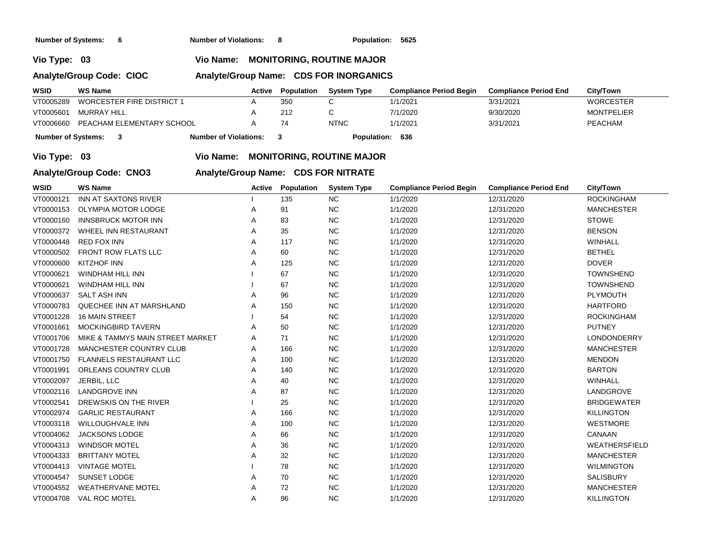**Number of Systems: 6 Number of Violations: 8 Population: 5625**

**Vio Type: 03 Vio Name: MONITORING, ROUTINE MAJOR**

### **Analyte/Group Code: CIOC**

|  | Analyte/Group Name: CDS FOR INORGANICS |
|--|----------------------------------------|
|--|----------------------------------------|

| <b>WSID</b>                                        | <b>WS Name</b>            | Active | Population | <b>System Type</b> | <b>Compliance Period Begin</b> | <b>Compliance Period End</b> | City/Town         |
|----------------------------------------------------|---------------------------|--------|------------|--------------------|--------------------------------|------------------------------|-------------------|
| VT0005289                                          | WORCESTER FIRE DISTRICT 1 |        | 350        |                    | 1/1/2021                       | 3/31/2021                    | <b>WORCESTER</b>  |
| VT0005601                                          | MURRAY HILL               |        | 212        |                    | 7/1/2020                       | 9/30/2020                    | <b>MONTPELIER</b> |
| VT0006660                                          | PEACHAM ELEMENTARY SCHOOL |        |            | <b>NTNC</b>        | 1/1/2021                       | 3/31/2021                    | PEACHAM           |
| <b>Number of Violations:</b><br>Number of Systems: |                           |        |            | <b>Population:</b> | 636                            |                              |                   |

**Vio Type: 03 Vio Name: MONITORING, ROUTINE MAJOR**

# **Analyte/Group Code: CNO3 Analyte/Group Name: CDS FOR NITRATE**

| WSID      | <b>WS Name</b>                   | Active | <b>Population</b> | <b>System Type</b> | <b>Compliance Period Begin</b> | <b>Compliance Period End</b> | City/Town            |
|-----------|----------------------------------|--------|-------------------|--------------------|--------------------------------|------------------------------|----------------------|
| VT0000121 | INN AT SAXTONS RIVER             |        | 135               | <b>NC</b>          | 1/1/2020                       | 12/31/2020                   | <b>ROCKINGHAM</b>    |
| VT0000153 | <b>OLYMPIA MOTOR LODGE</b>       | Α      | 91                | <b>NC</b>          | 1/1/2020                       | 12/31/2020                   | <b>MANCHESTER</b>    |
| VT0000160 | <b>INNSBRUCK MOTOR INN</b>       | A      | 83                | NC                 | 1/1/2020                       | 12/31/2020                   | <b>STOWE</b>         |
| VT0000372 | WHEEL INN RESTAURANT             | A      | 35                | <b>NC</b>          | 1/1/2020                       | 12/31/2020                   | <b>BENSON</b>        |
| VT0000448 | <b>RED FOX INN</b>               | Α      | 117               | <b>NC</b>          | 1/1/2020                       | 12/31/2020                   | WINHALL              |
| VT0000502 | <b>FRONT ROW FLATS LLC</b>       | Α      | 60                | <b>NC</b>          | 1/1/2020                       | 12/31/2020                   | <b>BETHEL</b>        |
| VT0000600 | <b>KITZHOF INN</b>               | A      | 125               | NC                 | 1/1/2020                       | 12/31/2020                   | <b>DOVER</b>         |
| VT0000621 | <b>WINDHAM HILL INN</b>          |        | 67                | NC                 | 1/1/2020                       | 12/31/2020                   | <b>TOWNSHEND</b>     |
| VT0000621 | <b>WINDHAM HILL INN</b>          |        | 67                | NC                 | 1/1/2020                       | 12/31/2020                   | <b>TOWNSHEND</b>     |
| VT0000637 | <b>SALT ASH INN</b>              | A      | 96                | <b>NC</b>          | 1/1/2020                       | 12/31/2020                   | PLYMOUTH             |
| VT0000783 | QUECHEE INN AT MARSHLAND         | A      | 150               | NC                 | 1/1/2020                       | 12/31/2020                   | <b>HARTFORD</b>      |
| VT0001228 | <b>16 MAIN STREET</b>            |        | 54                | <b>NC</b>          | 1/1/2020                       | 12/31/2020                   | <b>ROCKINGHAM</b>    |
| VT0001661 | <b>MOCKINGBIRD TAVERN</b>        | A      | 50                | <b>NC</b>          | 1/1/2020                       | 12/31/2020                   | <b>PUTNEY</b>        |
| VT0001706 | MIKE & TAMMYS MAIN STREET MARKET | Α      | 71                | <b>NC</b>          | 1/1/2020                       | 12/31/2020                   | <b>LONDONDERRY</b>   |
| VT0001728 | <b>MANCHESTER COUNTRY CLUB</b>   | Α      | 166               | NC                 | 1/1/2020                       | 12/31/2020                   | <b>MANCHESTER</b>    |
| VT0001750 | <b>FLANNELS RESTAURANT LLC</b>   | Α      | 100               | NC                 | 1/1/2020                       | 12/31/2020                   | <b>MENDON</b>        |
| VT0001991 | ORLEANS COUNTRY CLUB             | Α      | 140               | <b>NC</b>          | 1/1/2020                       | 12/31/2020                   | <b>BARTON</b>        |
| VT0002097 | JERBIL, LLC                      | Α      | 40                | NC                 | 1/1/2020                       | 12/31/2020                   | <b>WINHALL</b>       |
| VT0002116 | <b>LANDGROVE INN</b>             | Α      | 87                | <b>NC</b>          | 1/1/2020                       | 12/31/2020                   | LANDGROVE            |
| VT0002541 | DREWSKIS ON THE RIVER            |        | 25                | <b>NC</b>          | 1/1/2020                       | 12/31/2020                   | <b>BRIDGEWATER</b>   |
| VT0002974 | <b>GARLIC RESTAURANT</b>         | Α      | 166               | <b>NC</b>          | 1/1/2020                       | 12/31/2020                   | <b>KILLINGTON</b>    |
| VT0003118 | <b>WILLOUGHVALE INN</b>          | Α      | 100               | $NC$               | 1/1/2020                       | 12/31/2020                   | WESTMORE             |
| VT0004062 | <b>JACKSONS LODGE</b>            | Α      | 66                | <b>NC</b>          | 1/1/2020                       | 12/31/2020                   | CANAAN               |
| VT0004313 | <b>WINDSOR MOTEL</b>             | Α      | 36                | NC                 | 1/1/2020                       | 12/31/2020                   | <b>WEATHERSFIELD</b> |
| VT0004333 | <b>BRITTANY MOTEL</b>            | Α      | 32                | <b>NC</b>          | 1/1/2020                       | 12/31/2020                   | <b>MANCHESTER</b>    |
| VT0004413 | <b>VINTAGE MOTEL</b>             |        | 78                | <b>NC</b>          | 1/1/2020                       | 12/31/2020                   | <b>WILMINGTON</b>    |
| VT0004547 | SUNSET LODGE                     | Α      | 70                | <b>NC</b>          | 1/1/2020                       | 12/31/2020                   | <b>SALISBURY</b>     |
| VT0004552 | <b>WEATHERVANE MOTEL</b>         | A      | 72                | <b>NC</b>          | 1/1/2020                       | 12/31/2020                   | <b>MANCHESTER</b>    |
| VT0004708 | VAL ROC MOTEL                    | Α      | 96                | <b>NC</b>          | 1/1/2020                       | 12/31/2020                   | <b>KILLINGTON</b>    |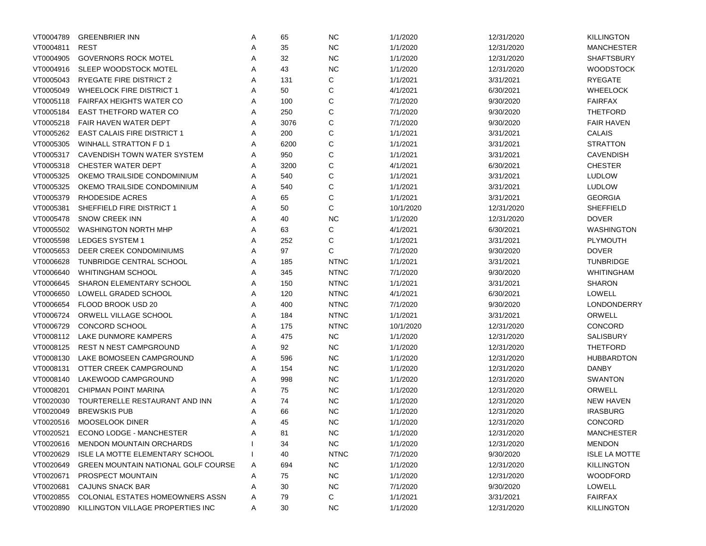| VT0004789 | <b>GREENBRIER INN</b>                      | Α | 65   | <b>NC</b>   | 1/1/2020  | 12/31/2020 | <b>KILLINGTON</b>    |
|-----------|--------------------------------------------|---|------|-------------|-----------|------------|----------------------|
| VT0004811 | <b>REST</b>                                | Α | 35   | <b>NC</b>   | 1/1/2020  | 12/31/2020 | <b>MANCHESTER</b>    |
| VT0004905 | <b>GOVERNORS ROCK MOTEL</b>                | Α | 32   | <b>NC</b>   | 1/1/2020  | 12/31/2020 | <b>SHAFTSBURY</b>    |
| VT0004916 | SLEEP WOODSTOCK MOTEL                      | Α | 43   | <b>NC</b>   | 1/1/2020  | 12/31/2020 | <b>WOODSTOCK</b>     |
| VT0005043 | <b>RYEGATE FIRE DISTRICT 2</b>             | Α | 131  | C           | 1/1/2021  | 3/31/2021  | <b>RYEGATE</b>       |
| VT0005049 | <b>WHEELOCK FIRE DISTRICT 1</b>            | Α | 50   | C           | 4/1/2021  | 6/30/2021  | <b>WHEELOCK</b>      |
| VT0005118 | <b>FAIRFAX HEIGHTS WATER CO</b>            | Α | 100  | C           | 7/1/2020  | 9/30/2020  | <b>FAIRFAX</b>       |
| VT0005184 | <b>EAST THETFORD WATER CO</b>              | Α | 250  | C           | 7/1/2020  | 9/30/2020  | <b>THETFORD</b>      |
| VT0005218 | <b>FAIR HAVEN WATER DEPT</b>               | Α | 3076 | C           | 7/1/2020  | 9/30/2020  | <b>FAIR HAVEN</b>    |
| VT0005262 | <b>EAST CALAIS FIRE DISTRICT 1</b>         | Α | 200  | C           | 1/1/2021  | 3/31/2021  | CALAIS               |
| VT0005305 | WINHALL STRATTON F D 1                     | Α | 6200 | C           | 1/1/2021  | 3/31/2021  | <b>STRATTON</b>      |
| VT0005317 | <b>CAVENDISH TOWN WATER SYSTEM</b>         | Α | 950  | C           | 1/1/2021  | 3/31/2021  | <b>CAVENDISH</b>     |
| VT0005318 | CHESTER WATER DEPT                         | Α | 3200 | C           | 4/1/2021  | 6/30/2021  | <b>CHESTER</b>       |
| VT0005325 | OKEMO TRAILSIDE CONDOMINIUM                | Α | 540  | C           | 1/1/2021  | 3/31/2021  | <b>LUDLOW</b>        |
| VT0005325 | OKEMO TRAILSIDE CONDOMINIUM                | Α | 540  | C           | 1/1/2021  | 3/31/2021  | <b>LUDLOW</b>        |
| VT0005379 | <b>RHODESIDE ACRES</b>                     | Α | 65   | C           | 1/1/2021  | 3/31/2021  | <b>GEORGIA</b>       |
| VT0005381 | SHEFFIELD FIRE DISTRICT 1                  | Α | 50   | C           | 10/1/2020 | 12/31/2020 | SHEFFIELD            |
| VT0005478 | <b>SNOW CREEK INN</b>                      | Α | 40   | <b>NC</b>   | 1/1/2020  | 12/31/2020 | <b>DOVER</b>         |
| VT0005502 | <b>WASHINGTON NORTH MHP</b>                | Α | 63   | C           | 4/1/2021  | 6/30/2021  | <b>WASHINGTON</b>    |
| VT0005598 | LEDGES SYSTEM 1                            | Α | 252  | C           | 1/1/2021  | 3/31/2021  | PLYMOUTH             |
| VT0005653 | DEER CREEK CONDOMINIUMS                    | Α | 97   | C           | 7/1/2020  | 9/30/2020  | <b>DOVER</b>         |
| VT0006628 | TUNBRIDGE CENTRAL SCHOOL                   | Α | 185  | <b>NTNC</b> | 1/1/2021  | 3/31/2021  | <b>TUNBRIDGE</b>     |
| VT0006640 | <b>WHITINGHAM SCHOOL</b>                   | Α | 345  | <b>NTNC</b> | 7/1/2020  | 9/30/2020  | WHITINGHAM           |
| VT0006645 | <b>SHARON ELEMENTARY SCHOOL</b>            | Α | 150  | <b>NTNC</b> | 1/1/2021  | 3/31/2021  | <b>SHARON</b>        |
| VT0006650 | LOWELL GRADED SCHOOL                       | Α | 120  | <b>NTNC</b> | 4/1/2021  | 6/30/2021  | <b>LOWELL</b>        |
| VT0006654 | FLOOD BROOK USD 20                         | Α | 400  | <b>NTNC</b> | 7/1/2020  | 9/30/2020  | LONDONDERRY          |
| VT0006724 | ORWELL VILLAGE SCHOOL                      | Α | 184  | <b>NTNC</b> | 1/1/2021  | 3/31/2021  | ORWELL               |
| VT0006729 | <b>CONCORD SCHOOL</b>                      | Α | 175  | <b>NTNC</b> | 10/1/2020 | 12/31/2020 | <b>CONCORD</b>       |
| VT0008112 | LAKE DUNMORE KAMPERS                       | Α | 475  | <b>NC</b>   | 1/1/2020  | 12/31/2020 | SALISBURY            |
| VT0008125 | <b>REST N NEST CAMPGROUND</b>              | Α | 92   | <b>NC</b>   | 1/1/2020  | 12/31/2020 | <b>THETFORD</b>      |
| VT0008130 | LAKE BOMOSEEN CAMPGROUND                   | Α | 596  | <b>NC</b>   | 1/1/2020  | 12/31/2020 | <b>HUBBARDTON</b>    |
| VT0008131 | OTTER CREEK CAMPGROUND                     | Α | 154  | <b>NC</b>   | 1/1/2020  | 12/31/2020 | <b>DANBY</b>         |
| VT0008140 | LAKEWOOD CAMPGROUND                        | Α | 998  | <b>NC</b>   | 1/1/2020  | 12/31/2020 | <b>SWANTON</b>       |
| VT0008201 | CHIPMAN POINT MARINA                       | Α | 75   | <b>NC</b>   | 1/1/2020  | 12/31/2020 | ORWELL               |
| VT0020030 | TOURTERELLE RESTAURANT AND INN             | Α | 74   | <b>NC</b>   | 1/1/2020  | 12/31/2020 | <b>NEW HAVEN</b>     |
| VT0020049 | <b>BREWSKIS PUB</b>                        | Α | 66   | <b>NC</b>   | 1/1/2020  | 12/31/2020 | <b>IRASBURG</b>      |
| VT0020516 | MOOSELOOK DINER                            | Α | 45   | <b>NC</b>   | 1/1/2020  | 12/31/2020 | CONCORD              |
| VT0020521 | ECONO LODGE - MANCHESTER                   | Α | 81   | <b>NC</b>   | 1/1/2020  | 12/31/2020 | <b>MANCHESTER</b>    |
| VT0020616 | <b>MENDON MOUNTAIN ORCHARDS</b>            |   | 34   | <b>NC</b>   | 1/1/2020  | 12/31/2020 | <b>MENDON</b>        |
| VT0020629 | ISLE LA MOTTE ELEMENTARY SCHOOL            |   | 40   | <b>NTNC</b> | 7/1/2020  | 9/30/2020  | <b>ISLE LA MOTTE</b> |
| VT0020649 | <b>GREEN MOUNTAIN NATIONAL GOLF COURSE</b> | A | 694  | <b>NC</b>   | 1/1/2020  | 12/31/2020 | <b>KILLINGTON</b>    |
| VT0020671 | PROSPECT MOUNTAIN                          | A | 75   | <b>NC</b>   | 1/1/2020  | 12/31/2020 | <b>WOODFORD</b>      |
| VT0020681 | CAJUNS SNACK BAR                           | A | 30   | <b>NC</b>   | 7/1/2020  | 9/30/2020  | LOWELL               |
| VT0020855 | <b>COLONIAL ESTATES HOMEOWNERS ASSN</b>    | A | 79   | С           | 1/1/2021  | 3/31/2021  | <b>FAIRFAX</b>       |
| VT0020890 | KILLINGTON VILLAGE PROPERTIES INC          | Α | 30   | <b>NC</b>   | 1/1/2020  | 12/31/2020 | <b>KILLINGTON</b>    |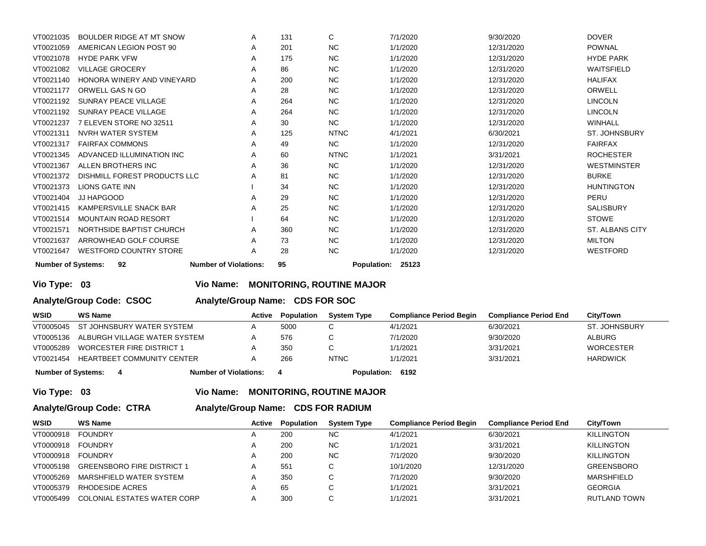| VT0021035 | BOULDER RIDGE AT MT SNOW                                                                             | A | 131 | C           | 7/1/2020 | 9/30/2020  | <b>DOVER</b>           |  |
|-----------|------------------------------------------------------------------------------------------------------|---|-----|-------------|----------|------------|------------------------|--|
| VT0021059 | AMERICAN LEGION POST 90                                                                              | A | 201 | <b>NC</b>   | 1/1/2020 | 12/31/2020 | <b>POWNAL</b>          |  |
| VT0021078 | <b>HYDE PARK VFW</b>                                                                                 | A | 175 | <b>NC</b>   | 1/1/2020 | 12/31/2020 | <b>HYDE PARK</b>       |  |
| VT0021082 | <b>VILLAGE GROCERY</b>                                                                               | A | 86  | <b>NC</b>   | 1/1/2020 | 12/31/2020 | WAITSFIELD             |  |
| VT0021140 | HONORA WINERY AND VINEYARD                                                                           | A | 200 | <b>NC</b>   | 1/1/2020 | 12/31/2020 | <b>HALIFAX</b>         |  |
| VT0021177 | ORWELL GAS N GO                                                                                      | A | 28  | <b>NC</b>   | 1/1/2020 | 12/31/2020 | ORWELL                 |  |
| VT0021192 | SUNRAY PEACE VILLAGE                                                                                 | A | 264 | <b>NC</b>   | 1/1/2020 | 12/31/2020 | <b>LINCOLN</b>         |  |
| VT0021192 | SUNRAY PEACE VILLAGE                                                                                 | A | 264 | <b>NC</b>   | 1/1/2020 | 12/31/2020 | <b>LINCOLN</b>         |  |
| VT0021237 | 7 ELEVEN STORE NO 32511                                                                              | A | 30  | <b>NC</b>   | 1/1/2020 | 12/31/2020 | <b>WINHALL</b>         |  |
| VT0021311 | NVRH WATER SYSTEM                                                                                    | A | 125 | <b>NTNC</b> | 4/1/2021 | 6/30/2021  | <b>ST. JOHNSBURY</b>   |  |
| VT0021317 | <b>FAIRFAX COMMONS</b>                                                                               | A | 49  | <b>NC</b>   | 1/1/2020 | 12/31/2020 | <b>FAIRFAX</b>         |  |
| VT0021345 | ADVANCED ILLUMINATION INC                                                                            | A | 60  | <b>NTNC</b> | 1/1/2021 | 3/31/2021  | <b>ROCHESTER</b>       |  |
| VT0021367 | ALLEN BROTHERS INC                                                                                   | A | 36  | <b>NC</b>   | 1/1/2020 | 12/31/2020 | <b>WESTMINSTER</b>     |  |
| VT0021372 | DISHMILL FOREST PRODUCTS LLC                                                                         | Α | 81  | <b>NC</b>   | 1/1/2020 | 12/31/2020 | <b>BURKE</b>           |  |
| VT0021373 | <b>LIONS GATE INN</b>                                                                                |   | 34  | <b>NC</b>   | 1/1/2020 | 12/31/2020 | <b>HUNTINGTON</b>      |  |
| VT0021404 | JJ HAPGOOD                                                                                           | A | 29  | <b>NC</b>   | 1/1/2020 | 12/31/2020 | PERU                   |  |
| VT0021415 | KAMPERSVILLE SNACK BAR                                                                               | A | 25  | <b>NC</b>   | 1/1/2020 | 12/31/2020 | <b>SALISBURY</b>       |  |
| VT0021514 | <b>MOUNTAIN ROAD RESORT</b>                                                                          |   | 64  | <b>NC</b>   | 1/1/2020 | 12/31/2020 | <b>STOWE</b>           |  |
| VT0021571 | NORTHSIDE BAPTIST CHURCH                                                                             | A | 360 | <b>NC</b>   | 1/1/2020 | 12/31/2020 | <b>ST. ALBANS CITY</b> |  |
| VT0021637 | ARROWHEAD GOLF COURSE                                                                                | A | 73  | <b>NC</b>   | 1/1/2020 | 12/31/2020 | <b>MILTON</b>          |  |
| VT0021647 | <b>WESTFORD COUNTRY STORE</b>                                                                        | Α | 28  | <b>NC</b>   | 1/1/2020 | 12/31/2020 | WESTFORD               |  |
|           | <b>Number of Systems:</b><br><b>Number of Violations:</b><br>95<br><b>Population:</b><br>92<br>25123 |   |     |             |          |            |                        |  |

### **Vio Type: 03 Vio Name: MONITORING, ROUTINE MAJOR**

**Analyte/Group Code: CSOC Analyte/Group Name: CDS FOR SOC** 

| <b>WSID</b>               | <b>WS Name</b>               | Active | Population | <b>System Type</b> | <b>Compliance Period Begin</b> | <b>Compliance Period End</b> | City/Town       |
|---------------------------|------------------------------|--------|------------|--------------------|--------------------------------|------------------------------|-----------------|
| VT0005045                 | ST JOHNSBURY WATER SYSTEM    |        | 5000       |                    | 4/1/2021                       | 6/30/2021                    | ST. JOHNSBURY   |
| VT0005136                 | ALBURGH VILLAGE WATER SYSTEM |        | 576        |                    | 7/1/2020                       | 9/30/2020                    | ALBURG          |
| VT0005289                 | WORCESTER FIRE DISTRICT 1    |        | 350        |                    | 1/1/2021                       | 3/31/2021                    | WORCESTER       |
| VT0021454                 | HEARTBEET COMMUNITY CENTER   |        | 266        | <b>NTNC</b>        | 1/1/2021                       | 3/31/2021                    | <b>HARDWICK</b> |
| <b>Number of Systems:</b> | <b>Number of Violations:</b> |        |            | Population: 6192   |                                |                              |                 |

**Vio Type: 03 Vio Name: MONITORING, ROUTINE MAJOR**

### **Analyte/Group Code: CTRA Analyte/Group Name: CDS FOR RADIUM**

| <b>WSID</b> | <b>WS Name</b>                     | Active | Population | <b>System Type</b> | <b>Compliance Period Begin</b> | <b>Compliance Period End</b> | City/Town         |
|-------------|------------------------------------|--------|------------|--------------------|--------------------------------|------------------------------|-------------------|
| VT0000918   | <b>FOUNDRY</b>                     |        | 200        | <b>NC</b>          | 4/1/2021                       | 6/30/2021                    | <b>KILLINGTON</b> |
| VT0000918   | <b>FOUNDRY</b>                     |        | 200        | <b>NC</b>          | 1/1/2021                       | 3/31/2021                    | KILLINGTON        |
| VT0000918   | <b>FOUNDRY</b>                     |        | 200        | <b>NC</b>          | 7/1/2020                       | 9/30/2020                    | KILLINGTON        |
| VT0005198   | <b>GREENSBORO FIRE DISTRICT 1</b>  |        | 551        | C.                 | 10/1/2020                      | 12/31/2020                   | <b>GREENSBORO</b> |
| VT0005269   | MARSHFIELD WATER SYSTEM            |        | 350        | C.                 | 7/1/2020                       | 9/30/2020                    | MARSHFIELD        |
| VT0005379   | RHODESIDE ACRES                    |        | 65         | C                  | 1/1/2021                       | 3/31/2021                    | <b>GEORGIA</b>    |
| VT0005499   | <b>COLONIAL ESTATES WATER CORP</b> |        | 300        | C                  | 1/1/2021                       | 3/31/2021                    | RUTLAND TOWN      |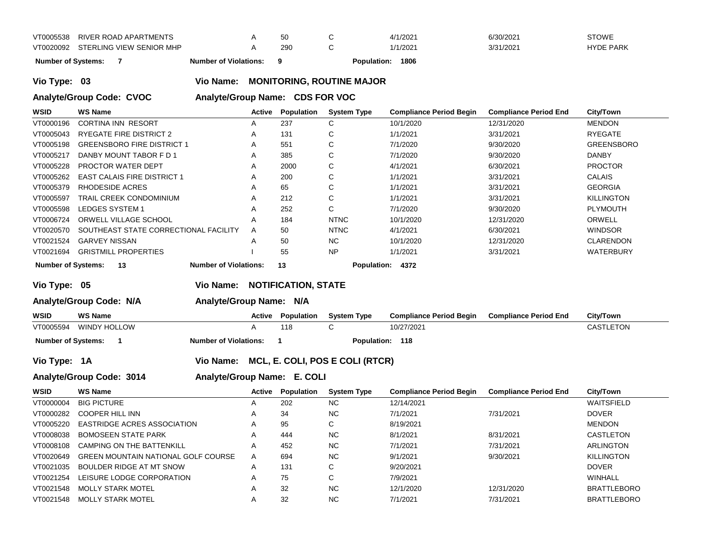| VT0005538 | RIVER ROAD APARTMENTS              | 50  | 4/1/2021 | 6/30/2021 | STOWE            |
|-----------|------------------------------------|-----|----------|-----------|------------------|
|           | VT0020092 STERLING VIEW SENIOR MHP | 290 | 1/1/2021 | 3/31/2021 | <b>HYDE PARK</b> |

**Number of Systems: 7 Number of Violations: 9 Population: 1806**

**Vio Type: 03 Vio Name: MONITORING, ROUTINE MAJOR**

**Analyte/Group Code: CVOC Analyte/Group Name: CDS FOR VOC** 

| <b>WSID</b> | <b>WS Name</b>                                                                                      | Active | Population | <b>System Type</b> | <b>Compliance Period Begin</b> | <b>Compliance Period End</b> | <b>City/Town</b>  |  |  |  |
|-------------|-----------------------------------------------------------------------------------------------------|--------|------------|--------------------|--------------------------------|------------------------------|-------------------|--|--|--|
| VT0000196   | CORTINA INN RESORT                                                                                  | A      | 237        | ⌒<br>U             | 10/1/2020                      | 12/31/2020                   | <b>MENDON</b>     |  |  |  |
| VT0005043   | RYEGATE FIRE DISTRICT 2                                                                             | A      | 131        | $\sim$<br>Ü        | 1/1/2021                       | 3/31/2021                    | <b>RYEGATE</b>    |  |  |  |
| VT0005198   | <b>GREENSBORO FIRE DISTRICT 1</b>                                                                   | A      | 551        | С                  | 7/1/2020                       | 9/30/2020                    | <b>GREENSBORO</b> |  |  |  |
| VT0005217   | DANBY MOUNT TABOR F D 1                                                                             | A      | 385        | С                  | 7/1/2020                       | 9/30/2020                    | <b>DANBY</b>      |  |  |  |
| VT0005228   | PROCTOR WATER DEPT                                                                                  | A      | 2000       | С                  | 4/1/2021                       | 6/30/2021                    | <b>PROCTOR</b>    |  |  |  |
| VT0005262   | <b>EAST CALAIS FIRE DISTRICT 1</b>                                                                  | A      | 200        | С                  | 1/1/2021                       | 3/31/2021                    | CALAIS            |  |  |  |
| VT0005379   | RHODESIDE ACRES                                                                                     | A      | 65         | С                  | 1/1/2021                       | 3/31/2021                    | <b>GEORGIA</b>    |  |  |  |
| VT0005597   | TRAIL CREEK CONDOMINIUM                                                                             | A      | 212        | С                  | 1/1/2021                       | 3/31/2021                    | <b>KILLINGTON</b> |  |  |  |
| VT0005598   | LEDGES SYSTEM 1                                                                                     | A      | 252        | C                  | 7/1/2020                       | 9/30/2020                    | PLYMOUTH          |  |  |  |
| VT0006724   | ORWELL VILLAGE SCHOOL                                                                               | А      | 184        | <b>NTNC</b>        | 10/1/2020                      | 12/31/2020                   | ORWELL            |  |  |  |
| VT0020570   | SOUTHEAST STATE CORRECTIONAL FACILITY                                                               | A      | 50         | <b>NTNC</b>        | 4/1/2021                       | 6/30/2021                    | <b>WINDSOR</b>    |  |  |  |
| VT0021524   | <b>GARVEY NISSAN</b>                                                                                | A      | 50         | NC.                | 10/1/2020                      | 12/31/2020                   | <b>CLARENDON</b>  |  |  |  |
| VT0021694   | <b>GRISTMILL PROPERTIES</b>                                                                         |        | 55         | <b>NP</b>          | 1/1/2021                       | 3/31/2021                    | <b>WATERBURY</b>  |  |  |  |
|             | <b>Number of Systems:</b><br><b>Number of Violations:</b><br>13<br><b>Population:</b><br>13<br>4372 |        |            |                    |                                |                              |                   |  |  |  |

**Vio Type: 05 Vio Name: NOTIFICATION, STATE**

**Analyte/Group Code: N/A Analyte/Group Name: N/A**

| <b>WSID</b>               | <b>WS Name</b>         | Active                       | Population | <b>System Type</b> | <b>Compliance Period Begin</b> | <b>Compliance Period End</b> | <b>City/Town</b> |
|---------------------------|------------------------|------------------------------|------------|--------------------|--------------------------------|------------------------------|------------------|
|                           | VT0005594 WINDY HOLLOW |                              | 118        |                    | 10/27/2021                     |                              | CASTLETON        |
| <b>Number of Systems:</b> |                        | <b>Number of Violations:</b> |            | Population: 118    |                                |                              |                  |

**Vio Type: 1A Vio Name: MCL, E. COLI, POS E COLI (RTCR)**

**Analyte/Group Code: 3014 Analyte/Group Name: E. COLI**

| <b>WSID</b> | <b>WS Name</b>                             | Active                | Population | <b>System Type</b> | <b>Compliance Period Begin</b> | <b>Compliance Period End</b> | City/Town          |
|-------------|--------------------------------------------|-----------------------|------------|--------------------|--------------------------------|------------------------------|--------------------|
| VT0000004   | <b>BIG PICTURE</b>                         | $\mathbf{\mathsf{m}}$ | 202        | NC.                | 12/14/2021                     |                              | WAITSFIELD         |
| VT0000282   | COOPER HILL INN                            |                       | 34         | NC.                | 7/1/2021                       | 7/31/2021                    | <b>DOVER</b>       |
| VT0005220   | <b>EASTRIDGE ACRES ASSOCIATION</b>         | $\mathsf{A}$          | 95         | С                  | 8/19/2021                      |                              | <b>MENDON</b>      |
| VT0008038   | <b>BOMOSEEN STATE PARK</b>                 | A                     | 444        | NC.                | 8/1/2021                       | 8/31/2021                    | CASTLETON          |
| VT0008108   | <b>CAMPING ON THE BATTENKILL</b>           | A                     | 452        | NC.                | 7/1/2021                       | 7/31/2021                    | ARLINGTON          |
| VT0020649   | <b>GREEN MOUNTAIN NATIONAL GOLF COURSE</b> | A                     | 694        | NC.                | 9/1/2021                       | 9/30/2021                    | <b>KILLINGTON</b>  |
| VT0021035   | BOULDER RIDGE AT MT SNOW                   | A                     | 131        | $\sim$<br>Ü        | 9/20/2021                      |                              | <b>DOVER</b>       |
| VT0021254   | LEISURE LODGE CORPORATION                  |                       | 75         | ⌒<br>◡             | 7/9/2021                       |                              | WINHALL            |
| VT0021548   | <b>MOLLY STARK MOTEL</b>                   |                       | 32         | <b>NC</b>          | 12/1/2020                      | 12/31/2020                   | <b>BRATTLEBORO</b> |
| VT0021548   | <b>MOLLY STARK MOTEL</b>                   |                       | 32         | <b>NC</b>          | 7/1/2021                       | 7/31/2021                    | <b>BRATTLEBORO</b> |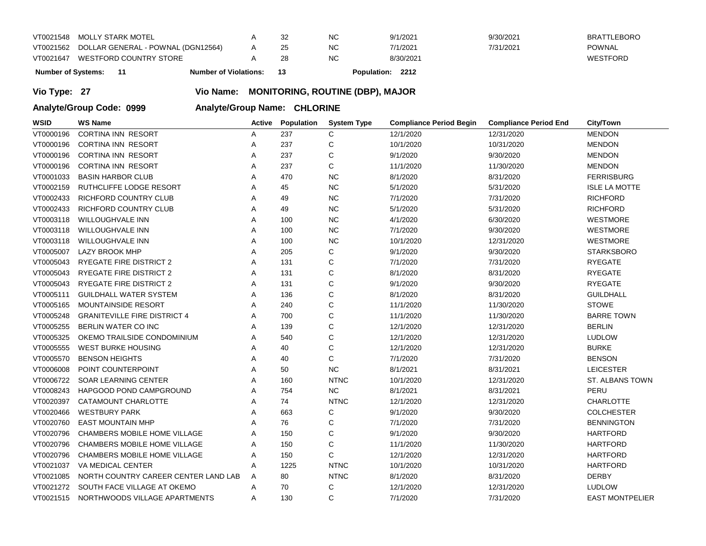| VT0021548                 | MOLLY STARK MOTEL                            |                              |     | ΝC | 9/1/2021                   | 9/30/2021 | <b>BRATTLEBORO</b> |
|---------------------------|----------------------------------------------|------------------------------|-----|----|----------------------------|-----------|--------------------|
|                           | VT0021562 DOLLAR GENERAL - POWNAL (DGN12564) |                              |     | ΝC | 7/1/2021                   | 7/31/2021 | <b>POWNAL</b>      |
| VT0021647                 | WESTFORD COUNTRY STORE                       |                              |     | ΝC | 8/30/2021                  |           | WESTFORD           |
| <b>Number of Systems:</b> |                                              | <b>Number of Violations:</b> | -13 |    | 2212<br><b>Population:</b> |           |                    |

**Vio Type: 27 Vio Name: MONITORING, ROUTINE (DBP), MAJOR**

**Analyte/Group Code: 0999 Analyte/Group Name: CHLORINE** 

| <b>WSID</b> | <b>WS Name</b>                       | Active | Population | <b>System Type</b> | <b>Compliance Period Begin</b> | <b>Compliance Period End</b> | City/Town              |
|-------------|--------------------------------------|--------|------------|--------------------|--------------------------------|------------------------------|------------------------|
| VT0000196   | <b>CORTINA INN RESORT</b>            | Α      | 237        | C                  | 12/1/2020                      | 12/31/2020                   | <b>MENDON</b>          |
| VT0000196   | <b>CORTINA INN RESORT</b>            | Α      | 237        | С                  | 10/1/2020                      | 10/31/2020                   | <b>MENDON</b>          |
| VT0000196   | <b>CORTINA INN RESORT</b>            | Α      | 237        | C                  | 9/1/2020                       | 9/30/2020                    | <b>MENDON</b>          |
| VT0000196   | <b>CORTINA INN RESORT</b>            | Α      | 237        | $\mathsf C$        | 11/1/2020                      | 11/30/2020                   | <b>MENDON</b>          |
| VT0001033   | <b>BASIN HARBOR CLUB</b>             | Α      | 470        | <b>NC</b>          | 8/1/2020                       | 8/31/2020                    | <b>FERRISBURG</b>      |
| VT0002159   | RUTHCLIFFE LODGE RESORT              | Α      | 45         | NC                 | 5/1/2020                       | 5/31/2020                    | <b>ISLE LA MOTTE</b>   |
| VT0002433   | RICHFORD COUNTRY CLUB                | Α      | 49         | NC                 | 7/1/2020                       | 7/31/2020                    | <b>RICHFORD</b>        |
| VT0002433   | RICHFORD COUNTRY CLUB                | Α      | 49         | NC                 | 5/1/2020                       | 5/31/2020                    | <b>RICHFORD</b>        |
| VT0003118   | <b>WILLOUGHVALE INN</b>              | A      | 100        | NC                 | 4/1/2020                       | 6/30/2020                    | <b>WESTMORE</b>        |
| VT0003118   | WILLOUGHVALE INN                     | Α      | 100        | <b>NC</b>          | 7/1/2020                       | 9/30/2020                    | WESTMORE               |
| VT0003118   | WILLOUGHVALE INN                     | A      | 100        | <b>NC</b>          | 10/1/2020                      | 12/31/2020                   | <b>WESTMORE</b>        |
| VT0005007   | <b>LAZY BROOK MHP</b>                | Α      | 205        | С                  | 9/1/2020                       | 9/30/2020                    | <b>STARKSBORO</b>      |
| VT0005043   | <b>RYEGATE FIRE DISTRICT 2</b>       | Α      | 131        | $\mathsf C$        | 7/1/2020                       | 7/31/2020                    | <b>RYEGATE</b>         |
| VT0005043   | <b>RYEGATE FIRE DISTRICT 2</b>       | Α      | 131        | С                  | 8/1/2020                       | 8/31/2020                    | <b>RYEGATE</b>         |
| VT0005043   | <b>RYEGATE FIRE DISTRICT 2</b>       | A      | 131        | $\mathsf C$        | 9/1/2020                       | 9/30/2020                    | <b>RYEGATE</b>         |
| VT0005111   | <b>GUILDHALL WATER SYSTEM</b>        | Α      | 136        | $\mathsf C$        | 8/1/2020                       | 8/31/2020                    | <b>GUILDHALL</b>       |
| VT0005165   | <b>MOUNTAINSIDE RESORT</b>           | Α      | 240        | $\mathsf{C}$       | 11/1/2020                      | 11/30/2020                   | <b>STOWE</b>           |
| VT0005248   | <b>GRANITEVILLE FIRE DISTRICT 4</b>  | Α      | 700        | C                  | 11/1/2020                      | 11/30/2020                   | <b>BARRE TOWN</b>      |
| VT0005255   | BERLIN WATER CO INC                  | Α      | 139        | $\mathsf C$        | 12/1/2020                      | 12/31/2020                   | <b>BERLIN</b>          |
| VT0005325   | OKEMO TRAILSIDE CONDOMINIUM          | Α      | 540        | $\mathsf C$        | 12/1/2020                      | 12/31/2020                   | <b>LUDLOW</b>          |
| VT0005555   | WEST BURKE HOUSING                   | Α      | 40         | $\mathsf C$        | 12/1/2020                      | 12/31/2020                   | <b>BURKE</b>           |
| VT0005570   | <b>BENSON HEIGHTS</b>                | Α      | 40         | C                  | 7/1/2020                       | 7/31/2020                    | <b>BENSON</b>          |
| VT0006008   | POINT COUNTERPOINT                   | Α      | 50         | <b>NC</b>          | 8/1/2021                       | 8/31/2021                    | <b>LEICESTER</b>       |
| VT0006722   | <b>SOAR LEARNING CENTER</b>          | Α      | 160        | <b>NTNC</b>        | 10/1/2020                      | 12/31/2020                   | ST. ALBANS TOWN        |
| VT0008243   | HAPGOOD POND CAMPGROUND              | Α      | 754        | NC                 | 8/1/2021                       | 8/31/2021                    | PERU                   |
| VT0020397   | CATAMOUNT CHARLOTTE                  | Α      | 74         | <b>NTNC</b>        | 12/1/2020                      | 12/31/2020                   | <b>CHARLOTTE</b>       |
| VT0020466   | <b>WESTBURY PARK</b>                 | Α      | 663        | С                  | 9/1/2020                       | 9/30/2020                    | <b>COLCHESTER</b>      |
| VT0020760   | <b>EAST MOUNTAIN MHP</b>             | Α      | 76         | C                  | 7/1/2020                       | 7/31/2020                    | <b>BENNINGTON</b>      |
| VT0020796   | CHAMBERS MOBILE HOME VILLAGE         | A      | 150        | C                  | 9/1/2020                       | 9/30/2020                    | <b>HARTFORD</b>        |
| VT0020796   | <b>CHAMBERS MOBILE HOME VILLAGE</b>  | Α      | 150        | $\mathsf C$        | 11/1/2020                      | 11/30/2020                   | <b>HARTFORD</b>        |
| VT0020796   | CHAMBERS MOBILE HOME VILLAGE         | Α      | 150        | C                  | 12/1/2020                      | 12/31/2020                   | <b>HARTFORD</b>        |
| VT0021037   | VA MEDICAL CENTER                    | Α      | 1225       | <b>NTNC</b>        | 10/1/2020                      | 10/31/2020                   | <b>HARTFORD</b>        |
| VT0021085   | NORTH COUNTRY CAREER CENTER LAND LAB | Α      | 80         | <b>NTNC</b>        | 8/1/2020                       | 8/31/2020                    | <b>DERBY</b>           |
| VT0021272   | SOUTH FACE VILLAGE AT OKEMO          | A      | 70         | С                  | 12/1/2020                      | 12/31/2020                   | <b>LUDLOW</b>          |
| VT0021515   | NORTHWOODS VILLAGE APARTMENTS        | Α      | 130        | C                  | 7/1/2020                       | 7/31/2020                    | <b>EAST MONTPELIER</b> |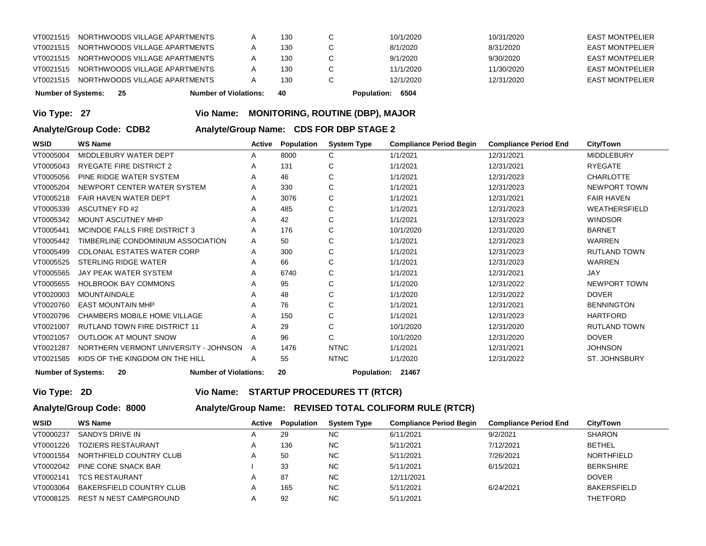| <b>Number of Systems:</b> | - 25 |                               | <b>Number of Violations:</b> | 40  | 6504<br><b>Population:</b> |            |                        |
|---------------------------|------|-------------------------------|------------------------------|-----|----------------------------|------------|------------------------|
| VT0021515                 |      | NORTHWOODS VILLAGE APARTMENTS |                              | 130 | 12/1/2020                  | 12/31/2020 | <b>EAST MONTPELIER</b> |
| VT0021515                 |      | NORTHWOODS VILLAGE APARTMENTS |                              | 130 | 11/1/2020                  | 11/30/2020 | <b>EAST MONTPELIER</b> |
| VT0021515                 |      | NORTHWOODS VILLAGE APARTMENTS |                              | 130 | 9/1/2020                   | 9/30/2020  | <b>EAST MONTPELIER</b> |
| VT0021515                 |      | NORTHWOODS VILLAGE APARTMENTS |                              | 130 | 8/1/2020                   | 8/31/2020  | <b>EAST MONTPELIER</b> |
| VT0021515                 |      | NORTHWOODS VILLAGE APARTMENTS |                              | 130 | 10/1/2020                  | 10/31/2020 | <b>EAST MONTPELIER</b> |
|                           |      |                               |                              |     |                            |            |                        |

### **Vio Type: 27 Vio Name: MONITORING, ROUTINE (DBP), MAJOR**

**Analyte/Group Code: CDB2 Analyte/Group Name: CDS FOR DBP STAGE 2** 

| WSID      | WS Name                                                                                              | Active | Population | <b>System Type</b> | <b>Compliance Period Begin</b> | <b>Compliance Period End</b> | City/Town           |  |
|-----------|------------------------------------------------------------------------------------------------------|--------|------------|--------------------|--------------------------------|------------------------------|---------------------|--|
| VT0005004 | MIDDLEBURY WATER DEPT                                                                                | A      | 8000       | C                  | 1/1/2021                       | 12/31/2021                   | <b>MIDDLEBURY</b>   |  |
| VT0005043 | <b>RYEGATE FIRE DISTRICT 2</b>                                                                       | A      | 131        | C                  | 1/1/2021                       | 12/31/2021                   | <b>RYEGATE</b>      |  |
| VT0005056 | PINE RIDGE WATER SYSTEM                                                                              | A      | 46         | C                  | 1/1/2021                       | 12/31/2023                   | <b>CHARLOTTE</b>    |  |
| VT0005204 | NEWPORT CENTER WATER SYSTEM                                                                          | A      | 330        | C                  | 1/1/2021                       | 12/31/2023                   | NEWPORT TOWN        |  |
| VT0005218 | <b>FAIR HAVEN WATER DEPT</b>                                                                         | A      | 3076       | C                  | 1/1/2021                       | 12/31/2021                   | <b>FAIR HAVEN</b>   |  |
| VT0005339 | ASCUTNEY FD #2                                                                                       | A      | 485        | C                  | 1/1/2021                       | 12/31/2023                   | WEATHERSFIELD       |  |
| VT0005342 | MOUNT ASCUTNEY MHP                                                                                   | A      | 42         | C                  | 1/1/2021                       | 12/31/2023                   | <b>WINDSOR</b>      |  |
| VT0005441 | MCINDOE FALLS FIRE DISTRICT 3                                                                        | A      | 176        | C                  | 10/1/2020                      | 12/31/2020                   | <b>BARNET</b>       |  |
| VT0005442 | TIMBERLINE CONDOMINIUM ASSOCIATION                                                                   | A      | 50         | C                  | 1/1/2021                       | 12/31/2023                   | WARREN              |  |
| VT0005499 | <b>COLONIAL ESTATES WATER CORP</b>                                                                   | A      | 300        | C                  | 1/1/2021                       | 12/31/2023                   | <b>RUTLAND TOWN</b> |  |
| VT0005525 | STERLING RIDGE WATER                                                                                 | A      | 66         | C                  | 1/1/2021                       | 12/31/2023                   | <b>WARREN</b>       |  |
| VT0005565 | <b>JAY PEAK WATER SYSTEM</b>                                                                         | A      | 6740       | C                  | 1/1/2021                       | 12/31/2021                   | <b>JAY</b>          |  |
| VT0005655 | <b>HOLBROOK BAY COMMONS</b>                                                                          | A      | 95         | C                  | 1/1/2020                       | 12/31/2022                   | NEWPORT TOWN        |  |
| VT0020003 | <b>MOUNTAINDALE</b>                                                                                  | A      | 48         | C                  | 1/1/2020                       | 12/31/2022                   | <b>DOVER</b>        |  |
| VT0020760 | <b>EAST MOUNTAIN MHP</b>                                                                             | A      | 76         | C                  | 1/1/2021                       | 12/31/2021                   | <b>BENNINGTON</b>   |  |
| VT0020796 | CHAMBERS MOBILE HOME VILLAGE                                                                         | A      | 150        | C                  | 1/1/2021                       | 12/31/2023                   | <b>HARTFORD</b>     |  |
| VT0021007 | <b>RUTLAND TOWN FIRE DISTRICT 11</b>                                                                 | A      | 29         | C                  | 10/1/2020                      | 12/31/2020                   | <b>RUTLAND TOWN</b> |  |
| VT0021057 | <b>OUTLOOK AT MOUNT SNOW</b>                                                                         | A      | 96         | $\mathsf{C}$       | 10/1/2020                      | 12/31/2020                   | <b>DOVER</b>        |  |
| VT0021287 | NORTHERN VERMONT UNIVERSITY - JOHNSON                                                                | A      | 1476       | <b>NTNC</b>        | 1/1/2021                       | 12/31/2021                   | <b>JOHNSON</b>      |  |
| VT0021585 | KIDS OF THE KINGDOM ON THE HILL                                                                      | A      | 55         | <b>NTNC</b>        | 1/1/2020                       | 12/31/2022                   | ST. JOHNSBURY       |  |
|           | <b>Number of Systems:</b><br>20<br>20<br><b>Number of Violations:</b><br><b>Population:</b><br>21467 |        |            |                    |                                |                              |                     |  |

**Vio Type: 2D Vio Name: STARTUP PROCEDURES TT (RTCR)**

# **Analyte/Group Code: 8000 Analyte/Group Name: REVISED TOTAL COLIFORM RULE (RTCR)**

| <b>WSID</b> | WS Name                   | Active | Population | <b>System Type</b> | <b>Compliance Period Begin</b> | <b>Compliance Period End</b> | City/Town          |
|-------------|---------------------------|--------|------------|--------------------|--------------------------------|------------------------------|--------------------|
| VT0000237   | SANDYS DRIVE IN           |        | 29         | NC.                | 6/11/2021                      | 9/2/2021                     | <b>SHARON</b>      |
| VT0001226   | <b>TOZIERS RESTAURANT</b> |        | 136        | NC.                | 5/11/2021                      | 7/12/2021                    | <b>BETHEL</b>      |
| VT0001554   | NORTHFIELD COUNTRY CLUB   |        | 50         | NC.                | 5/11/2021                      | 7/26/2021                    | NORTHFIELD         |
| VT0002042   | PINE CONE SNACK BAR       |        | 33         | <b>NC</b>          | 5/11/2021                      | 6/15/2021                    | <b>BERKSHIRE</b>   |
| VT0002141   | <b>TCS RESTAURANT</b>     |        | 87         | <b>NC</b>          | 12/11/2021                     |                              | <b>DOVER</b>       |
| VT0003064   | BAKERSFIELD COUNTRY CLUB  |        | 165        | <b>NC</b>          | 5/11/2021                      | 6/24/2021                    | <b>BAKERSFIELD</b> |
| VT0008125   | REST N NEST CAMPGROUND    |        | 92         | <b>NC</b>          | 5/11/2021                      |                              | <b>THETFORD</b>    |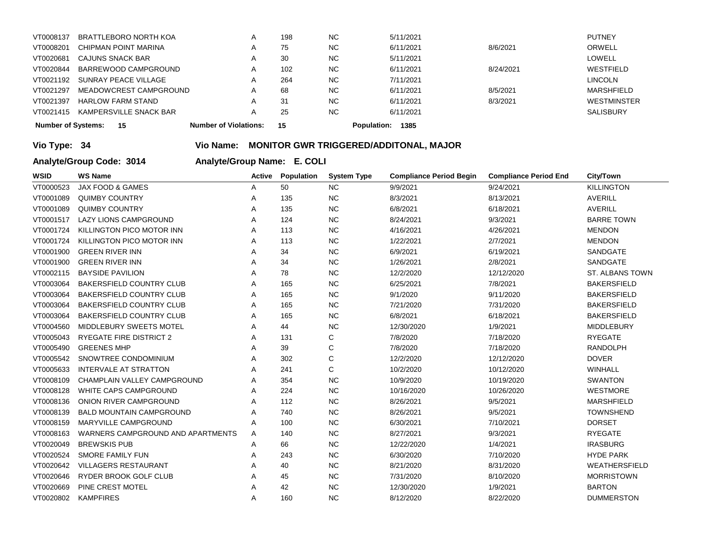| <b>Number of Systems:</b> | -15                      | <b>Number of Violations:</b> |   | 15  |           | 1385<br><b>Population:</b> |           |                    |
|---------------------------|--------------------------|------------------------------|---|-----|-----------|----------------------------|-----------|--------------------|
| VT0021415                 | KAMPERSVILLE SNACK BAR   |                              |   | 25  | <b>NC</b> | 6/11/2021                  |           | <b>SALISBURY</b>   |
| VT0021397                 | <b>HARLOW FARM STAND</b> |                              |   | 31  | <b>NC</b> | 6/11/2021                  | 8/3/2021  | <b>WESTMINSTER</b> |
| VT0021297                 | MEADOWCREST CAMPGROUND   |                              | A | 68  | <b>NC</b> | 6/11/2021                  | 8/5/2021  | <b>MARSHFIELD</b>  |
| VT0021192                 | SUNRAY PEACE VILLAGE     |                              | A | 264 | <b>NC</b> | 7/11/2021                  |           | LINCOLN            |
| VT0020844                 | BARREWOOD CAMPGROUND     |                              | A | 102 | <b>NC</b> | 6/11/2021                  | 8/24/2021 | WESTFIELD          |
| VT0020681                 | CAJUNS SNACK BAR         |                              |   | -30 | <b>NC</b> | 5/11/2021                  |           | LOWELL             |
| VT0008201                 | CHIPMAN POINT MARINA     |                              |   | 75  | <b>NC</b> | 6/11/2021                  | 8/6/2021  | ORWELL             |
| VT0008137                 | BRATTLEBORO NORTH KOA    |                              | A | 198 | <b>NC</b> | 5/11/2021                  |           | <b>PUTNEY</b>      |
|                           |                          |                              |   |     |           |                            |           |                    |

# **Vio Type: 34 Vio Name: MONITOR GWR TRIGGERED/ADDITONAL, MAJOR**

**Analyte/Group Code: 3014 Analyte/Group Name: E. COLI**

| <b>WSID</b> | <b>WS Name</b>                    | Active | <b>Population</b> | <b>System Type</b> | <b>Compliance Period Begin</b> | <b>Compliance Period End</b> | <b>City/Town</b>       |
|-------------|-----------------------------------|--------|-------------------|--------------------|--------------------------------|------------------------------|------------------------|
| VT0000523   | <b>JAX FOOD &amp; GAMES</b>       | Α      | 50                | <b>NC</b>          | 9/9/2021                       | 9/24/2021                    | <b>KILLINGTON</b>      |
| VT0001089   | <b>QUIMBY COUNTRY</b>             | Α      | 135               | NC                 | 8/3/2021                       | 8/13/2021                    | <b>AVERILL</b>         |
| VT0001089   | <b>QUIMBY COUNTRY</b>             | A      | 135               | <b>NC</b>          | 6/8/2021                       | 6/18/2021                    | <b>AVERILL</b>         |
| VT0001517   | <b>LAZY LIONS CAMPGROUND</b>      | A      | 124               | <b>NC</b>          | 8/24/2021                      | 9/3/2021                     | <b>BARRE TOWN</b>      |
| VT0001724   | KILLINGTON PICO MOTOR INN         | Α      | 113               | <b>NC</b>          | 4/16/2021                      | 4/26/2021                    | <b>MENDON</b>          |
| VT0001724   | KILLINGTON PICO MOTOR INN         | A      | 113               | <b>NC</b>          | 1/22/2021                      | 2/7/2021                     | <b>MENDON</b>          |
| VT0001900   | <b>GREEN RIVER INN</b>            | Α      | 34                | NC                 | 6/9/2021                       | 6/19/2021                    | SANDGATE               |
| VT0001900   | <b>GREEN RIVER INN</b>            | A      | 34                | <b>NC</b>          | 1/26/2021                      | 2/8/2021                     | <b>SANDGATE</b>        |
| VT0002115   | <b>BAYSIDE PAVILION</b>           | A      | 78                | <b>NC</b>          | 12/2/2020                      | 12/12/2020                   | <b>ST. ALBANS TOWN</b> |
| VT0003064   | BAKERSFIELD COUNTRY CLUB          | Α      | 165               | <b>NC</b>          | 6/25/2021                      | 7/8/2021                     | <b>BAKERSFIELD</b>     |
| VT0003064   | <b>BAKERSFIELD COUNTRY CLUB</b>   | A      | 165               | <b>NC</b>          | 9/1/2020                       | 9/11/2020                    | <b>BAKERSFIELD</b>     |
| VT0003064   | <b>BAKERSFIELD COUNTRY CLUB</b>   | Α      | 165               | <b>NC</b>          | 7/21/2020                      | 7/31/2020                    | <b>BAKERSFIELD</b>     |
| VT0003064   | <b>BAKERSFIELD COUNTRY CLUB</b>   | A      | 165               | <b>NC</b>          | 6/8/2021                       | 6/18/2021                    | <b>BAKERSFIELD</b>     |
| VT0004560   | <b>MIDDLEBURY SWEETS MOTEL</b>    | A      | 44                | <b>NC</b>          | 12/30/2020                     | 1/9/2021                     | <b>MIDDLEBURY</b>      |
| VT0005043   | <b>RYEGATE FIRE DISTRICT 2</b>    | Α      | 131               | С                  | 7/8/2020                       | 7/18/2020                    | <b>RYEGATE</b>         |
| VT0005490   | <b>GREENES MHP</b>                | A      | 39                | $\mathsf C$        | 7/8/2020                       | 7/18/2020                    | <b>RANDOLPH</b>        |
| VT0005542   | SNOWTREE CONDOMINIUM              | Α      | 302               | C                  | 12/2/2020                      | 12/12/2020                   | <b>DOVER</b>           |
| VT0005633   | <b>INTERVALE AT STRATTON</b>      | A      | 241               | C                  | 10/2/2020                      | 10/12/2020                   | <b>WINHALL</b>         |
| VT0008109   | CHAMPLAIN VALLEY CAMPGROUND       | A      | 354               | <b>NC</b>          | 10/9/2020                      | 10/19/2020                   | <b>SWANTON</b>         |
| VT0008128   | WHITE CAPS CAMPGROUND             | Α      | 224               | <b>NC</b>          | 10/16/2020                     | 10/26/2020                   | <b>WESTMORE</b>        |
| VT0008136   | ONION RIVER CAMPGROUND            | A      | 112               | <b>NC</b>          | 8/26/2021                      | 9/5/2021                     | <b>MARSHFIELD</b>      |
| VT0008139   | <b>BALD MOUNTAIN CAMPGROUND</b>   | A      | 740               | <b>NC</b>          | 8/26/2021                      | 9/5/2021                     | <b>TOWNSHEND</b>       |
| VT0008159   | <b>MARYVILLE CAMPGROUND</b>       | Α      | 100               | <b>NC</b>          | 6/30/2021                      | 7/10/2021                    | <b>DORSET</b>          |
| VT0008163   | WARNERS CAMPGROUND AND APARTMENTS | A      | 140               | <b>NC</b>          | 8/27/2021                      | 9/3/2021                     | <b>RYEGATE</b>         |
| VT0020049   | <b>BREWSKIS PUB</b>               | Α      | 66                | <b>NC</b>          | 12/22/2020                     | 1/4/2021                     | <b>IRASBURG</b>        |
| VT0020524   | <b>SMORE FAMILY FUN</b>           | A      | 243               | <b>NC</b>          | 6/30/2020                      | 7/10/2020                    | <b>HYDE PARK</b>       |
| VT0020642   | <b>VILLAGERS RESTAURANT</b>       | A      | 40                | <b>NC</b>          | 8/21/2020                      | 8/31/2020                    | WEATHERSFIELD          |
| VT0020646   | RYDER BROOK GOLF CLUB             | Α      | 45                | <b>NC</b>          | 7/31/2020                      | 8/10/2020                    | <b>MORRISTOWN</b>      |
| VT0020669   | PINE CREST MOTEL                  | A      | 42                | <b>NC</b>          | 12/30/2020                     | 1/9/2021                     | <b>BARTON</b>          |
| VT0020802   | <b>KAMPFIRES</b>                  | A      | 160               | <b>NC</b>          | 8/12/2020                      | 8/22/2020                    | <b>DUMMERSTON</b>      |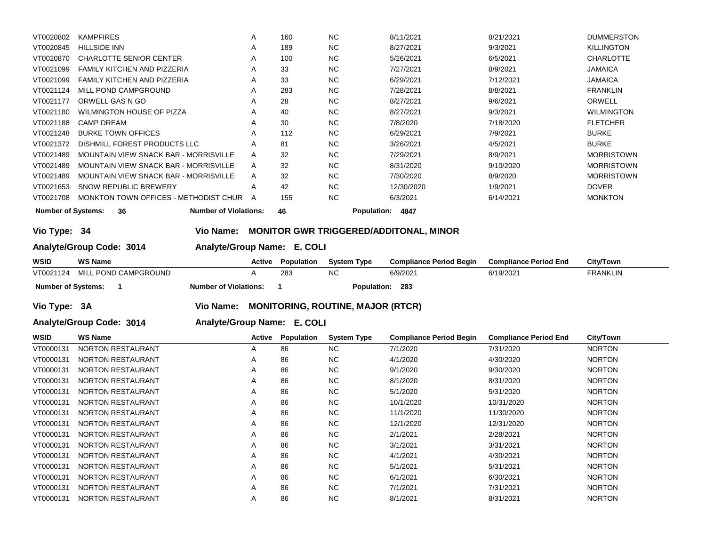|           | <b>Number of Systems:</b><br><b>Number of Violations:</b><br>46<br><b>Population:</b><br>36<br>4847 |   |     |           |            |           |                   |  |  |  |
|-----------|-----------------------------------------------------------------------------------------------------|---|-----|-----------|------------|-----------|-------------------|--|--|--|
| VT0021708 | MONKTON TOWN OFFICES - METHODIST CHUR                                                               | A | 155 | <b>NC</b> | 6/3/2021   | 6/14/2021 | <b>MONKTON</b>    |  |  |  |
| VT0021653 | SNOW REPUBLIC BREWERY                                                                               | A | 42  | <b>NC</b> | 12/30/2020 | 1/9/2021  | <b>DOVER</b>      |  |  |  |
| VT0021489 | <b>MOUNTAIN VIEW SNACK BAR - MORRISVILLE</b>                                                        | A | 32  | <b>NC</b> | 7/30/2020  | 8/9/2020  | <b>MORRISTOWN</b> |  |  |  |
| VT0021489 | MOUNTAIN VIEW SNACK BAR - MORRISVILLE                                                               | A | 32  | <b>NC</b> | 8/31/2020  | 9/10/2020 | <b>MORRISTOWN</b> |  |  |  |
| VT0021489 | <b>MOUNTAIN VIEW SNACK BAR - MORRISVILLE</b>                                                        | A | 32  | <b>NC</b> | 7/29/2021  | 8/9/2021  | <b>MORRISTOWN</b> |  |  |  |
| VT0021372 | DISHMILL FOREST PRODUCTS LLC                                                                        | A | 81  | <b>NC</b> | 3/26/2021  | 4/5/2021  | <b>BURKE</b>      |  |  |  |
| VT0021248 | <b>BURKE TOWN OFFICES</b>                                                                           | A | 112 | NC.       | 6/29/2021  | 7/9/2021  | <b>BURKE</b>      |  |  |  |
| VT0021188 | CAMP DREAM                                                                                          | A | 30  | <b>NC</b> | 7/8/2020   | 7/18/2020 | <b>FLETCHER</b>   |  |  |  |
| VT0021180 | WILMINGTON HOUSE OF PIZZA                                                                           | A | 40  | <b>NC</b> | 8/27/2021  | 9/3/2021  | <b>WILMINGTON</b> |  |  |  |
| VT0021177 | ORWELL GAS N GO                                                                                     | A | 28  | <b>NC</b> | 8/27/2021  | 9/6/2021  | ORWELL            |  |  |  |
| VT0021124 | MILL POND CAMPGROUND                                                                                | A | 283 | <b>NC</b> | 7/28/2021  | 8/8/2021  | <b>FRANKLIN</b>   |  |  |  |
| VT0021099 | <b>FAMILY KITCHEN AND PIZZERIA</b>                                                                  | A | 33  | <b>NC</b> | 6/29/2021  | 7/12/2021 | <b>JAMAICA</b>    |  |  |  |
| VT0021099 | <b>FAMILY KITCHEN AND PIZZERIA</b>                                                                  | A | 33  | NC.       | 7/27/2021  | 8/9/2021  | <b>JAMAICA</b>    |  |  |  |
| VT0020870 | <b>CHARLOTTE SENIOR CENTER</b>                                                                      | A | 100 | <b>NC</b> | 5/26/2021  | 6/5/2021  | <b>CHARLOTTE</b>  |  |  |  |
| VT0020845 | <b>HILLSIDE INN</b>                                                                                 | A | 189 | <b>NC</b> | 8/27/2021  | 9/3/2021  | <b>KILLINGTON</b> |  |  |  |
| VT0020802 | <b>KAMPFIRES</b>                                                                                    | A | 160 | <b>NC</b> | 8/11/2021  | 8/21/2021 | <b>DUMMERSTON</b> |  |  |  |
|           |                                                                                                     |   |     |           |            |           |                   |  |  |  |

# **Vio Type: 34 Vio Name: MONITOR GWR TRIGGERED/ADDITONAL, MINOR**

**Analyte/Group Code: 3014 Analyte/Group Name: E. COLI**

| <b>WSID</b>               | <b>WS Name</b> |                      | Active                       | Population | <b>System Type</b> | <b>Compliance Period Begin</b> | <b>Compliance Period End</b> | City/Town       |
|---------------------------|----------------|----------------------|------------------------------|------------|--------------------|--------------------------------|------------------------------|-----------------|
| VT0021124                 |                | MILL POND CAMPGROUND |                              | 283        | NC                 | 6/9/2021                       | 6/19/2021                    | <b>FRANKLIN</b> |
| <b>Number of Systems:</b> |                |                      | <b>Number of Violations:</b> |            | <b>Population:</b> | 283                            |                              |                 |

**Vio Type: 3A Vio Name: MONITORING, ROUTINE, MAJOR (RTCR)**

**Analyte/Group Code: 3014 Analyte/Group Name: E. COLI**

| WSID      | <b>WS Name</b>           | Active | Population | <b>System Type</b> | <b>Compliance Period Begin</b> | <b>Compliance Period End</b> | City/Town     |
|-----------|--------------------------|--------|------------|--------------------|--------------------------------|------------------------------|---------------|
| VT0000131 | <b>NORTON RESTAURANT</b> | A      | 86         | NC.                | 7/1/2020                       | 7/31/2020                    | <b>NORTON</b> |
| VT0000131 | <b>NORTON RESTAURANT</b> | A      | 86         | NC.                | 4/1/2020                       | 4/30/2020                    | <b>NORTON</b> |
| VT0000131 | <b>NORTON RESTAURANT</b> | A      | 86         | <b>NC</b>          | 9/1/2020                       | 9/30/2020                    | <b>NORTON</b> |
| VT0000131 | <b>NORTON RESTAURANT</b> | A      | 86         | NC.                | 8/1/2020                       | 8/31/2020                    | <b>NORTON</b> |
| VT0000131 | <b>NORTON RESTAURANT</b> | A      | 86         | NC.                | 5/1/2020                       | 5/31/2020                    | <b>NORTON</b> |
| VT0000131 | <b>NORTON RESTAURANT</b> | A      | 86         | <b>NC</b>          | 10/1/2020                      | 10/31/2020                   | <b>NORTON</b> |
| VT0000131 | <b>NORTON RESTAURANT</b> | A      | 86         | <b>NC</b>          | 11/1/2020                      | 11/30/2020                   | <b>NORTON</b> |
| VT0000131 | <b>NORTON RESTAURANT</b> | A      | 86         | NC.                | 12/1/2020                      | 12/31/2020                   | <b>NORTON</b> |
| VT0000131 | <b>NORTON RESTAURANT</b> | A      | 86         | NC.                | 2/1/2021                       | 2/28/2021                    | <b>NORTON</b> |
| VT0000131 | <b>NORTON RESTAURANT</b> | A      | 86         | NC.                | 3/1/2021                       | 3/31/2021                    | <b>NORTON</b> |
| VT0000131 | NORTON RESTAURANT        | A      | 86         | NC.                | 4/1/2021                       | 4/30/2021                    | <b>NORTON</b> |
| VT0000131 | <b>NORTON RESTAURANT</b> | A      | 86         | NC.                | 5/1/2021                       | 5/31/2021                    | <b>NORTON</b> |
| VT0000131 | <b>NORTON RESTAURANT</b> | A      | 86         | NC.                | 6/1/2021                       | 6/30/2021                    | <b>NORTON</b> |
| VT0000131 | <b>NORTON RESTAURANT</b> | A      | 86         | NC.                | 7/1/2021                       | 7/31/2021                    | <b>NORTON</b> |
| VT0000131 | <b>NORTON RESTAURANT</b> | A      | 86         | <b>NC</b>          | 8/1/2021                       | 8/31/2021                    | <b>NORTON</b> |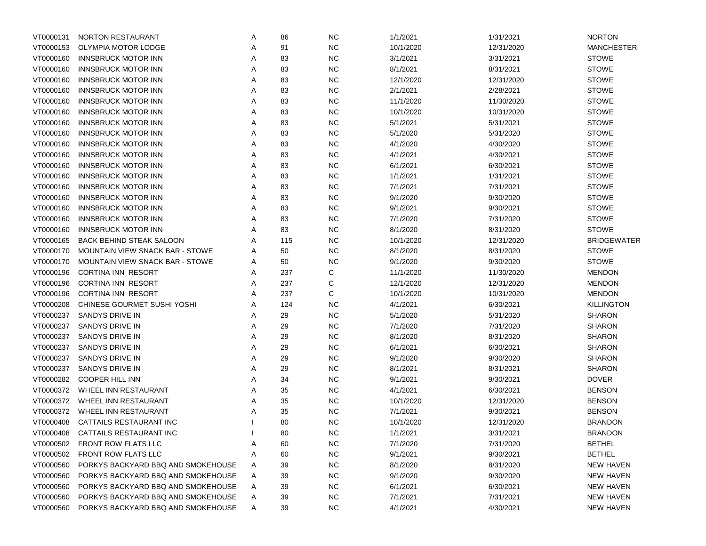| VT0000131 | NORTON RESTAURANT                  | Α | 86  | <b>NC</b> | 1/1/2021  | 1/31/2021  | <b>NORTON</b>      |
|-----------|------------------------------------|---|-----|-----------|-----------|------------|--------------------|
| VT0000153 | OLYMPIA MOTOR LODGE                | Α | 91  | <b>NC</b> | 10/1/2020 | 12/31/2020 | <b>MANCHESTER</b>  |
| VT0000160 | <b>INNSBRUCK MOTOR INN</b>         | Α | 83  | <b>NC</b> | 3/1/2021  | 3/31/2021  | <b>STOWE</b>       |
| VT0000160 | <b>INNSBRUCK MOTOR INN</b>         | Α | 83  | <b>NC</b> | 8/1/2021  | 8/31/2021  | <b>STOWE</b>       |
| VT0000160 | <b>INNSBRUCK MOTOR INN</b>         | Α | 83  | <b>NC</b> | 12/1/2020 | 12/31/2020 | <b>STOWE</b>       |
| VT0000160 | <b>INNSBRUCK MOTOR INN</b>         | Α | 83  | <b>NC</b> | 2/1/2021  | 2/28/2021  | <b>STOWE</b>       |
| VT0000160 | <b>INNSBRUCK MOTOR INN</b>         | Α | 83  | <b>NC</b> | 11/1/2020 | 11/30/2020 | <b>STOWE</b>       |
| VT0000160 | <b>INNSBRUCK MOTOR INN</b>         | Α | 83  | <b>NC</b> | 10/1/2020 | 10/31/2020 | <b>STOWE</b>       |
| VT0000160 | <b>INNSBRUCK MOTOR INN</b>         | Α | 83  | <b>NC</b> | 5/1/2021  | 5/31/2021  | <b>STOWE</b>       |
| VT0000160 | <b>INNSBRUCK MOTOR INN</b>         | Α | 83  | <b>NC</b> | 5/1/2020  | 5/31/2020  | <b>STOWE</b>       |
| VT0000160 | <b>INNSBRUCK MOTOR INN</b>         | Α | 83  | <b>NC</b> | 4/1/2020  | 4/30/2020  | <b>STOWE</b>       |
| VT0000160 | <b>INNSBRUCK MOTOR INN</b>         | Α | 83  | <b>NC</b> | 4/1/2021  | 4/30/2021  | <b>STOWE</b>       |
| VT0000160 | <b>INNSBRUCK MOTOR INN</b>         | Α | 83  | <b>NC</b> | 6/1/2021  | 6/30/2021  | <b>STOWE</b>       |
| VT0000160 | <b>INNSBRUCK MOTOR INN</b>         | Α | 83  | <b>NC</b> | 1/1/2021  | 1/31/2021  | <b>STOWE</b>       |
| VT0000160 | <b>INNSBRUCK MOTOR INN</b>         | Α | 83  | <b>NC</b> | 7/1/2021  | 7/31/2021  | <b>STOWE</b>       |
| VT0000160 | <b>INNSBRUCK MOTOR INN</b>         | Α | 83  | <b>NC</b> | 9/1/2020  | 9/30/2020  | <b>STOWE</b>       |
| VT0000160 | <b>INNSBRUCK MOTOR INN</b>         | Α | 83  | <b>NC</b> | 9/1/2021  | 9/30/2021  | <b>STOWE</b>       |
| VT0000160 | <b>INNSBRUCK MOTOR INN</b>         | Α | 83  | <b>NC</b> | 7/1/2020  | 7/31/2020  | <b>STOWE</b>       |
| VT0000160 | <b>INNSBRUCK MOTOR INN</b>         | Α | 83  | NC        | 8/1/2020  | 8/31/2020  | <b>STOWE</b>       |
| VT0000165 | <b>BACK BEHIND STEAK SALOON</b>    | Α | 115 | <b>NC</b> | 10/1/2020 | 12/31/2020 | <b>BRIDGEWATER</b> |
| VT0000170 | MOUNTAIN VIEW SNACK BAR - STOWE    | Α | 50  | <b>NC</b> | 8/1/2020  | 8/31/2020  | <b>STOWE</b>       |
| VT0000170 | MOUNTAIN VIEW SNACK BAR - STOWE    | Α | 50  | <b>NC</b> | 9/1/2020  | 9/30/2020  | <b>STOWE</b>       |
| VT0000196 | CORTINA INN RESORT                 | Α | 237 | С         | 11/1/2020 | 11/30/2020 | <b>MENDON</b>      |
| VT0000196 | <b>CORTINA INN RESORT</b>          | Α | 237 | С         | 12/1/2020 | 12/31/2020 | <b>MENDON</b>      |
| VT0000196 | <b>CORTINA INN RESORT</b>          | Α | 237 | С         | 10/1/2020 | 10/31/2020 | <b>MENDON</b>      |
| VT0000208 | CHINESE GOURMET SUSHI YOSHI        | Α | 124 | <b>NC</b> | 4/1/2021  | 6/30/2021  | <b>KILLINGTON</b>  |
| VT0000237 | SANDYS DRIVE IN                    | Α | 29  | <b>NC</b> | 5/1/2020  | 5/31/2020  | <b>SHARON</b>      |
| VT0000237 | SANDYS DRIVE IN                    | Α | 29  | <b>NC</b> | 7/1/2020  | 7/31/2020  | <b>SHARON</b>      |
| VT0000237 | SANDYS DRIVE IN                    | Α | 29  | <b>NC</b> | 8/1/2020  | 8/31/2020  | <b>SHARON</b>      |
| VT0000237 | SANDYS DRIVE IN                    | Α | 29  | <b>NC</b> | 6/1/2021  | 6/30/2021  | <b>SHARON</b>      |
| VT0000237 | SANDYS DRIVE IN                    | Α | 29  | <b>NC</b> | 9/1/2020  | 9/30/2020  | <b>SHARON</b>      |
| VT0000237 | SANDYS DRIVE IN                    | Α | 29  | <b>NC</b> | 8/1/2021  | 8/31/2021  | <b>SHARON</b>      |
| VT0000282 | <b>COOPER HILL INN</b>             | Α | 34  | <b>NC</b> | 9/1/2021  | 9/30/2021  | <b>DOVER</b>       |
| VT0000372 | WHEEL INN RESTAURANT               | Α | 35  | <b>NC</b> | 4/1/2021  | 6/30/2021  | <b>BENSON</b>      |
| VT0000372 | WHEEL INN RESTAURANT               | Α | 35  | <b>NC</b> | 10/1/2020 | 12/31/2020 | <b>BENSON</b>      |
| VT0000372 | WHEEL INN RESTAURANT               | Α | 35  | <b>NC</b> | 7/1/2021  | 9/30/2021  | <b>BENSON</b>      |
| VT0000408 | CATTAILS RESTAURANT INC            |   | 80  | <b>NC</b> | 10/1/2020 | 12/31/2020 | BRANDON            |
| VT0000408 | CATTAILS RESTAURANT INC            |   | 80  | <b>NC</b> | 1/1/2021  | 3/31/2021  | <b>BRANDON</b>     |
| VT0000502 | FRONT ROW FLATS LLC                | A | 60  | <b>NC</b> | 7/1/2020  | 7/31/2020  | <b>BETHEL</b>      |
| VT0000502 | FRONT ROW FLATS LLC                | A | 60  | <b>NC</b> | 9/1/2021  | 9/30/2021  | <b>BETHEL</b>      |
| VT0000560 | PORKYS BACKYARD BBQ AND SMOKEHOUSE | A | 39  | <b>NC</b> | 8/1/2020  | 8/31/2020  | <b>NEW HAVEN</b>   |
| VT0000560 | PORKYS BACKYARD BBQ AND SMOKEHOUSE | A | 39  | <b>NC</b> | 9/1/2020  | 9/30/2020  | <b>NEW HAVEN</b>   |
| VT0000560 | PORKYS BACKYARD BBQ AND SMOKEHOUSE | A | 39  | <b>NC</b> | 6/1/2021  | 6/30/2021  | <b>NEW HAVEN</b>   |
| VT0000560 | PORKYS BACKYARD BBQ AND SMOKEHOUSE | A | 39  | <b>NC</b> | 7/1/2021  | 7/31/2021  | <b>NEW HAVEN</b>   |
| VT0000560 | PORKYS BACKYARD BBQ AND SMOKEHOUSE | Α | 39  | <b>NC</b> | 4/1/2021  | 4/30/2021  | <b>NEW HAVEN</b>   |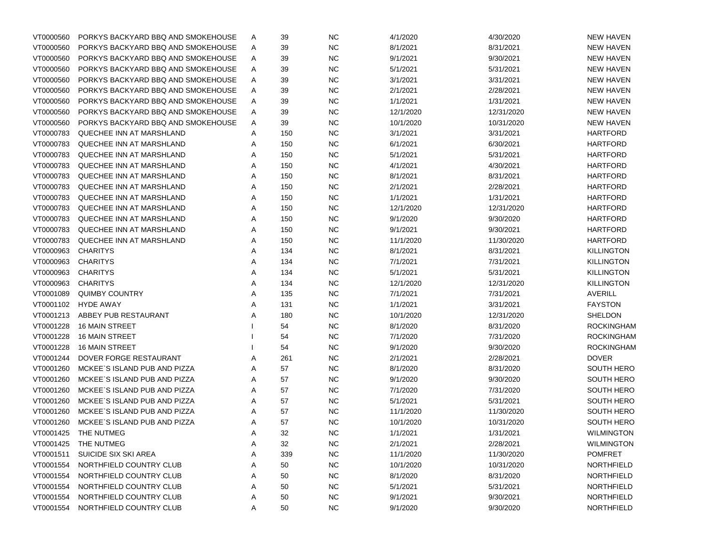| VT0000560 | PORKYS BACKYARD BBQ AND SMOKEHOUSE | A | 39  | <b>NC</b>  | 4/1/2020  | 4/30/2020  | <b>NEW HAVEN</b>  |
|-----------|------------------------------------|---|-----|------------|-----------|------------|-------------------|
| VT0000560 | PORKYS BACKYARD BBQ AND SMOKEHOUSE | Α | 39  | <b>NC</b>  | 8/1/2021  | 8/31/2021  | <b>NEW HAVEN</b>  |
| VT0000560 | PORKYS BACKYARD BBQ AND SMOKEHOUSE | Α | 39  | <b>NC</b>  | 9/1/2021  | 9/30/2021  | <b>NEW HAVEN</b>  |
| VT0000560 | PORKYS BACKYARD BBQ AND SMOKEHOUSE | Α | 39  | <b>NC</b>  | 5/1/2021  | 5/31/2021  | <b>NEW HAVEN</b>  |
| VT0000560 | PORKYS BACKYARD BBQ AND SMOKEHOUSE | Α | 39  | <b>NC</b>  | 3/1/2021  | 3/31/2021  | <b>NEW HAVEN</b>  |
| VT0000560 | PORKYS BACKYARD BBQ AND SMOKEHOUSE | Α | 39  | <b>NC</b>  | 2/1/2021  | 2/28/2021  | <b>NEW HAVEN</b>  |
| VT0000560 | PORKYS BACKYARD BBQ AND SMOKEHOUSE | Α | 39  | <b>NC</b>  | 1/1/2021  | 1/31/2021  | <b>NEW HAVEN</b>  |
| VT0000560 | PORKYS BACKYARD BBQ AND SMOKEHOUSE | Α | 39  | <b>NC</b>  | 12/1/2020 | 12/31/2020 | <b>NEW HAVEN</b>  |
| VT0000560 | PORKYS BACKYARD BBQ AND SMOKEHOUSE | Α | 39  | <b>NC</b>  | 10/1/2020 | 10/31/2020 | <b>NEW HAVEN</b>  |
| VT0000783 | QUECHEE INN AT MARSHLAND           | Α | 150 | <b>NC</b>  | 3/1/2021  | 3/31/2021  | <b>HARTFORD</b>   |
| VT0000783 | QUECHEE INN AT MARSHLAND           | Α | 150 | <b>NC</b>  | 6/1/2021  | 6/30/2021  | <b>HARTFORD</b>   |
| VT0000783 | QUECHEE INN AT MARSHLAND           | Α | 150 | <b>NC</b>  | 5/1/2021  | 5/31/2021  | <b>HARTFORD</b>   |
| VT0000783 | QUECHEE INN AT MARSHLAND           | Α | 150 | <b>NC</b>  | 4/1/2021  | 4/30/2021  | <b>HARTFORD</b>   |
| VT0000783 | QUECHEE INN AT MARSHLAND           | Α | 150 | <b>NC</b>  | 8/1/2021  | 8/31/2021  | <b>HARTFORD</b>   |
| VT0000783 | QUECHEE INN AT MARSHLAND           | Α | 150 | <b>NC</b>  | 2/1/2021  | 2/28/2021  | <b>HARTFORD</b>   |
| VT0000783 | QUECHEE INN AT MARSHLAND           | Α | 150 | <b>NC</b>  | 1/1/2021  | 1/31/2021  | <b>HARTFORD</b>   |
| VT0000783 | QUECHEE INN AT MARSHLAND           | Α | 150 | <b>NC</b>  | 12/1/2020 | 12/31/2020 | <b>HARTFORD</b>   |
| VT0000783 | QUECHEE INN AT MARSHLAND           | Α | 150 | <b>NC</b>  | 9/1/2020  | 9/30/2020  | <b>HARTFORD</b>   |
| VT0000783 | QUECHEE INN AT MARSHLAND           | Α | 150 | <b>NC</b>  | 9/1/2021  | 9/30/2021  | <b>HARTFORD</b>   |
| VT0000783 | QUECHEE INN AT MARSHLAND           | Α | 150 | <b>NC</b>  | 11/1/2020 | 11/30/2020 | <b>HARTFORD</b>   |
| VT0000963 | <b>CHARITYS</b>                    | Α | 134 | <b>NC</b>  | 8/1/2021  | 8/31/2021  | <b>KILLINGTON</b> |
| VT0000963 | <b>CHARITYS</b>                    | Α | 134 | <b>NC</b>  | 7/1/2021  | 7/31/2021  | <b>KILLINGTON</b> |
| VT0000963 | <b>CHARITYS</b>                    | Α | 134 | <b>NC</b>  | 5/1/2021  | 5/31/2021  | <b>KILLINGTON</b> |
| VT0000963 | <b>CHARITYS</b>                    | Α | 134 | <b>NC</b>  | 12/1/2020 | 12/31/2020 | <b>KILLINGTON</b> |
| VT0001089 | <b>QUIMBY COUNTRY</b>              | Α | 135 | <b>NC</b>  | 7/1/2021  | 7/31/2021  | <b>AVERILL</b>    |
| VT0001102 | <b>HYDE AWAY</b>                   | Α | 131 | <b>NC</b>  | 1/1/2021  | 3/31/2021  | <b>FAYSTON</b>    |
| VT0001213 | ABBEY PUB RESTAURANT               | Α | 180 | <b>NC</b>  | 10/1/2020 | 12/31/2020 | SHELDON           |
| VT0001228 | <b>16 MAIN STREET</b>              |   | 54  | <b>NC</b>  | 8/1/2020  | 8/31/2020  | <b>ROCKINGHAM</b> |
| VT0001228 | <b>16 MAIN STREET</b>              |   | 54  | <b>NC</b>  | 7/1/2020  | 7/31/2020  | <b>ROCKINGHAM</b> |
| VT0001228 | <b>16 MAIN STREET</b>              |   | 54  | <b>NC</b>  | 9/1/2020  | 9/30/2020  | <b>ROCKINGHAM</b> |
| VT0001244 | DOVER FORGE RESTAURANT             | Α | 261 | <b>NC</b>  | 2/1/2021  | 2/28/2021  | <b>DOVER</b>      |
| VT0001260 | MCKEE'S ISLAND PUB AND PIZZA       | Α | 57  | <b>NC</b>  | 8/1/2020  | 8/31/2020  | <b>SOUTH HERO</b> |
| VT0001260 | MCKEE'S ISLAND PUB AND PIZZA       | Α | 57  | <b>NC</b>  | 9/1/2020  | 9/30/2020  | <b>SOUTH HERO</b> |
| VT0001260 | MCKEE'S ISLAND PUB AND PIZZA       | Α | 57  | <b>NC</b>  | 7/1/2020  | 7/31/2020  | <b>SOUTH HERO</b> |
| VT0001260 | MCKEE'S ISLAND PUB AND PIZZA       | Α | 57  | <b>NC</b>  | 5/1/2021  | 5/31/2021  | <b>SOUTH HERO</b> |
| VT0001260 | MCKEE'S ISLAND PUB AND PIZZA       | Α | 57  | <b>NC</b>  | 11/1/2020 | 11/30/2020 | <b>SOUTH HERO</b> |
| VT0001260 | MCKEE'S ISLAND PUB AND PIZZA       | Α | 57  | <b>NC</b>  | 10/1/2020 | 10/31/2020 | <b>SOUTH HERO</b> |
| VT0001425 | THE NUTMEG                         | A | 32  | $NC$       | 1/1/2021  | 1/31/2021  | <b>WILMINGTON</b> |
| VT0001425 | THE NUTMEG                         | Α | 32  | <b>NC</b>  | 2/1/2021  | 2/28/2021  | <b>WILMINGTON</b> |
| VT0001511 | SUICIDE SIX SKI AREA               | Α | 339 | <b>NC</b>  | 11/1/2020 | 11/30/2020 | <b>POMFRET</b>    |
| VT0001554 | NORTHFIELD COUNTRY CLUB            | Α | 50  | <b>NC</b>  | 10/1/2020 | 10/31/2020 | NORTHFIELD        |
| VT0001554 | NORTHFIELD COUNTRY CLUB            | Α | 50  | <b>NC</b>  | 8/1/2020  | 8/31/2020  | NORTHFIELD        |
| VT0001554 | NORTHFIELD COUNTRY CLUB            | Α | 50  | <b>NC</b>  | 5/1/2021  | 5/31/2021  | NORTHFIELD        |
| VT0001554 | NORTHFIELD COUNTRY CLUB            | Α | 50  | ${\sf NC}$ | 9/1/2021  | 9/30/2021  | NORTHFIELD        |
| VT0001554 | NORTHFIELD COUNTRY CLUB            | Α | 50  | <b>NC</b>  | 9/1/2020  | 9/30/2020  | NORTHFIELD        |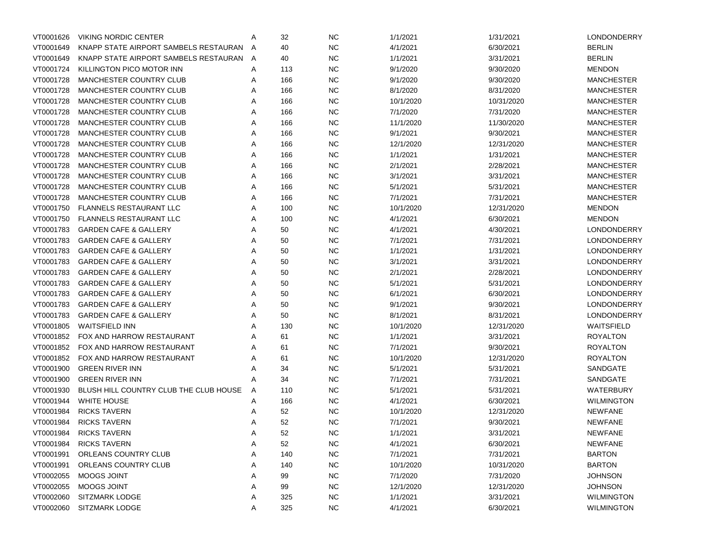| VT0001626 | <b>VIKING NORDIC CENTER</b>            | Α | 32  | <b>NC</b> | 1/1/2021  | 1/31/2021  | LONDONDERRY        |
|-----------|----------------------------------------|---|-----|-----------|-----------|------------|--------------------|
| VT0001649 | KNAPP STATE AIRPORT SAMBELS RESTAURAN  | A | 40  | <b>NC</b> | 4/1/2021  | 6/30/2021  | <b>BERLIN</b>      |
| VT0001649 | KNAPP STATE AIRPORT SAMBELS RESTAURAN  | A | 40  | <b>NC</b> | 1/1/2021  | 3/31/2021  | <b>BERLIN</b>      |
| VT0001724 | KILLINGTON PICO MOTOR INN              | Α | 113 | <b>NC</b> | 9/1/2020  | 9/30/2020  | <b>MENDON</b>      |
| VT0001728 | <b>MANCHESTER COUNTRY CLUB</b>         | Α | 166 | <b>NC</b> | 9/1/2020  | 9/30/2020  | <b>MANCHESTER</b>  |
| VT0001728 | <b>MANCHESTER COUNTRY CLUB</b>         | Α | 166 | <b>NC</b> | 8/1/2020  | 8/31/2020  | <b>MANCHESTER</b>  |
| VT0001728 | MANCHESTER COUNTRY CLUB                | Α | 166 | <b>NC</b> | 10/1/2020 | 10/31/2020 | <b>MANCHESTER</b>  |
| VT0001728 | MANCHESTER COUNTRY CLUB                | Α | 166 | <b>NC</b> | 7/1/2020  | 7/31/2020  | <b>MANCHESTER</b>  |
| VT0001728 | MANCHESTER COUNTRY CLUB                | Α | 166 | <b>NC</b> | 11/1/2020 | 11/30/2020 | <b>MANCHESTER</b>  |
| VT0001728 | MANCHESTER COUNTRY CLUB                | Α | 166 | <b>NC</b> | 9/1/2021  | 9/30/2021  | <b>MANCHESTER</b>  |
| VT0001728 | <b>MANCHESTER COUNTRY CLUB</b>         | Α | 166 | <b>NC</b> | 12/1/2020 | 12/31/2020 | <b>MANCHESTER</b>  |
| VT0001728 | <b>MANCHESTER COUNTRY CLUB</b>         | Α | 166 | <b>NC</b> | 1/1/2021  | 1/31/2021  | <b>MANCHESTER</b>  |
| VT0001728 | MANCHESTER COUNTRY CLUB                | Α | 166 | <b>NC</b> | 2/1/2021  | 2/28/2021  | <b>MANCHESTER</b>  |
| VT0001728 | MANCHESTER COUNTRY CLUB                | Α | 166 | <b>NC</b> | 3/1/2021  | 3/31/2021  | <b>MANCHESTER</b>  |
| VT0001728 | MANCHESTER COUNTRY CLUB                | Α | 166 | <b>NC</b> | 5/1/2021  | 5/31/2021  | <b>MANCHESTER</b>  |
| VT0001728 | MANCHESTER COUNTRY CLUB                | Α | 166 | <b>NC</b> | 7/1/2021  | 7/31/2021  | <b>MANCHESTER</b>  |
| VT0001750 | <b>FLANNELS RESTAURANT LLC</b>         | Α | 100 | <b>NC</b> | 10/1/2020 | 12/31/2020 | <b>MENDON</b>      |
| VT0001750 | <b>FLANNELS RESTAURANT LLC</b>         | Α | 100 | <b>NC</b> | 4/1/2021  | 6/30/2021  | <b>MENDON</b>      |
| VT0001783 | <b>GARDEN CAFE &amp; GALLERY</b>       | Α | 50  | <b>NC</b> | 4/1/2021  | 4/30/2021  | LONDONDERRY        |
| VT0001783 | <b>GARDEN CAFE &amp; GALLERY</b>       | Α | 50  | <b>NC</b> | 7/1/2021  | 7/31/2021  | LONDONDERRY        |
| VT0001783 | <b>GARDEN CAFE &amp; GALLERY</b>       | Α | 50  | <b>NC</b> | 1/1/2021  | 1/31/2021  | LONDONDERRY        |
| VT0001783 | <b>GARDEN CAFE &amp; GALLERY</b>       | Α | 50  | <b>NC</b> | 3/1/2021  | 3/31/2021  | <b>LONDONDERRY</b> |
| VT0001783 | <b>GARDEN CAFE &amp; GALLERY</b>       | Α | 50  | <b>NC</b> | 2/1/2021  | 2/28/2021  | LONDONDERRY        |
| VT0001783 | <b>GARDEN CAFE &amp; GALLERY</b>       | Α | 50  | <b>NC</b> | 5/1/2021  | 5/31/2021  | LONDONDERRY        |
| VT0001783 | <b>GARDEN CAFE &amp; GALLERY</b>       | Α | 50  | <b>NC</b> | 6/1/2021  | 6/30/2021  | LONDONDERRY        |
| VT0001783 | <b>GARDEN CAFE &amp; GALLERY</b>       | Α | 50  | <b>NC</b> | 9/1/2021  | 9/30/2021  | LONDONDERRY        |
| VT0001783 | <b>GARDEN CAFE &amp; GALLERY</b>       | Α | 50  | <b>NC</b> | 8/1/2021  | 8/31/2021  | LONDONDERRY        |
| VT0001805 | <b>WAITSFIELD INN</b>                  | Α | 130 | <b>NC</b> | 10/1/2020 | 12/31/2020 | <b>WAITSFIELD</b>  |
| VT0001852 | FOX AND HARROW RESTAURANT              | Α | 61  | <b>NC</b> | 1/1/2021  | 3/31/2021  | <b>ROYALTON</b>    |
| VT0001852 | FOX AND HARROW RESTAURANT              | Α | 61  | <b>NC</b> | 7/1/2021  | 9/30/2021  | <b>ROYALTON</b>    |
| VT0001852 | FOX AND HARROW RESTAURANT              | Α | 61  | <b>NC</b> | 10/1/2020 | 12/31/2020 | <b>ROYALTON</b>    |
| VT0001900 | <b>GREEN RIVER INN</b>                 | Α | 34  | <b>NC</b> | 5/1/2021  | 5/31/2021  | SANDGATE           |
| VT0001900 | <b>GREEN RIVER INN</b>                 | Α | 34  | <b>NC</b> | 7/1/2021  | 7/31/2021  | SANDGATE           |
| VT0001930 | BLUSH HILL COUNTRY CLUB THE CLUB HOUSE | Α | 110 | <b>NC</b> | 5/1/2021  | 5/31/2021  | <b>WATERBURY</b>   |
| VT0001944 | <b>WHITE HOUSE</b>                     | Α | 166 | <b>NC</b> | 4/1/2021  | 6/30/2021  | <b>WILMINGTON</b>  |
| VT0001984 | <b>RICKS TAVERN</b>                    | Α | 52  | <b>NC</b> | 10/1/2020 | 12/31/2020 | <b>NEWFANE</b>     |
| VT0001984 | <b>RICKS TAVERN</b>                    | Α | 52  | <b>NC</b> | 7/1/2021  | 9/30/2021  | <b>NEWFANE</b>     |
| VT0001984 | <b>RICKS TAVERN</b>                    | A | 52  | <b>NC</b> | 1/1/2021  | 3/31/2021  | <b>NEWFANE</b>     |
| VT0001984 | <b>RICKS TAVERN</b>                    | A | 52  | <b>NC</b> | 4/1/2021  | 6/30/2021  | <b>NEWFANE</b>     |
| VT0001991 | ORLEANS COUNTRY CLUB                   | Α | 140 | <b>NC</b> | 7/1/2021  | 7/31/2021  | <b>BARTON</b>      |
| VT0001991 | ORLEANS COUNTRY CLUB                   | Α | 140 | <b>NC</b> | 10/1/2020 | 10/31/2020 | <b>BARTON</b>      |
| VT0002055 | MOOGS JOINT                            | A | 99  | <b>NC</b> | 7/1/2020  | 7/31/2020  | <b>JOHNSON</b>     |
| VT0002055 | MOOGS JOINT                            | Α | 99  | <b>NC</b> | 12/1/2020 | 12/31/2020 | <b>JOHNSON</b>     |
| VT0002060 | SITZMARK LODGE                         | Α | 325 | <b>NC</b> | 1/1/2021  | 3/31/2021  | <b>WILMINGTON</b>  |
| VT0002060 | SITZMARK LODGE                         | Α | 325 | <b>NC</b> | 4/1/2021  | 6/30/2021  | <b>WILMINGTON</b>  |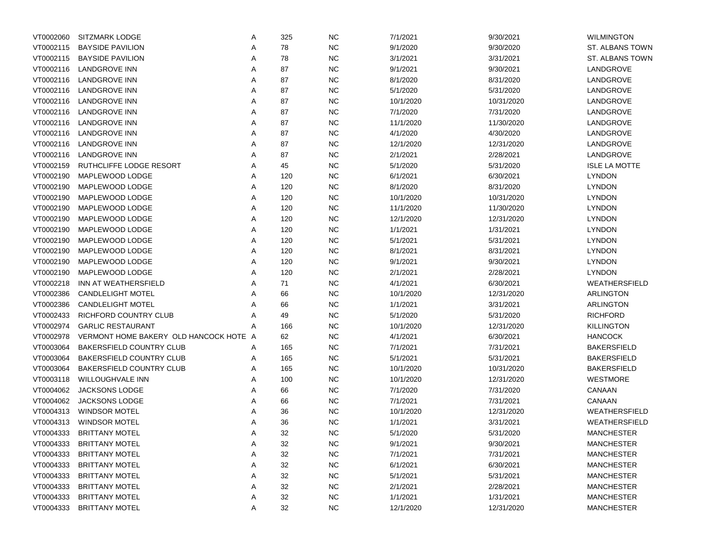| VT0002060 | <b>SITZMARK LODGE</b>                  | Α | 325 | <b>NC</b> | 7/1/2021  | 9/30/2021  | <b>WILMINGTON</b>    |
|-----------|----------------------------------------|---|-----|-----------|-----------|------------|----------------------|
| VT0002115 | <b>BAYSIDE PAVILION</b>                | A | 78  | $NC$      | 9/1/2020  | 9/30/2020  | ST. ALBANS TOWN      |
| VT0002115 | <b>BAYSIDE PAVILION</b>                | Α | 78  | <b>NC</b> | 3/1/2021  | 3/31/2021  | ST. ALBANS TOWN      |
| VT0002116 | LANDGROVE INN                          | Α | 87  | <b>NC</b> | 9/1/2021  | 9/30/2021  | LANDGROVE            |
| VT0002116 | LANDGROVE INN                          | Α | 87  | <b>NC</b> | 8/1/2020  | 8/31/2020  | LANDGROVE            |
| VT0002116 | LANDGROVE INN                          | Α | 87  | <b>NC</b> | 5/1/2020  | 5/31/2020  | LANDGROVE            |
| VT0002116 | LANDGROVE INN                          | Α | 87  | <b>NC</b> | 10/1/2020 | 10/31/2020 | LANDGROVE            |
| VT0002116 | <b>LANDGROVE INN</b>                   | Α | 87  | <b>NC</b> | 7/1/2020  | 7/31/2020  | LANDGROVE            |
| VT0002116 | LANDGROVE INN                          | Α | 87  | <b>NC</b> | 11/1/2020 | 11/30/2020 | LANDGROVE            |
| VT0002116 | <b>LANDGROVE INN</b>                   | Α | 87  | <b>NC</b> | 4/1/2020  | 4/30/2020  | LANDGROVE            |
| VT0002116 | <b>LANDGROVE INN</b>                   | Α | 87  | <b>NC</b> | 12/1/2020 | 12/31/2020 | LANDGROVE            |
| VT0002116 | <b>LANDGROVE INN</b>                   | Α | 87  | <b>NC</b> | 2/1/2021  | 2/28/2021  | LANDGROVE            |
| VT0002159 | RUTHCLIFFE LODGE RESORT                | Α | 45  | <b>NC</b> | 5/1/2020  | 5/31/2020  | <b>ISLE LA MOTTE</b> |
| VT0002190 | MAPLEWOOD LODGE                        | Α | 120 | <b>NC</b> | 6/1/2021  | 6/30/2021  | <b>LYNDON</b>        |
| VT0002190 | MAPLEWOOD LODGE                        | Α | 120 | <b>NC</b> | 8/1/2020  | 8/31/2020  | <b>LYNDON</b>        |
| VT0002190 | MAPLEWOOD LODGE                        | Α | 120 | <b>NC</b> | 10/1/2020 | 10/31/2020 | <b>LYNDON</b>        |
| VT0002190 | MAPLEWOOD LODGE                        | Α | 120 | <b>NC</b> | 11/1/2020 | 11/30/2020 | <b>LYNDON</b>        |
| VT0002190 | MAPLEWOOD LODGE                        | Α | 120 | <b>NC</b> | 12/1/2020 | 12/31/2020 | <b>LYNDON</b>        |
| VT0002190 | MAPLEWOOD LODGE                        | Α | 120 | <b>NC</b> | 1/1/2021  | 1/31/2021  | <b>LYNDON</b>        |
| VT0002190 | MAPLEWOOD LODGE                        | Α | 120 | <b>NC</b> | 5/1/2021  | 5/31/2021  | <b>LYNDON</b>        |
| VT0002190 | MAPLEWOOD LODGE                        | Α | 120 | <b>NC</b> | 8/1/2021  | 8/31/2021  | <b>LYNDON</b>        |
| VT0002190 | MAPLEWOOD LODGE                        | Α | 120 | <b>NC</b> | 9/1/2021  | 9/30/2021  | <b>LYNDON</b>        |
| VT0002190 | MAPLEWOOD LODGE                        | Α | 120 | <b>NC</b> | 2/1/2021  | 2/28/2021  | <b>LYNDON</b>        |
| VT0002218 | INN AT WEATHERSFIELD                   | Α | 71  | <b>NC</b> | 4/1/2021  | 6/30/2021  | WEATHERSFIELD        |
| VT0002386 | <b>CANDLELIGHT MOTEL</b>               | Α | 66  | <b>NC</b> | 10/1/2020 | 12/31/2020 | ARLINGTON            |
| VT0002386 | <b>CANDLELIGHT MOTEL</b>               | Α | 66  | <b>NC</b> | 1/1/2021  | 3/31/2021  | <b>ARLINGTON</b>     |
| VT0002433 | RICHFORD COUNTRY CLUB                  | Α | 49  | <b>NC</b> | 5/1/2020  | 5/31/2020  | <b>RICHFORD</b>      |
| VT0002974 | <b>GARLIC RESTAURANT</b>               | Α | 166 | <b>NC</b> | 10/1/2020 | 12/31/2020 | <b>KILLINGTON</b>    |
| VT0002978 | VERMONT HOME BAKERY OLD HANCOCK HOTE A |   | 62  | $NC$      | 4/1/2021  | 6/30/2021  | <b>HANCOCK</b>       |
| VT0003064 | BAKERSFIELD COUNTRY CLUB               | Α | 165 | <b>NC</b> | 7/1/2021  | 7/31/2021  | <b>BAKERSFIELD</b>   |
| VT0003064 | <b>BAKERSFIELD COUNTRY CLUB</b>        | A | 165 | <b>NC</b> | 5/1/2021  | 5/31/2021  | <b>BAKERSFIELD</b>   |
| VT0003064 | <b>BAKERSFIELD COUNTRY CLUB</b>        | Α | 165 | <b>NC</b> | 10/1/2020 | 10/31/2020 | <b>BAKERSFIELD</b>   |
| VT0003118 | WILLOUGHVALE INN                       | Α | 100 | <b>NC</b> | 10/1/2020 | 12/31/2020 | <b>WESTMORE</b>      |
| VT0004062 | JACKSONS LODGE                         | Α | 66  | <b>NC</b> | 7/1/2020  | 7/31/2020  | CANAAN               |
| VT0004062 | JACKSONS LODGE                         | Α | 66  | <b>NC</b> | 7/1/2021  | 7/31/2021  | CANAAN               |
| VT0004313 | <b>WINDSOR MOTEL</b>                   | Α | 36  | <b>NC</b> | 10/1/2020 | 12/31/2020 | WEATHERSFIELD        |
|           | VT0004313 WINDSOR MOTEL                | A | 36  | <b>NC</b> | 1/1/2021  | 3/31/2021  | WEATHERSFIELD        |
| VT0004333 | <b>BRITTANY MOTEL</b>                  | A | 32  | <b>NC</b> | 5/1/2020  | 5/31/2020  | <b>MANCHESTER</b>    |
| VT0004333 | <b>BRITTANY MOTEL</b>                  | A | 32  | <b>NC</b> | 9/1/2021  | 9/30/2021  | <b>MANCHESTER</b>    |
| VT0004333 | <b>BRITTANY MOTEL</b>                  | A | 32  | <b>NC</b> | 7/1/2021  | 7/31/2021  | <b>MANCHESTER</b>    |
| VT0004333 | <b>BRITTANY MOTEL</b>                  | Α | 32  | <b>NC</b> | 6/1/2021  | 6/30/2021  | <b>MANCHESTER</b>    |
| VT0004333 | <b>BRITTANY MOTEL</b>                  | A | 32  | <b>NC</b> | 5/1/2021  | 5/31/2021  | <b>MANCHESTER</b>    |
| VT0004333 | <b>BRITTANY MOTEL</b>                  | Α | 32  | <b>NC</b> | 2/1/2021  | 2/28/2021  | <b>MANCHESTER</b>    |
| VT0004333 | <b>BRITTANY MOTEL</b>                  | Α | 32  | <b>NC</b> | 1/1/2021  | 1/31/2021  | <b>MANCHESTER</b>    |
| VT0004333 | <b>BRITTANY MOTEL</b>                  | Α | 32  | <b>NC</b> | 12/1/2020 | 12/31/2020 | <b>MANCHESTER</b>    |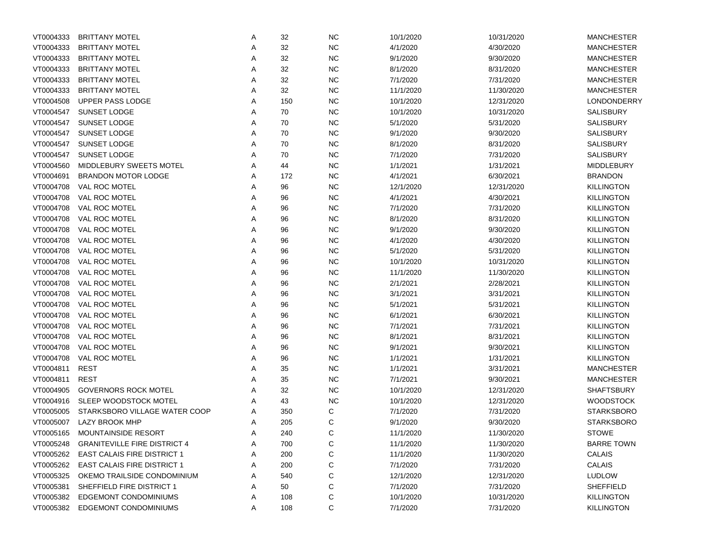| VT0004333 | <b>BRITTANY MOTEL</b>               | Α | 32  | <b>NC</b> | 10/1/2020 | 10/31/2020 | <b>MANCHESTER</b> |
|-----------|-------------------------------------|---|-----|-----------|-----------|------------|-------------------|
| VT0004333 | <b>BRITTANY MOTEL</b>               | Α | 32  | NC        | 4/1/2020  | 4/30/2020  | <b>MANCHESTER</b> |
| VT0004333 | <b>BRITTANY MOTEL</b>               | Α | 32  | NC        | 9/1/2020  | 9/30/2020  | <b>MANCHESTER</b> |
| VT0004333 | <b>BRITTANY MOTEL</b>               | Α | 32  | NC        | 8/1/2020  | 8/31/2020  | <b>MANCHESTER</b> |
| VT0004333 | <b>BRITTANY MOTEL</b>               | Α | 32  | NC        | 7/1/2020  | 7/31/2020  | <b>MANCHESTER</b> |
| VT0004333 | <b>BRITTANY MOTEL</b>               | Α | 32  | NC        | 11/1/2020 | 11/30/2020 | <b>MANCHESTER</b> |
| VT0004508 | UPPER PASS LODGE                    | Α | 150 | NC        | 10/1/2020 | 12/31/2020 | LONDONDERRY       |
| VT0004547 | <b>SUNSET LODGE</b>                 | Α | 70  | NC        | 10/1/2020 | 10/31/2020 | <b>SALISBURY</b>  |
| VT0004547 | <b>SUNSET LODGE</b>                 | Α | 70  | NC        | 5/1/2020  | 5/31/2020  | <b>SALISBURY</b>  |
| VT0004547 | SUNSET LODGE                        | Α | 70  | NC        | 9/1/2020  | 9/30/2020  | <b>SALISBURY</b>  |
| VT0004547 | SUNSET LODGE                        | Α | 70  | NC        | 8/1/2020  | 8/31/2020  | SALISBURY         |
| VT0004547 | SUNSET LODGE                        | Α | 70  | NC        | 7/1/2020  | 7/31/2020  | SALISBURY         |
| VT0004560 | MIDDLEBURY SWEETS MOTEL             | Α | 44  | NC        | 1/1/2021  | 1/31/2021  | <b>MIDDLEBURY</b> |
| VT0004691 | <b>BRANDON MOTOR LODGE</b>          | Α | 172 | NC        | 4/1/2021  | 6/30/2021  | <b>BRANDON</b>    |
| VT0004708 | VAL ROC MOTEL                       | Α | 96  | NC        | 12/1/2020 | 12/31/2020 | <b>KILLINGTON</b> |
| VT0004708 | VAL ROC MOTEL                       | Α | 96  | NC        | 4/1/2021  | 4/30/2021  | <b>KILLINGTON</b> |
| VT0004708 | VAL ROC MOTEL                       | Α | 96  | NC        | 7/1/2020  | 7/31/2020  | <b>KILLINGTON</b> |
| VT0004708 | <b>VAL ROC MOTEL</b>                | Α | 96  | NC        | 8/1/2020  | 8/31/2020  | <b>KILLINGTON</b> |
| VT0004708 | <b>VAL ROC MOTEL</b>                | Α | 96  | NC        | 9/1/2020  | 9/30/2020  | <b>KILLINGTON</b> |
| VT0004708 | VAL ROC MOTEL                       | Α | 96  | NC        | 4/1/2020  | 4/30/2020  | <b>KILLINGTON</b> |
| VT0004708 | VAL ROC MOTEL                       | Α | 96  | NC        | 5/1/2020  | 5/31/2020  | <b>KILLINGTON</b> |
| VT0004708 | VAL ROC MOTEL                       | Α | 96  | NC        | 10/1/2020 | 10/31/2020 | <b>KILLINGTON</b> |
| VT0004708 | VAL ROC MOTEL                       | Α | 96  | NC        | 11/1/2020 | 11/30/2020 | <b>KILLINGTON</b> |
| VT0004708 | VAL ROC MOTEL                       | Α | 96  | NC        | 2/1/2021  | 2/28/2021  | <b>KILLINGTON</b> |
| VT0004708 | VAL ROC MOTEL                       | Α | 96  | NC        | 3/1/2021  | 3/31/2021  | <b>KILLINGTON</b> |
| VT0004708 | VAL ROC MOTEL                       | Α | 96  | NC        | 5/1/2021  | 5/31/2021  | <b>KILLINGTON</b> |
| VT0004708 | VAL ROC MOTEL                       | Α | 96  | NC        | 6/1/2021  | 6/30/2021  | <b>KILLINGTON</b> |
| VT0004708 | VAL ROC MOTEL                       | Α | 96  | NC        | 7/1/2021  | 7/31/2021  | <b>KILLINGTON</b> |
| VT0004708 | VAL ROC MOTEL                       | Α | 96  | NC        | 8/1/2021  | 8/31/2021  | <b>KILLINGTON</b> |
| VT0004708 | VAL ROC MOTEL                       | Α | 96  | NC        | 9/1/2021  | 9/30/2021  | <b>KILLINGTON</b> |
| VT0004708 | VAL ROC MOTEL                       | Α | 96  | NC        | 1/1/2021  | 1/31/2021  | <b>KILLINGTON</b> |
| VT0004811 | <b>REST</b>                         | Α | 35  | NC        | 1/1/2021  | 3/31/2021  | <b>MANCHESTER</b> |
| VT0004811 | <b>REST</b>                         | Α | 35  | NC        | 7/1/2021  | 9/30/2021  | <b>MANCHESTER</b> |
| VT0004905 | <b>GOVERNORS ROCK MOTEL</b>         | Α | 32  | <b>NC</b> | 10/1/2020 | 12/31/2020 | <b>SHAFTSBURY</b> |
| VT0004916 | SLEEP WOODSTOCK MOTEL               | Α | 43  | NC        | 10/1/2020 | 12/31/2020 | <b>WOODSTOCK</b>  |
| VT0005005 | STARKSBORO VILLAGE WATER COOP       | Α | 350 | C         | 7/1/2020  | 7/31/2020  | <b>STARKSBORO</b> |
| VT0005007 | <b>LAZY BROOK MHP</b>               | A | 205 | C         | 9/1/2020  | 9/30/2020  | <b>STARKSBORO</b> |
| VT0005165 | MOUNTAINSIDE RESORT                 | A | 240 | C         | 11/1/2020 | 11/30/2020 | <b>STOWE</b>      |
| VT0005248 | <b>GRANITEVILLE FIRE DISTRICT 4</b> | A | 700 | C         | 11/1/2020 | 11/30/2020 | <b>BARRE TOWN</b> |
| VT0005262 | <b>EAST CALAIS FIRE DISTRICT 1</b>  | A | 200 | C         | 11/1/2020 | 11/30/2020 | CALAIS            |
| VT0005262 | <b>EAST CALAIS FIRE DISTRICT 1</b>  | A | 200 | C         | 7/1/2020  | 7/31/2020  | CALAIS            |
| VT0005325 | OKEMO TRAILSIDE CONDOMINIUM         | A | 540 | C         | 12/1/2020 | 12/31/2020 | <b>LUDLOW</b>     |
| VT0005381 | SHEFFIELD FIRE DISTRICT 1           | A | 50  | C         | 7/1/2020  | 7/31/2020  | <b>SHEFFIELD</b>  |
| VT0005382 | <b>EDGEMONT CONDOMINIUMS</b>        | A | 108 | C         | 10/1/2020 | 10/31/2020 | <b>KILLINGTON</b> |
| VT0005382 | <b>EDGEMONT CONDOMINIUMS</b>        | Α | 108 | C         | 7/1/2020  | 7/31/2020  | <b>KILLINGTON</b> |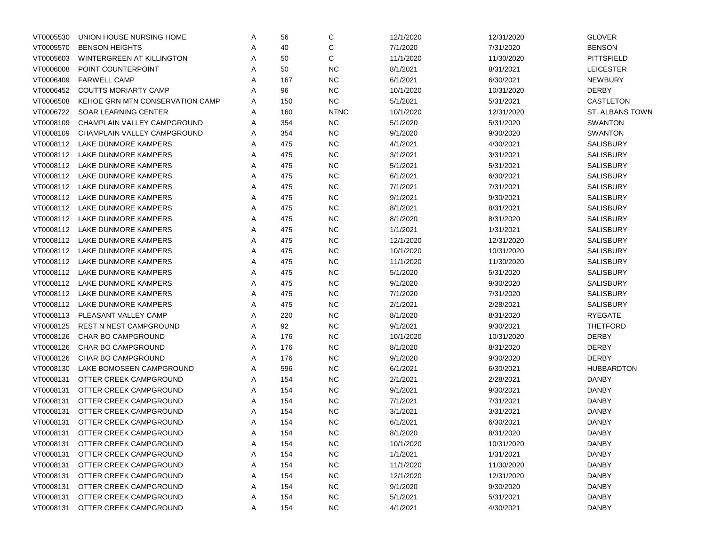| VT0005530 | UNION HOUSE NURSING HOME        | Α | 56  | C           | 12/1/2020 | 12/31/2020 | <b>GLOVER</b>     |
|-----------|---------------------------------|---|-----|-------------|-----------|------------|-------------------|
| VT0005570 | <b>BENSON HEIGHTS</b>           | A | 40  | С           | 7/1/2020  | 7/31/2020  | <b>BENSON</b>     |
| VT0005603 | WINTERGREEN AT KILLINGTON       | Α | 50  | C           | 11/1/2020 | 11/30/2020 | <b>PITTSFIELD</b> |
| VT0006008 | POINT COUNTERPOINT              | Α | 50  | <b>NC</b>   | 8/1/2021  | 8/31/2021  | <b>LEICESTER</b>  |
| VT0006409 | <b>FARWELL CAMP</b>             | Α | 167 | <b>NC</b>   | 6/1/2021  | 6/30/2021  | <b>NEWBURY</b>    |
| VT0006452 | <b>COUTTS MORIARTY CAMP</b>     | Α | 96  | <b>NC</b>   | 10/1/2020 | 10/31/2020 | <b>DERBY</b>      |
| VT0006508 | KEHOE GRN MTN CONSERVATION CAMP | A | 150 | <b>NC</b>   | 5/1/2021  | 5/31/2021  | CASTLETON         |
| VT0006722 | SOAR LEARNING CENTER            | A | 160 | <b>NTNC</b> | 10/1/2020 | 12/31/2020 | ST. ALBANS TOWN   |
| VT0008109 | CHAMPLAIN VALLEY CAMPGROUND     | A | 354 | <b>NC</b>   | 5/1/2020  | 5/31/2020  | <b>SWANTON</b>    |
| VT0008109 | CHAMPLAIN VALLEY CAMPGROUND     | A | 354 | <b>NC</b>   | 9/1/2020  | 9/30/2020  | <b>SWANTON</b>    |
| VT0008112 | LAKE DUNMORE KAMPERS            | A | 475 | <b>NC</b>   | 4/1/2021  | 4/30/2021  | <b>SALISBURY</b>  |
| VT0008112 | LAKE DUNMORE KAMPERS            | A | 475 | <b>NC</b>   | 3/1/2021  | 3/31/2021  | <b>SALISBURY</b>  |
| VT0008112 | LAKE DUNMORE KAMPERS            | Α | 475 | <b>NC</b>   | 5/1/2021  | 5/31/2021  | <b>SALISBURY</b>  |
| VT0008112 | LAKE DUNMORE KAMPERS            | Α | 475 | <b>NC</b>   | 6/1/2021  | 6/30/2021  | <b>SALISBURY</b>  |
| VT0008112 | LAKE DUNMORE KAMPERS            | Α | 475 | <b>NC</b>   | 7/1/2021  | 7/31/2021  | <b>SALISBURY</b>  |
| VT0008112 | LAKE DUNMORE KAMPERS            | Α | 475 | <b>NC</b>   | 9/1/2021  | 9/30/2021  | <b>SALISBURY</b>  |
| VT0008112 | LAKE DUNMORE KAMPERS            | Α | 475 | <b>NC</b>   | 8/1/2021  | 8/31/2021  | <b>SALISBURY</b>  |
| VT0008112 | LAKE DUNMORE KAMPERS            | Α | 475 | <b>NC</b>   | 8/1/2020  | 8/31/2020  | <b>SALISBURY</b>  |
| VT0008112 | LAKE DUNMORE KAMPERS            | Α | 475 | <b>NC</b>   | 1/1/2021  | 1/31/2021  | <b>SALISBURY</b>  |
| VT0008112 | LAKE DUNMORE KAMPERS            | Α | 475 | <b>NC</b>   | 12/1/2020 | 12/31/2020 | <b>SALISBURY</b>  |
| VT0008112 | LAKE DUNMORE KAMPERS            | Α | 475 | <b>NC</b>   | 10/1/2020 | 10/31/2020 | <b>SALISBURY</b>  |
| VT0008112 | LAKE DUNMORE KAMPERS            | Α | 475 | <b>NC</b>   | 11/1/2020 | 11/30/2020 | <b>SALISBURY</b>  |
| VT0008112 | LAKE DUNMORE KAMPERS            | Α | 475 | <b>NC</b>   | 5/1/2020  | 5/31/2020  | <b>SALISBURY</b>  |
| VT0008112 | LAKE DUNMORE KAMPERS            | Α | 475 | <b>NC</b>   | 9/1/2020  | 9/30/2020  | <b>SALISBURY</b>  |
| VT0008112 | LAKE DUNMORE KAMPERS            | Α | 475 | <b>NC</b>   | 7/1/2020  | 7/31/2020  | <b>SALISBURY</b>  |
| VT0008112 | LAKE DUNMORE KAMPERS            | Α | 475 | <b>NC</b>   | 2/1/2021  | 2/28/2021  | <b>SALISBURY</b>  |
| VT0008113 | PLEASANT VALLEY CAMP            | Α | 220 | <b>NC</b>   | 8/1/2020  | 8/31/2020  | <b>RYEGATE</b>    |
| VT0008125 | <b>REST N NEST CAMPGROUND</b>   | Α | 92  | <b>NC</b>   | 9/1/2021  | 9/30/2021  | <b>THETFORD</b>   |
| VT0008126 | <b>CHAR BO CAMPGROUND</b>       | Α | 176 | <b>NC</b>   | 10/1/2020 | 10/31/2020 | <b>DERBY</b>      |
| VT0008126 | <b>CHAR BO CAMPGROUND</b>       | Α | 176 | <b>NC</b>   | 8/1/2020  | 8/31/2020  | <b>DERBY</b>      |
| VT0008126 | <b>CHAR BO CAMPGROUND</b>       | Α | 176 | <b>NC</b>   | 9/1/2020  | 9/30/2020  | <b>DERBY</b>      |
| VT0008130 | LAKE BOMOSEEN CAMPGROUND        | Α | 596 | <b>NC</b>   | 6/1/2021  | 6/30/2021  | <b>HUBBARDTON</b> |
| VT0008131 | OTTER CREEK CAMPGROUND          | A | 154 | <b>NC</b>   | 2/1/2021  | 2/28/2021  | <b>DANBY</b>      |
| VT0008131 | OTTER CREEK CAMPGROUND          | A | 154 | <b>NC</b>   | 9/1/2021  | 9/30/2021  | <b>DANBY</b>      |
| VT0008131 | OTTER CREEK CAMPGROUND          | A | 154 | <b>NC</b>   | 7/1/2021  | 7/31/2021  | <b>DANBY</b>      |
| VT0008131 | OTTER CREEK CAMPGROUND          | A | 154 | <b>NC</b>   | 3/1/2021  | 3/31/2021  | <b>DANBY</b>      |
| VT0008131 | OTTER CREEK CAMPGROUND          | A | 154 | <b>NC</b>   | 6/1/2021  | 6/30/2021  | <b>DANBY</b>      |
| VT0008131 | OTTER CREEK CAMPGROUND          | A | 154 | <b>NC</b>   | 8/1/2020  | 8/31/2020  | <b>DANBY</b>      |
| VT0008131 | OTTER CREEK CAMPGROUND          | A | 154 | <b>NC</b>   | 10/1/2020 | 10/31/2020 | <b>DANBY</b>      |
| VT0008131 | OTTER CREEK CAMPGROUND          | A | 154 | <b>NC</b>   | 1/1/2021  | 1/31/2021  | <b>DANBY</b>      |
| VT0008131 | OTTER CREEK CAMPGROUND          | A | 154 | <b>NC</b>   | 11/1/2020 | 11/30/2020 | <b>DANBY</b>      |
| VT0008131 | OTTER CREEK CAMPGROUND          | A | 154 | <b>NC</b>   | 12/1/2020 | 12/31/2020 | <b>DANBY</b>      |
| VT0008131 | OTTER CREEK CAMPGROUND          | A | 154 | <b>NC</b>   | 9/1/2020  | 9/30/2020  | <b>DANBY</b>      |
| VT0008131 | OTTER CREEK CAMPGROUND          | A | 154 | <b>NC</b>   | 5/1/2021  | 5/31/2021  | <b>DANBY</b>      |
| VT0008131 | OTTER CREEK CAMPGROUND          | Α | 154 | ${\sf NC}$  | 4/1/2021  | 4/30/2021  | <b>DANBY</b>      |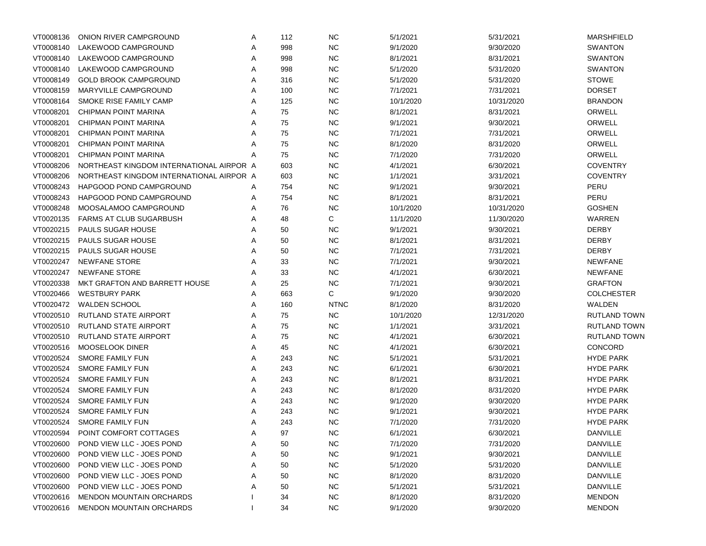| VT0008136 | ONION RIVER CAMPGROUND                   | Α | 112 | <b>NC</b>   | 5/1/2021  | 5/31/2021  | MARSHFIELD          |
|-----------|------------------------------------------|---|-----|-------------|-----------|------------|---------------------|
| VT0008140 | LAKEWOOD CAMPGROUND                      | Α | 998 | <b>NC</b>   | 9/1/2020  | 9/30/2020  | <b>SWANTON</b>      |
| VT0008140 | LAKEWOOD CAMPGROUND                      | Α | 998 | <b>NC</b>   | 8/1/2021  | 8/31/2021  | <b>SWANTON</b>      |
| VT0008140 | LAKEWOOD CAMPGROUND                      | Α | 998 | <b>NC</b>   | 5/1/2020  | 5/31/2020  | <b>SWANTON</b>      |
| VT0008149 | <b>GOLD BROOK CAMPGROUND</b>             | Α | 316 | <b>NC</b>   | 5/1/2020  | 5/31/2020  | <b>STOWE</b>        |
| VT0008159 | MARYVILLE CAMPGROUND                     | Α | 100 | <b>NC</b>   | 7/1/2021  | 7/31/2021  | <b>DORSET</b>       |
| VT0008164 | SMOKE RISE FAMILY CAMP                   | Α | 125 | <b>NC</b>   | 10/1/2020 | 10/31/2020 | <b>BRANDON</b>      |
| VT0008201 | CHIPMAN POINT MARINA                     | Α | 75  | <b>NC</b>   | 8/1/2021  | 8/31/2021  | ORWELL              |
| VT0008201 | CHIPMAN POINT MARINA                     | Α | 75  | <b>NC</b>   | 9/1/2021  | 9/30/2021  | ORWELL              |
| VT0008201 | CHIPMAN POINT MARINA                     | Α | 75  | <b>NC</b>   | 7/1/2021  | 7/31/2021  | ORWELL              |
| VT0008201 | CHIPMAN POINT MARINA                     | A | 75  | <b>NC</b>   | 8/1/2020  | 8/31/2020  | ORWELL              |
| VT0008201 | <b>CHIPMAN POINT MARINA</b>              | A | 75  | <b>NC</b>   | 7/1/2020  | 7/31/2020  | ORWELL              |
| VT0008206 | NORTHEAST KINGDOM INTERNATIONAL AIRPOR A |   | 603 | <b>NC</b>   | 4/1/2021  | 6/30/2021  | <b>COVENTRY</b>     |
| VT0008206 | NORTHEAST KINGDOM INTERNATIONAL AIRPOR A |   | 603 | <b>NC</b>   | 1/1/2021  | 3/31/2021  | <b>COVENTRY</b>     |
| VT0008243 | HAPGOOD POND CAMPGROUND                  | A | 754 | <b>NC</b>   | 9/1/2021  | 9/30/2021  | PERU                |
| VT0008243 | HAPGOOD POND CAMPGROUND                  | Α | 754 | <b>NC</b>   | 8/1/2021  | 8/31/2021  | PERU                |
| VT0008248 | MOOSALAMOO CAMPGROUND                    | A | 76  | <b>NC</b>   | 10/1/2020 | 10/31/2020 | <b>GOSHEN</b>       |
| VT0020135 | <b>FARMS AT CLUB SUGARBUSH</b>           | Α | 48  | С           | 11/1/2020 | 11/30/2020 | WARREN              |
| VT0020215 | PAULS SUGAR HOUSE                        | Α | 50  | <b>NC</b>   | 9/1/2021  | 9/30/2021  | <b>DERBY</b>        |
| VT0020215 | PAULS SUGAR HOUSE                        | Α | 50  | <b>NC</b>   | 8/1/2021  | 8/31/2021  | <b>DERBY</b>        |
| VT0020215 | PAULS SUGAR HOUSE                        | Α | 50  | <b>NC</b>   | 7/1/2021  | 7/31/2021  | <b>DERBY</b>        |
| VT0020247 | <b>NEWFANE STORE</b>                     | Α | 33  | <b>NC</b>   | 7/1/2021  | 9/30/2021  | <b>NEWFANE</b>      |
| VT0020247 | <b>NEWFANE STORE</b>                     | Α | 33  | <b>NC</b>   | 4/1/2021  | 6/30/2021  | <b>NEWFANE</b>      |
| VT0020338 | MKT GRAFTON AND BARRETT HOUSE            | Α | 25  | <b>NC</b>   | 7/1/2021  | 9/30/2021  | <b>GRAFTON</b>      |
| VT0020466 | <b>WESTBURY PARK</b>                     | Α | 663 | С           | 9/1/2020  | 9/30/2020  | <b>COLCHESTER</b>   |
| VT0020472 | <b>WALDEN SCHOOL</b>                     | Α | 160 | <b>NTNC</b> | 8/1/2020  | 8/31/2020  | WALDEN              |
| VT0020510 | RUTLAND STATE AIRPORT                    | Α | 75  | <b>NC</b>   | 10/1/2020 | 12/31/2020 | <b>RUTLAND TOWN</b> |
| VT0020510 | RUTLAND STATE AIRPORT                    | Α | 75  | <b>NC</b>   | 1/1/2021  | 3/31/2021  | <b>RUTLAND TOWN</b> |
| VT0020510 | RUTLAND STATE AIRPORT                    | Α | 75  | <b>NC</b>   | 4/1/2021  | 6/30/2021  | <b>RUTLAND TOWN</b> |
| VT0020516 | MOOSELOOK DINER                          | Α | 45  | <b>NC</b>   | 4/1/2021  | 6/30/2021  | <b>CONCORD</b>      |
| VT0020524 | SMORE FAMILY FUN                         | Α | 243 | <b>NC</b>   | 5/1/2021  | 5/31/2021  | <b>HYDE PARK</b>    |
| VT0020524 | SMORE FAMILY FUN                         | Α | 243 | <b>NC</b>   | 6/1/2021  | 6/30/2021  | <b>HYDE PARK</b>    |
| VT0020524 | SMORE FAMILY FUN                         | Α | 243 | <b>NC</b>   | 8/1/2021  | 8/31/2021  | <b>HYDE PARK</b>    |
| VT0020524 | <b>SMORE FAMILY FUN</b>                  | Α | 243 | <b>NC</b>   | 8/1/2020  | 8/31/2020  | <b>HYDE PARK</b>    |
| VT0020524 | SMORE FAMILY FUN                         | Α | 243 | <b>NC</b>   | 9/1/2020  | 9/30/2020  | <b>HYDE PARK</b>    |
| VT0020524 | SMORE FAMILY FUN                         | Α | 243 | <b>NC</b>   | 9/1/2021  | 9/30/2021  | <b>HYDE PARK</b>    |
| VT0020524 | SMORE FAMILY FUN                         | Α | 243 | <b>NC</b>   | 7/1/2020  | 7/31/2020  | <b>HYDE PARK</b>    |
| VT0020594 | POINT COMFORT COTTAGES                   | A | 97  | <b>NC</b>   | 6/1/2021  | 6/30/2021  | <b>DANVILLE</b>     |
| VT0020600 | POND VIEW LLC - JOES POND                | Α | 50  | <b>NC</b>   | 7/1/2020  | 7/31/2020  | <b>DANVILLE</b>     |
| VT0020600 | POND VIEW LLC - JOES POND                | Α | 50  | <b>NC</b>   | 9/1/2021  | 9/30/2021  | <b>DANVILLE</b>     |
| VT0020600 | POND VIEW LLC - JOES POND                | Α | 50  | <b>NC</b>   | 5/1/2020  | 5/31/2020  | <b>DANVILLE</b>     |
| VT0020600 | POND VIEW LLC - JOES POND                | Α | 50  | <b>NC</b>   | 8/1/2020  | 8/31/2020  | <b>DANVILLE</b>     |
| VT0020600 | POND VIEW LLC - JOES POND                | Α | 50  | <b>NC</b>   | 5/1/2021  | 5/31/2021  | <b>DANVILLE</b>     |
| VT0020616 | <b>MENDON MOUNTAIN ORCHARDS</b>          |   | 34  | <b>NC</b>   | 8/1/2020  | 8/31/2020  | <b>MENDON</b>       |
| VT0020616 | MENDON MOUNTAIN ORCHARDS                 |   | 34  | <b>NC</b>   | 9/1/2020  | 9/30/2020  | <b>MENDON</b>       |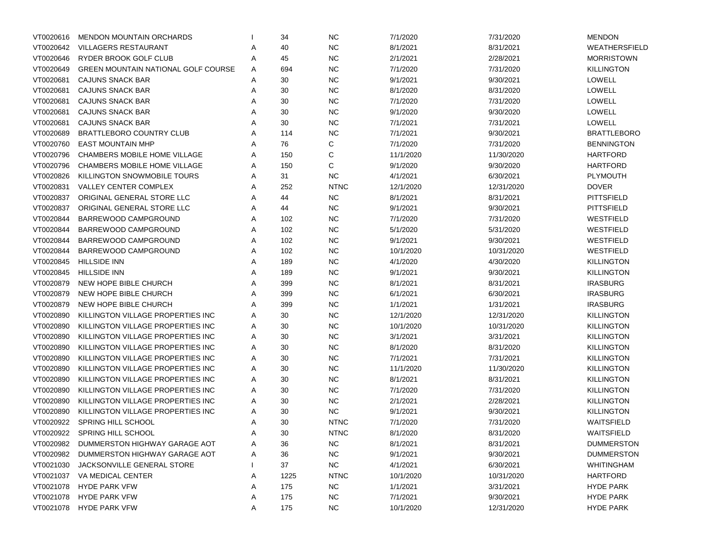| VT0020616 | <b>MENDON MOUNTAIN ORCHARDS</b>            |   | 34   | <b>NC</b>   | 7/1/2020  | 7/31/2020  | <b>MENDON</b>        |
|-----------|--------------------------------------------|---|------|-------------|-----------|------------|----------------------|
| VT0020642 | <b>VILLAGERS RESTAURANT</b>                | Α | 40   | <b>NC</b>   | 8/1/2021  | 8/31/2021  | <b>WEATHERSFIELD</b> |
| VT0020646 | RYDER BROOK GOLF CLUB                      | Α | 45   | <b>NC</b>   | 2/1/2021  | 2/28/2021  | <b>MORRISTOWN</b>    |
| VT0020649 | <b>GREEN MOUNTAIN NATIONAL GOLF COURSE</b> | Α | 694  | <b>NC</b>   | 7/1/2020  | 7/31/2020  | <b>KILLINGTON</b>    |
| VT0020681 | CAJUNS SNACK BAR                           | Α | 30   | <b>NC</b>   | 9/1/2021  | 9/30/2021  | <b>LOWELL</b>        |
| VT0020681 | CAJUNS SNACK BAR                           | Α | 30   | <b>NC</b>   | 8/1/2020  | 8/31/2020  | LOWELL               |
| VT0020681 | CAJUNS SNACK BAR                           | А | 30   | <b>NC</b>   | 7/1/2020  | 7/31/2020  | <b>LOWELL</b>        |
| VT0020681 | CAJUNS SNACK BAR                           | А | 30   | <b>NC</b>   | 9/1/2020  | 9/30/2020  | LOWELL               |
| VT0020681 | CAJUNS SNACK BAR                           | А | 30   | <b>NC</b>   | 7/1/2021  | 7/31/2021  | LOWELL               |
| VT0020689 | <b>BRATTLEBORO COUNTRY CLUB</b>            | Α | 114  | <b>NC</b>   | 7/1/2021  | 9/30/2021  | <b>BRATTLEBORO</b>   |
| VT0020760 | <b>EAST MOUNTAIN MHP</b>                   | Α | 76   | С           | 7/1/2020  | 7/31/2020  | <b>BENNINGTON</b>    |
| VT0020796 | <b>CHAMBERS MOBILE HOME VILLAGE</b>        | Α | 150  | С           | 11/1/2020 | 11/30/2020 | <b>HARTFORD</b>      |
| VT0020796 | CHAMBERS MOBILE HOME VILLAGE               | Α | 150  | С           | 9/1/2020  | 9/30/2020  | <b>HARTFORD</b>      |
| VT0020826 | KILLINGTON SNOWMOBILE TOURS                | Α | 31   | <b>NC</b>   | 4/1/2021  | 6/30/2021  | PLYMOUTH             |
| VT0020831 | <b>VALLEY CENTER COMPLEX</b>               | Α | 252  | <b>NTNC</b> | 12/1/2020 | 12/31/2020 | <b>DOVER</b>         |
| VT0020837 | ORIGINAL GENERAL STORE LLC                 | Α | 44   | <b>NC</b>   | 8/1/2021  | 8/31/2021  | <b>PITTSFIELD</b>    |
| VT0020837 | ORIGINAL GENERAL STORE LLC                 | Α | 44   | <b>NC</b>   | 9/1/2021  | 9/30/2021  | <b>PITTSFIELD</b>    |
| VT0020844 | BARREWOOD CAMPGROUND                       | Α | 102  | <b>NC</b>   | 7/1/2020  | 7/31/2020  | WESTFIELD            |
| VT0020844 | BARREWOOD CAMPGROUND                       | Α | 102  | <b>NC</b>   | 5/1/2020  | 5/31/2020  | WESTFIELD            |
| VT0020844 | BARREWOOD CAMPGROUND                       | Α | 102  | <b>NC</b>   | 9/1/2021  | 9/30/2021  | WESTFIELD            |
| VT0020844 | BARREWOOD CAMPGROUND                       | Α | 102  | <b>NC</b>   | 10/1/2020 | 10/31/2020 | WESTFIELD            |
| VT0020845 | <b>HILLSIDE INN</b>                        | Α | 189  | <b>NC</b>   | 4/1/2020  | 4/30/2020  | <b>KILLINGTON</b>    |
| VT0020845 | <b>HILLSIDE INN</b>                        | Α | 189  | <b>NC</b>   | 9/1/2021  | 9/30/2021  | <b>KILLINGTON</b>    |
| VT0020879 | NEW HOPE BIBLE CHURCH                      | А | 399  | <b>NC</b>   | 8/1/2021  | 8/31/2021  | <b>IRASBURG</b>      |
| VT0020879 | NEW HOPE BIBLE CHURCH                      | А | 399  | <b>NC</b>   | 6/1/2021  | 6/30/2021  | <b>IRASBURG</b>      |
| VT0020879 | NEW HOPE BIBLE CHURCH                      | Α | 399  | <b>NC</b>   | 1/1/2021  | 1/31/2021  | <b>IRASBURG</b>      |
| VT0020890 | KILLINGTON VILLAGE PROPERTIES INC          | Α | 30   | <b>NC</b>   | 12/1/2020 | 12/31/2020 | <b>KILLINGTON</b>    |
| VT0020890 | KILLINGTON VILLAGE PROPERTIES INC          | Α | 30   | <b>NC</b>   | 10/1/2020 | 10/31/2020 | <b>KILLINGTON</b>    |
| VT0020890 | KILLINGTON VILLAGE PROPERTIES INC          | Α | 30   | <b>NC</b>   | 3/1/2021  | 3/31/2021  | <b>KILLINGTON</b>    |
| VT0020890 | KILLINGTON VILLAGE PROPERTIES INC          | Α | 30   | <b>NC</b>   | 8/1/2020  | 8/31/2020  | <b>KILLINGTON</b>    |
| VT0020890 | KILLINGTON VILLAGE PROPERTIES INC          | Α | 30   | <b>NC</b>   | 7/1/2021  | 7/31/2021  | <b>KILLINGTON</b>    |
| VT0020890 | KILLINGTON VILLAGE PROPERTIES INC          | Α | 30   | <b>NC</b>   | 11/1/2020 | 11/30/2020 | <b>KILLINGTON</b>    |
| VT0020890 | KILLINGTON VILLAGE PROPERTIES INC          | Α | 30   | <b>NC</b>   | 8/1/2021  | 8/31/2021  | <b>KILLINGTON</b>    |
| VT0020890 | KILLINGTON VILLAGE PROPERTIES INC          | Α | 30   | <b>NC</b>   | 7/1/2020  | 7/31/2020  | KILLINGTON           |
| VT0020890 | KILLINGTON VILLAGE PROPERTIES INC          | Α | 30   | <b>NC</b>   | 2/1/2021  | 2/28/2021  | KILLINGTON           |
| VT0020890 | KILLINGTON VILLAGE PROPERTIES INC          | Α | 30   | <b>NC</b>   | 9/1/2021  | 9/30/2021  | KILLINGTON           |
| VT0020922 | <b>SPRING HILL SCHOOL</b>                  | Α | 30   | <b>NTNC</b> | 7/1/2020  | 7/31/2020  | WAITSFIELD           |
| VT0020922 | SPRING HILL SCHOOL                         | A | 30   | <b>NTNC</b> | 8/1/2020  | 8/31/2020  | WAITSFIELD           |
| VT0020982 | DUMMERSTON HIGHWAY GARAGE AOT              | A | 36   | <b>NC</b>   | 8/1/2021  | 8/31/2021  | <b>DUMMERSTON</b>    |
| VT0020982 | DUMMERSTON HIGHWAY GARAGE AOT              | A | 36   | $NC$        | 9/1/2021  | 9/30/2021  | <b>DUMMERSTON</b>    |
| VT0021030 | JACKSONVILLE GENERAL STORE                 |   | 37   | ${\sf NC}$  | 4/1/2021  | 6/30/2021  | WHITINGHAM           |
| VT0021037 | VA MEDICAL CENTER                          | A | 1225 | <b>NTNC</b> | 10/1/2020 | 10/31/2020 | <b>HARTFORD</b>      |
| VT0021078 | <b>HYDE PARK VFW</b>                       | A | 175  | <b>NC</b>   | 1/1/2021  | 3/31/2021  | <b>HYDE PARK</b>     |
| VT0021078 | <b>HYDE PARK VFW</b>                       | A | 175  | NC          | 7/1/2021  | 9/30/2021  | <b>HYDE PARK</b>     |
| VT0021078 | <b>HYDE PARK VFW</b>                       | A | 175  | NC          | 10/1/2020 | 12/31/2020 | <b>HYDE PARK</b>     |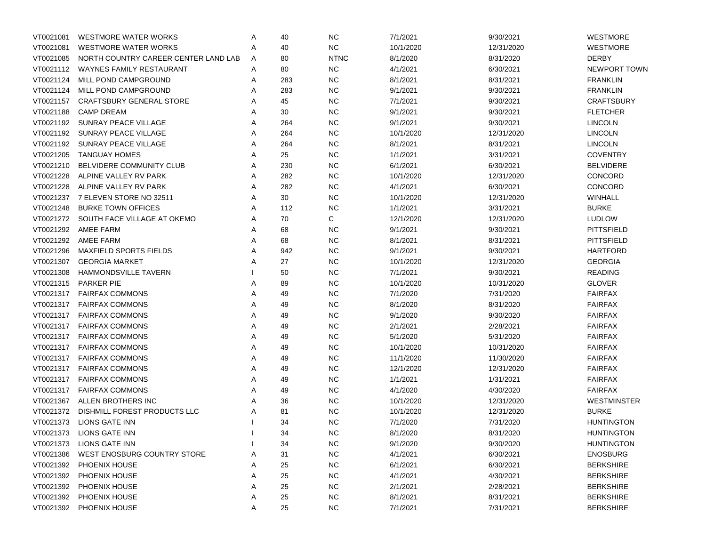| VT0021081 | <b>WESTMORE WATER WORKS</b>           | Α | 40  | <b>NC</b>   | 7/1/2021  | 9/30/2021  | <b>WESTMORE</b>    |
|-----------|---------------------------------------|---|-----|-------------|-----------|------------|--------------------|
| VT0021081 | <b>WESTMORE WATER WORKS</b>           | Α | 40  | ${\sf NC}$  | 10/1/2020 | 12/31/2020 | <b>WESTMORE</b>    |
| VT0021085 | NORTH COUNTRY CAREER CENTER LAND LAB  | A | 80  | <b>NTNC</b> | 8/1/2020  | 8/31/2020  | <b>DERBY</b>       |
| VT0021112 | WAYNES FAMILY RESTAURANT              | A | 80  | <b>NC</b>   | 4/1/2021  | 6/30/2021  | NEWPORT TOWN       |
| VT0021124 | MILL POND CAMPGROUND                  | A | 283 | <b>NC</b>   | 8/1/2021  | 8/31/2021  | <b>FRANKLIN</b>    |
| VT0021124 | MILL POND CAMPGROUND                  | A | 283 | <b>NC</b>   | 9/1/2021  | 9/30/2021  | <b>FRANKLIN</b>    |
| VT0021157 | <b>CRAFTSBURY GENERAL STORE</b>       | A | 45  | <b>NC</b>   | 7/1/2021  | 9/30/2021  | <b>CRAFTSBURY</b>  |
| VT0021188 | <b>CAMP DREAM</b>                     | A | 30  | <b>NC</b>   | 9/1/2021  | 9/30/2021  | <b>FLETCHER</b>    |
| VT0021192 | SUNRAY PEACE VILLAGE                  | A | 264 | <b>NC</b>   | 9/1/2021  | 9/30/2021  | <b>LINCOLN</b>     |
| VT0021192 | SUNRAY PEACE VILLAGE                  | A | 264 | <b>NC</b>   | 10/1/2020 | 12/31/2020 | <b>LINCOLN</b>     |
| VT0021192 | SUNRAY PEACE VILLAGE                  | A | 264 | <b>NC</b>   | 8/1/2021  | 8/31/2021  | <b>LINCOLN</b>     |
| VT0021205 | <b>TANGUAY HOMES</b>                  | Α | 25  | <b>NC</b>   | 1/1/2021  | 3/31/2021  | <b>COVENTRY</b>    |
| VT0021210 | BELVIDERE COMMUNITY CLUB              | Α | 230 | <b>NC</b>   | 6/1/2021  | 6/30/2021  | <b>BELVIDERE</b>   |
| VT0021228 | ALPINE VALLEY RV PARK                 | A | 282 | <b>NC</b>   | 10/1/2020 | 12/31/2020 | <b>CONCORD</b>     |
| VT0021228 | ALPINE VALLEY RV PARK                 | A | 282 | <b>NC</b>   | 4/1/2021  | 6/30/2021  | <b>CONCORD</b>     |
| VT0021237 | 7 ELEVEN STORE NO 32511               | A | 30  | <b>NC</b>   | 10/1/2020 | 12/31/2020 | WINHALL            |
| VT0021248 | <b>BURKE TOWN OFFICES</b>             | A | 112 | <b>NC</b>   | 1/1/2021  | 3/31/2021  | <b>BURKE</b>       |
|           | VT0021272 SOUTH FACE VILLAGE AT OKEMO | A | 70  | C           | 12/1/2020 | 12/31/2020 | <b>LUDLOW</b>      |
| VT0021292 | AMEE FARM                             | A | 68  | <b>NC</b>   | 9/1/2021  | 9/30/2021  | <b>PITTSFIELD</b>  |
| VT0021292 | AMEE FARM                             | A | 68  | <b>NC</b>   | 8/1/2021  | 8/31/2021  | <b>PITTSFIELD</b>  |
| VT0021296 | <b>MAXFIELD SPORTS FIELDS</b>         | A | 942 | <b>NC</b>   | 9/1/2021  | 9/30/2021  | <b>HARTFORD</b>    |
| VT0021307 | <b>GEORGIA MARKET</b>                 | Α | 27  | <b>NC</b>   | 10/1/2020 | 12/31/2020 | <b>GEORGIA</b>     |
| VT0021308 | <b>HAMMONDSVILLE TAVERN</b>           |   | 50  | <b>NC</b>   | 7/1/2021  | 9/30/2021  | <b>READING</b>     |
| VT0021315 | <b>PARKER PIE</b>                     | A | 89  | <b>NC</b>   | 10/1/2020 | 10/31/2020 | <b>GLOVER</b>      |
| VT0021317 | <b>FAIRFAX COMMONS</b>                | A | 49  | <b>NC</b>   | 7/1/2020  | 7/31/2020  | <b>FAIRFAX</b>     |
| VT0021317 | <b>FAIRFAX COMMONS</b>                | A | 49  | <b>NC</b>   | 8/1/2020  | 8/31/2020  | <b>FAIRFAX</b>     |
| VT0021317 | <b>FAIRFAX COMMONS</b>                | A | 49  | <b>NC</b>   | 9/1/2020  | 9/30/2020  | <b>FAIRFAX</b>     |
| VT0021317 | <b>FAIRFAX COMMONS</b>                | A | 49  | <b>NC</b>   | 2/1/2021  | 2/28/2021  | <b>FAIRFAX</b>     |
| VT0021317 | <b>FAIRFAX COMMONS</b>                | A | 49  | <b>NC</b>   | 5/1/2020  | 5/31/2020  | <b>FAIRFAX</b>     |
| VT0021317 | <b>FAIRFAX COMMONS</b>                | A | 49  | <b>NC</b>   | 10/1/2020 | 10/31/2020 | <b>FAIRFAX</b>     |
| VT0021317 | <b>FAIRFAX COMMONS</b>                | A | 49  | <b>NC</b>   | 11/1/2020 | 11/30/2020 | <b>FAIRFAX</b>     |
| VT0021317 | <b>FAIRFAX COMMONS</b>                | A | 49  | <b>NC</b>   | 12/1/2020 | 12/31/2020 | <b>FAIRFAX</b>     |
| VT0021317 | <b>FAIRFAX COMMONS</b>                | A | 49  | <b>NC</b>   | 1/1/2021  | 1/31/2021  | <b>FAIRFAX</b>     |
| VT0021317 | <b>FAIRFAX COMMONS</b>                | A | 49  | ${\sf NC}$  | 4/1/2020  | 4/30/2020  | <b>FAIRFAX</b>     |
| VT0021367 | ALLEN BROTHERS INC                    | Α | 36  | <b>NC</b>   | 10/1/2020 | 12/31/2020 | <b>WESTMINSTER</b> |
| VT0021372 | DISHMILL FOREST PRODUCTS LLC          | Α | 81  | <b>NC</b>   | 10/1/2020 | 12/31/2020 | <b>BURKE</b>       |
|           | VT0021373 LIONS GATE INN              |   | 34  | NC.         | 7/1/2020  | 7/31/2020  | <b>HUNTINGTON</b>  |
|           | VT0021373 LIONS GATE INN              |   | 34  | NC          | 8/1/2020  | 8/31/2020  | <b>HUNTINGTON</b>  |
| VT0021373 | LIONS GATE INN                        |   | 34  | <b>NC</b>   | 9/1/2020  | 9/30/2020  | <b>HUNTINGTON</b>  |
| VT0021386 | WEST ENOSBURG COUNTRY STORE           | A | 31  | ${\sf NC}$  | 4/1/2021  | 6/30/2021  | <b>ENOSBURG</b>    |
| VT0021392 | PHOENIX HOUSE                         | Α | 25  | <b>NC</b>   | 6/1/2021  | 6/30/2021  | <b>BERKSHIRE</b>   |
| VT0021392 | PHOENIX HOUSE                         | Α | 25  | <b>NC</b>   | 4/1/2021  | 4/30/2021  | <b>BERKSHIRE</b>   |
| VT0021392 | PHOENIX HOUSE                         | Α | 25  | <b>NC</b>   | 2/1/2021  | 2/28/2021  | <b>BERKSHIRE</b>   |
| VT0021392 | PHOENIX HOUSE                         | Α | 25  | <b>NC</b>   | 8/1/2021  | 8/31/2021  | <b>BERKSHIRE</b>   |
| VT0021392 | PHOENIX HOUSE                         | Α | 25  | <b>NC</b>   | 7/1/2021  | 7/31/2021  | <b>BERKSHIRE</b>   |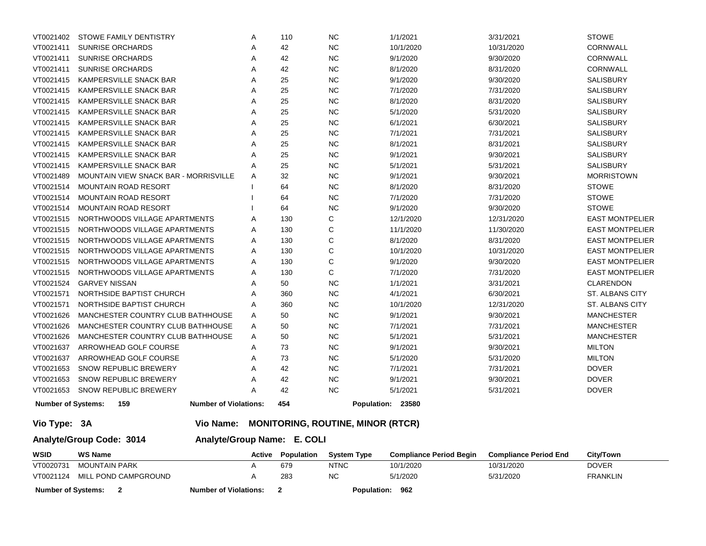| VT0021402                 | STOWE FAMILY DENTISTRY                                  | Α | 110                      | <b>NC</b>                                   | 1/1/2021                       | 3/31/2021                    | <b>STOWE</b>           |
|---------------------------|---------------------------------------------------------|---|--------------------------|---------------------------------------------|--------------------------------|------------------------------|------------------------|
| VT0021411                 | <b>SUNRISE ORCHARDS</b>                                 | Α | 42                       | NC                                          | 10/1/2020                      | 10/31/2020                   | <b>CORNWALL</b>        |
| VT0021411                 | <b>SUNRISE ORCHARDS</b>                                 | A | 42                       | <b>NC</b>                                   | 9/1/2020                       | 9/30/2020                    | <b>CORNWALL</b>        |
| VT0021411                 | <b>SUNRISE ORCHARDS</b>                                 | A | 42                       | <b>NC</b>                                   | 8/1/2020                       | 8/31/2020                    | CORNWALL               |
| VT0021415                 | <b>KAMPERSVILLE SNACK BAR</b>                           | A | 25                       | <b>NC</b>                                   | 9/1/2020                       | 9/30/2020                    | SALISBURY              |
| VT0021415                 | KAMPERSVILLE SNACK BAR                                  | Α | 25                       | <b>NC</b>                                   | 7/1/2020                       | 7/31/2020                    | <b>SALISBURY</b>       |
| VT0021415                 | KAMPERSVILLE SNACK BAR                                  | A | 25                       | <b>NC</b>                                   | 8/1/2020                       | 8/31/2020                    | <b>SALISBURY</b>       |
| VT0021415                 | KAMPERSVILLE SNACK BAR                                  | Α | 25                       | <b>NC</b>                                   | 5/1/2020                       | 5/31/2020                    | <b>SALISBURY</b>       |
| VT0021415                 | KAMPERSVILLE SNACK BAR                                  | A | 25                       | <b>NC</b>                                   | 6/1/2021                       | 6/30/2021                    | <b>SALISBURY</b>       |
| VT0021415                 | KAMPERSVILLE SNACK BAR                                  | A | 25                       | <b>NC</b>                                   | 7/1/2021                       | 7/31/2021                    | <b>SALISBURY</b>       |
| VT0021415                 | KAMPERSVILLE SNACK BAR                                  | A | 25                       | <b>NC</b>                                   | 8/1/2021                       | 8/31/2021                    | <b>SALISBURY</b>       |
| VT0021415                 | KAMPERSVILLE SNACK BAR                                  | A | 25                       | <b>NC</b>                                   | 9/1/2021                       | 9/30/2021                    | <b>SALISBURY</b>       |
| VT0021415                 | KAMPERSVILLE SNACK BAR                                  | Α | 25                       | <b>NC</b>                                   | 5/1/2021                       | 5/31/2021                    | <b>SALISBURY</b>       |
| VT0021489                 | MOUNTAIN VIEW SNACK BAR - MORRISVILLE                   | A | 32                       | <b>NC</b>                                   | 9/1/2021                       | 9/30/2021                    | <b>MORRISTOWN</b>      |
| VT0021514                 | <b>MOUNTAIN ROAD RESORT</b>                             |   | 64                       | <b>NC</b>                                   | 8/1/2020                       | 8/31/2020                    | <b>STOWE</b>           |
| VT0021514                 | <b>MOUNTAIN ROAD RESORT</b>                             |   | 64                       | <b>NC</b>                                   | 7/1/2020                       | 7/31/2020                    | <b>STOWE</b>           |
| VT0021514                 | <b>MOUNTAIN ROAD RESORT</b>                             |   | 64                       | <b>NC</b>                                   | 9/1/2020                       | 9/30/2020                    | <b>STOWE</b>           |
| VT0021515                 | NORTHWOODS VILLAGE APARTMENTS                           | A | 130                      | C                                           | 12/1/2020                      | 12/31/2020                   | <b>EAST MONTPELIER</b> |
| VT0021515                 | NORTHWOODS VILLAGE APARTMENTS                           | Α | 130                      | C                                           | 11/1/2020                      | 11/30/2020                   | <b>EAST MONTPELIER</b> |
| VT0021515                 | NORTHWOODS VILLAGE APARTMENTS                           | A | 130                      | $\mathsf{C}$                                | 8/1/2020                       | 8/31/2020                    | <b>EAST MONTPELIER</b> |
| VT0021515                 | NORTHWOODS VILLAGE APARTMENTS                           | Α | 130                      | $\mathsf{C}$                                | 10/1/2020                      | 10/31/2020                   | <b>EAST MONTPELIER</b> |
| VT0021515                 | NORTHWOODS VILLAGE APARTMENTS                           | A | 130                      | C                                           | 9/1/2020                       | 9/30/2020                    | <b>EAST MONTPELIER</b> |
| VT0021515                 | NORTHWOODS VILLAGE APARTMENTS                           | A | 130                      | C                                           | 7/1/2020                       | 7/31/2020                    | <b>EAST MONTPELIER</b> |
| VT0021524                 | <b>GARVEY NISSAN</b>                                    | A | 50                       | <b>NC</b>                                   | 1/1/2021                       | 3/31/2021                    | CLARENDON              |
| VT0021571                 | NORTHSIDE BAPTIST CHURCH                                | A | 360                      | <b>NC</b>                                   | 4/1/2021                       | 6/30/2021                    | <b>ST. ALBANS CITY</b> |
| VT0021571                 | NORTHSIDE BAPTIST CHURCH                                | Α | 360                      | <b>NC</b>                                   | 10/1/2020                      | 12/31/2020                   | ST. ALBANS CITY        |
| VT0021626                 | MANCHESTER COUNTRY CLUB BATHHOUSE                       | A | 50                       | <b>NC</b>                                   | 9/1/2021                       | 9/30/2021                    | <b>MANCHESTER</b>      |
| VT0021626                 | MANCHESTER COUNTRY CLUB BATHHOUSE                       | Α | 50                       | <b>NC</b>                                   | 7/1/2021                       | 7/31/2021                    | <b>MANCHESTER</b>      |
| VT0021626                 | MANCHESTER COUNTRY CLUB BATHHOUSE                       | A | 50                       | <b>NC</b>                                   | 5/1/2021                       | 5/31/2021                    | <b>MANCHESTER</b>      |
| VT0021637                 | ARROWHEAD GOLF COURSE                                   | Α | 73                       | <b>NC</b>                                   | 9/1/2021                       | 9/30/2021                    | <b>MILTON</b>          |
| VT0021637                 | ARROWHEAD GOLF COURSE                                   | A | 73                       | <b>NC</b>                                   | 5/1/2020                       | 5/31/2020                    | <b>MILTON</b>          |
| VT0021653                 | SNOW REPUBLIC BREWERY                                   | A | 42                       | <b>NC</b>                                   | 7/1/2021                       | 7/31/2021                    | <b>DOVER</b>           |
| VT0021653                 | <b>SNOW REPUBLIC BREWERY</b>                            | A | 42                       | <b>NC</b>                                   | 9/1/2021                       | 9/30/2021                    | <b>DOVER</b>           |
| VT0021653                 | <b>SNOW REPUBLIC BREWERY</b>                            | A | 42                       | <b>NC</b>                                   | 5/1/2021                       | 5/31/2021                    | <b>DOVER</b>           |
| <b>Number of Systems:</b> | 159<br><b>Number of Violations:</b>                     |   | 454                      |                                             | Population: 23580              |                              |                        |
| Vio Type: 3A              |                                                         |   |                          | Vio Name: MONITORING, ROUTINE, MINOR (RTCR) |                                |                              |                        |
|                           | Analyte/Group Name: E. COLI<br>Analyte/Group Code: 3014 |   |                          |                                             |                                |                              |                        |
| <b>WSID</b>               | <b>WS Name</b>                                          |   | <b>Active Population</b> | <b>System Type</b>                          | <b>Compliance Period Begin</b> | <b>Compliance Period End</b> | <b>City/Town</b>       |
| VT0020731                 | <b>MOUNTAIN PARK</b>                                    | Α | 679                      | <b>NTNC</b>                                 | 10/1/2020                      | 10/31/2020                   | <b>DOVER</b>           |
| VT0021124                 | MILL POND CAMPGROUND                                    | A | 283                      | <b>NC</b>                                   | 5/1/2020                       | 5/31/2020                    | <b>FRANKLIN</b>        |

**Number of Systems: 2 Number of Violations: 2 Population: 962**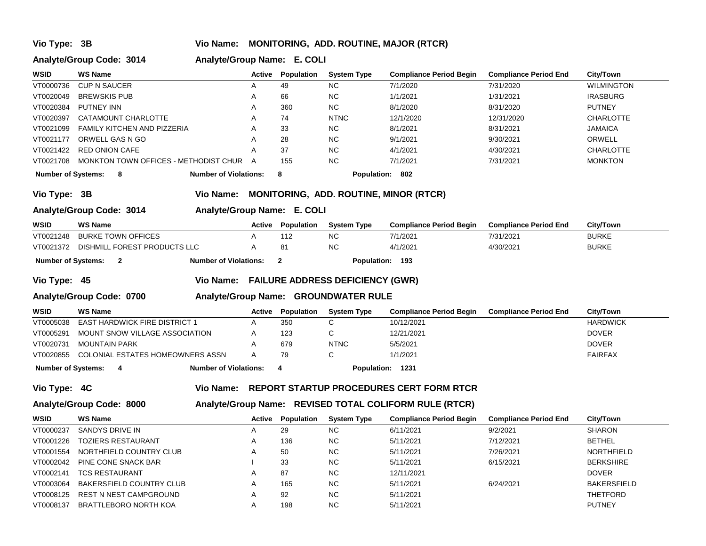### **Vio Type: 3B Vio Name: MONITORING, ADD. ROUTINE, MAJOR (RTCR)**

### **Analyte/Group Code: 3014 Analyte/Group Name: E. COLI**

| <b>WSID</b>                                                                               | <b>WS Name</b>                        | Active | Population | <b>System Type</b> | <b>Compliance Period Begin</b> | <b>Compliance Period End</b> | City/Town         |
|-------------------------------------------------------------------------------------------|---------------------------------------|--------|------------|--------------------|--------------------------------|------------------------------|-------------------|
| VT0000736                                                                                 | <b>CUP N SAUCER</b>                   |        | 49         | <b>NC</b>          | 7/1/2020                       | 7/31/2020                    | <b>WILMINGTON</b> |
| VT0020049                                                                                 | <b>BREWSKIS PUB</b>                   |        | 66         | <b>NC</b>          | 1/1/2021                       | 1/31/2021                    | <b>IRASBURG</b>   |
| VT0020384                                                                                 | PUTNEY INN                            |        | 360        | NC.                | 8/1/2020                       | 8/31/2020                    | <b>PUTNEY</b>     |
| VT0020397                                                                                 | CATAMOUNT CHARLOTTE                   | А      | 74         | <b>NTNC</b>        | 12/1/2020                      | 12/31/2020                   | <b>CHARLOTTE</b>  |
| VT0021099                                                                                 | FAMILY KITCHEN AND PIZZERIA           |        | 33         | <b>NC</b>          | 8/1/2021                       | 8/31/2021                    | <b>JAMAICA</b>    |
| VT0021177                                                                                 | ORWELL GAS N GO                       | А      | 28         | <b>NC</b>          | 9/1/2021                       | 9/30/2021                    | ORWELL            |
| VT0021422                                                                                 | RED ONION CAFE                        |        | 37         | <b>NC</b>          | 4/1/2021                       | 4/30/2021                    | <b>CHARLOTTE</b>  |
| VT0021708                                                                                 | MONKTON TOWN OFFICES - METHODIST CHUR | A      | 155        | <b>NC</b>          | 7/1/2021                       | 7/31/2021                    | <b>MONKTON</b>    |
| <b>Number of Systems:</b><br><b>Number of Violations:</b><br>Population:<br>802<br>8<br>8 |                                       |        |            |                    |                                |                              |                   |

**Vio Type: 3B Vio Name: MONITORING, ADD. ROUTINE, MINOR (RTCR)**

# **Analyte/Group Code: 3014 Analyte/Group Name: E. COLI**

| <b>WSID</b>        | WS Name |                                        |                              | Active | <b>Population</b> | <b>System Type</b> | <b>Compliance Period Begin</b> | <b>Compliance Period End</b> | <b>City/Town</b> |
|--------------------|---------|----------------------------------------|------------------------------|--------|-------------------|--------------------|--------------------------------|------------------------------|------------------|
| VT0021248          |         | BURKE TOWN OFFICES                     |                              |        |                   | NC.                | 7/1/2021                       | 7/31/2021                    | <b>BURKE</b>     |
|                    |         | VT0021372 DISHMILL FOREST PRODUCTS LLC |                              |        | 81                | NC.                | 4/1/2021                       | 4/30/2021                    | <b>BURKE</b>     |
| Number of Systems: |         |                                        | <b>Number of Violations:</b> |        |                   | Population: 193    |                                |                              |                  |

### **Vio Type: 45 Vio Name: FAILURE ADDRESS DEFICIENCY (GWR)**

### **Analyte/Group Code: 0700 Analyte/Group Name: GROUNDWATER RULE**

| <b>WSID</b> | WS Name                                                                | Active | Population | <b>System Type</b> | <b>Compliance Period Begin</b> | <b>Compliance Period End</b> | <b>City/Town</b> |
|-------------|------------------------------------------------------------------------|--------|------------|--------------------|--------------------------------|------------------------------|------------------|
| VT0005038   | <b>EAST HARDWICK FIRE DISTRICT 1</b>                                   |        | 350        |                    | 10/12/2021                     |                              | <b>HARDWICK</b>  |
| VT0005291   | MOUNT SNOW VILLAGE ASSOCIATION                                         |        | 123        |                    | 12/21/2021                     |                              | <b>DOVER</b>     |
| VT0020731   | MOUNTAIN PARK                                                          |        | 679        | <b>NTNC</b>        | 5/5/2021                       |                              | <b>DOVER</b>     |
|             | VT0020855 COLONIAL ESTATES HOMEOWNERS ASSN                             |        | 79         |                    | 1/1/2021                       |                              | <b>FAIRFAX</b>   |
|             | <b>Number of Violations:</b><br>Population: 1231<br>Number of Systems: |        |            |                    |                                |                              |                  |

# **Vio Type: 4C Vio Name: REPORT STARTUP PROCEDURES CERT FORM RTCR**

# **Analyte/Group Code: 8000 Analyte/Group Name: REVISED TOTAL COLIFORM RULE (RTCR)**

| <b>WSID</b> | <b>WS Name</b>           | Active | Population | <b>System Type</b> | <b>Compliance Period Begin</b> | <b>Compliance Period End</b> | <b>City/Town</b>   |
|-------------|--------------------------|--------|------------|--------------------|--------------------------------|------------------------------|--------------------|
| VT0000237   | SANDYS DRIVE IN          |        | 29         | <b>NC</b>          | 6/11/2021                      | 9/2/2021                     | <b>SHARON</b>      |
| VT0001226   | TOZIERS RESTAURANT       |        | 136        | <b>NC</b>          | 5/11/2021                      | 7/12/2021                    | <b>BETHEL</b>      |
| VT0001554   | NORTHFIELD COUNTRY CLUB  |        | 50         | <b>NC</b>          | 5/11/2021                      | 7/26/2021                    | <b>NORTHFIELD</b>  |
| VT0002042   | PINE CONE SNACK BAR      |        | 33         | <b>NC</b>          | 5/11/2021                      | 6/15/2021                    | <b>BERKSHIRE</b>   |
| VT0002141   | <b>TCS RESTAURANT</b>    |        | 87         | <b>NC</b>          | 12/11/2021                     |                              | <b>DOVER</b>       |
| VT0003064   | BAKERSFIELD COUNTRY CLUB |        | 165        | <b>NC</b>          | 5/11/2021                      | 6/24/2021                    | <b>BAKERSFIELD</b> |
| VT0008125   | REST N NEST CAMPGROUND   |        | 92         | <b>NC</b>          | 5/11/2021                      |                              | THETFORD           |
| VT0008137   | BRATTLEBORO NORTH KOA    |        | 198        | <b>NC</b>          | 5/11/2021                      |                              | <b>PUTNEY</b>      |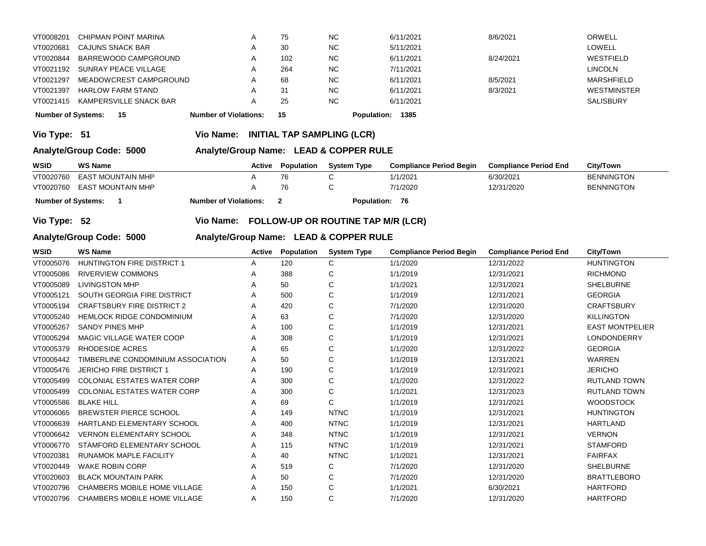| <b>Number of Systems:</b> | - 15                   | <b>Number of Violations:</b> | 15  |           | Population: 1385 |           |                    |
|---------------------------|------------------------|------------------------------|-----|-----------|------------------|-----------|--------------------|
| VT0021415                 | KAMPERSVILLE SNACK BAR | A                            | 25  | <b>NC</b> | 6/11/2021        |           | <b>SALISBURY</b>   |
| VT0021397                 | HARLOW FARM STAND      | A                            | -31 | <b>NC</b> | 6/11/2021        | 8/3/2021  | <b>WESTMINSTER</b> |
| VT0021297                 | MEADOWCREST CAMPGROUND | A                            | 68  | <b>NC</b> | 6/11/2021        | 8/5/2021  | MARSHFIELD         |
| VT0021192                 | SUNRAY PEACE VILLAGE   | A                            | 264 | <b>NC</b> | 7/11/2021        |           | <b>LINCOLN</b>     |
| VT0020844                 | BARREWOOD CAMPGROUND   | A                            | 102 | <b>NC</b> | 6/11/2021        | 8/24/2021 | WESTFIELD          |
| VT0020681                 | CAJUNS SNACK BAR       | A                            | 30  | <b>NC</b> | 5/11/2021        |           | <b>LOWELL</b>      |
| VT0008201                 | CHIPMAN POINT MARINA   | A                            | 75  | <b>NC</b> | 6/11/2021        | 8/6/2021  | ORWELL             |
|                           |                        |                              |     |           |                  |           |                    |

**Vio Type: 51 Vio Name: INITIAL TAP SAMPLING (LCR)**

# **Analyte/Group Code: 5000 Analyte/Group Name: LEAD & COPPER RULE**

| <b>WSID</b>               | <b>WS Name</b>              | Active                       | Population | <b>System Type</b> | <b>Compliance Period Begin</b> | <b>Compliance Period End</b> | <b>City/Town</b>  |
|---------------------------|-----------------------------|------------------------------|------------|--------------------|--------------------------------|------------------------------|-------------------|
| VT0020760                 | EAST MOUNTAIN MHP           |                              | 76         |                    | 1/1/2021                       | 6/30/2021                    | <b>BENNINGTON</b> |
|                           | VT0020760 EAST MOUNTAIN MHP |                              | 76.        |                    | 7/1/2020                       | 12/31/2020                   | <b>BENNINGTON</b> |
| <b>Number of Systems:</b> |                             | <b>Number of Violations:</b> |            | <b>Population:</b> | 76                             |                              |                   |

**Vio Type: 52 Vio Name: FOLLOW-UP OR ROUTINE TAP M/R (LCR)**

# **Analyte/Group Code: 5000 Analyte/Group Name: LEAD & COPPER RULE**

|                                     |                |        |             |                    |                                | City/Town                    |
|-------------------------------------|----------------|--------|-------------|--------------------|--------------------------------|------------------------------|
| <b>HUNTINGTON FIRE DISTRICT 1</b>   | A              | 120    | С           | 1/1/2020           | 12/31/2022                     | <b>HUNTINGTON</b>            |
| <b>RIVERVIEW COMMONS</b>            | A              | 388    | C           | 1/1/2019           | 12/31/2021                     | <b>RICHMOND</b>              |
| <b>LIVINGSTON MHP</b>               | A              | 50     | C           | 1/1/2021           | 12/31/2021                     | <b>SHELBURNE</b>             |
| <b>SOUTH GEORGIA FIRE DISTRICT</b>  | A              | 500    | C           | 1/1/2019           | 12/31/2021                     | <b>GEORGIA</b>               |
| <b>CRAFTSBURY FIRE DISTRICT 2</b>   | Α              | 420    | С           | 7/1/2020           | 12/31/2020                     | <b>CRAFTSBURY</b>            |
| <b>HEMLOCK RIDGE CONDOMINIUM</b>    | Α              | 63     | С           | 7/1/2020           | 12/31/2020                     | <b>KILLINGTON</b>            |
| <b>SANDY PINES MHP</b>              | A              | 100    | C           | 1/1/2019           | 12/31/2021                     | <b>EAST MONTPELIER</b>       |
| MAGIC VILLAGE WATER COOP            | A              | 308    | C           | 1/1/2019           | 12/31/2021                     | LONDONDERRY                  |
| <b>RHODESIDE ACRES</b>              | A              | 65     | C           | 1/1/2020           | 12/31/2022                     | <b>GEORGIA</b>               |
| TIMBERLINE CONDOMINIUM ASSOCIATION  | Α              | 50     | С           | 1/1/2019           | 12/31/2021                     | <b>WARREN</b>                |
| <b>JERICHO FIRE DISTRICT 1</b>      | A              | 190    | С           | 1/1/2019           | 12/31/2021                     | <b>JERICHO</b>               |
| <b>COLONIAL ESTATES WATER CORP</b>  | Α              | 300    | С           | 1/1/2020           | 12/31/2022                     | <b>RUTLAND TOWN</b>          |
| <b>COLONIAL ESTATES WATER CORP</b>  | A              | 300    | C           | 1/1/2021           | 12/31/2023                     | <b>RUTLAND TOWN</b>          |
| <b>BLAKE HILL</b>                   | A              | 69     | C           | 1/1/2019           | 12/31/2021                     | <b>WOODSTOCK</b>             |
| <b>BREWSTER PIERCE SCHOOL</b>       | A              | 149    | <b>NTNC</b> | 1/1/2019           | 12/31/2021                     | <b>HUNTINGTON</b>            |
| HARTLAND ELEMENTARY SCHOOL          | A              | 400    | <b>NTNC</b> | 1/1/2019           | 12/31/2021                     | <b>HARTLAND</b>              |
| <b>VERNON ELEMENTARY SCHOOL</b>     | Α              | 348    | <b>NTNC</b> | 1/1/2019           | 12/31/2021                     | <b>VERNON</b>                |
| STAMFORD ELEMENTARY SCHOOL          | Α              | 115    | <b>NTNC</b> | 1/1/2019           | 12/31/2021                     | <b>STAMFORD</b>              |
| <b>RUNAMOK MAPLE FACILITY</b>       | A              | 40     | <b>NTNC</b> | 1/1/2021           | 12/31/2021                     | <b>FAIRFAX</b>               |
| <b>WAKE ROBIN CORP</b>              | Α              | 519    | C           | 7/1/2020           | 12/31/2020                     | <b>SHELBURNE</b>             |
| <b>BLACK MOUNTAIN PARK</b>          | A              | 50     | С           | 7/1/2020           | 12/31/2020                     | <b>BRATTLEBORO</b>           |
| <b>CHAMBERS MOBILE HOME VILLAGE</b> | A              | 150    | C           | 1/1/2021           | 6/30/2021                      | <b>HARTFORD</b>              |
| <b>CHAMBERS MOBILE HOME VILLAGE</b> | A              | 150    | C           | 7/1/2020           | 12/31/2020                     | <b>HARTFORD</b>              |
|                                     | <b>WS Name</b> | Active | Population  | <b>System Type</b> | <b>Compliance Period Begin</b> | <b>Compliance Period End</b> |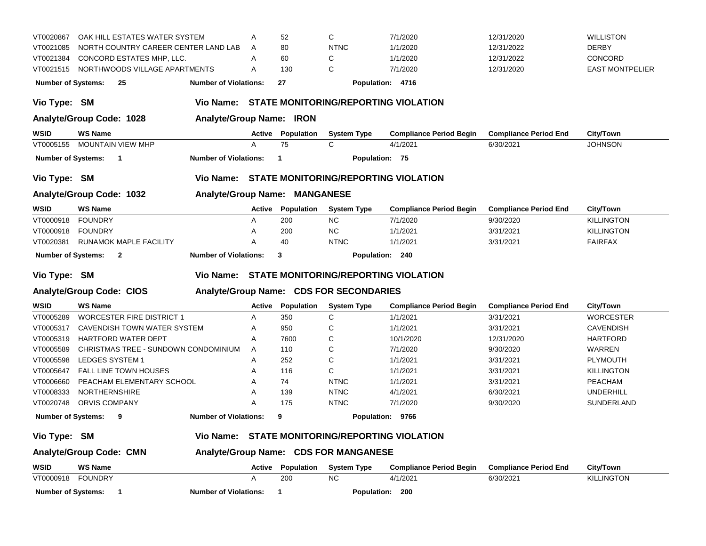| VT0020867                                                                       | OAK HILL ESTATES WATER SYSTEM                                            |                               | A      | 52                | С                                       | 7/1/2020                                    | 12/31/2020                   | <b>WILLISTON</b>       |  |  |  |
|---------------------------------------------------------------------------------|--------------------------------------------------------------------------|-------------------------------|--------|-------------------|-----------------------------------------|---------------------------------------------|------------------------------|------------------------|--|--|--|
| VT0021085                                                                       | NORTH COUNTRY CAREER CENTER LAND LAB                                     |                               | Α      | 80                | <b>NTNC</b>                             | 1/1/2020                                    | 12/31/2022                   | <b>DERBY</b>           |  |  |  |
| VT0021384                                                                       | CONCORD ESTATES MHP, LLC.                                                |                               | Α      | 60                | C                                       | 1/1/2020                                    | 12/31/2022                   | CONCORD                |  |  |  |
| VT0021515                                                                       | NORTHWOODS VILLAGE APARTMENTS                                            |                               | Α      | 130               | $\mathbf C$                             | 7/1/2020                                    | 12/31/2020                   | <b>EAST MONTPELIER</b> |  |  |  |
| <b>Number of Systems:</b>                                                       | 25                                                                       | <b>Number of Violations:</b>  |        | 27                |                                         | Population: 4716                            |                              |                        |  |  |  |
| Vio Type: SM                                                                    |                                                                          | Vio Name:                     |        |                   |                                         | <b>STATE MONITORING/REPORTING VIOLATION</b> |                              |                        |  |  |  |
|                                                                                 | Analyte/Group Code: 1028<br><b>Analyte/Group Name: IRON</b>              |                               |        |                   |                                         |                                             |                              |                        |  |  |  |
| <b>WSID</b>                                                                     | <b>WS Name</b>                                                           |                               | Active | <b>Population</b> | <b>System Type</b>                      | <b>Compliance Period Begin</b>              | <b>Compliance Period End</b> | <b>City/Town</b>       |  |  |  |
| VT0005155                                                                       | <b>MOUNTAIN VIEW MHP</b>                                                 |                               | A      | 75                | $\mathsf{C}$                            | 4/1/2021                                    | 6/30/2021                    | <b>JOHNSON</b>         |  |  |  |
| <b>Number of Systems:</b>                                                       | $\mathbf{1}$                                                             | <b>Number of Violations:</b>  |        | $\mathbf{1}$      | Population: 75                          |                                             |                              |                        |  |  |  |
|                                                                                 | Vio Type: SM<br><b>STATE MONITORING/REPORTING VIOLATION</b><br>Vio Name: |                               |        |                   |                                         |                                             |                              |                        |  |  |  |
|                                                                                 | Analyte/Group Code: 1032                                                 | Analyte/Group Name: MANGANESE |        |                   |                                         |                                             |                              |                        |  |  |  |
| <b>WSID</b>                                                                     | <b>WS Name</b>                                                           |                               | Active | <b>Population</b> | <b>System Type</b>                      | <b>Compliance Period Begin</b>              | <b>Compliance Period End</b> | City/Town              |  |  |  |
| VT0000918                                                                       | <b>FOUNDRY</b>                                                           |                               | A      | 200               | NC                                      | 7/1/2020                                    | 9/30/2020                    | <b>KILLINGTON</b>      |  |  |  |
| VT0000918                                                                       | <b>FOUNDRY</b>                                                           |                               | A      | 200               | <b>NC</b>                               | 1/1/2021                                    | 3/31/2021                    | <b>KILLINGTON</b>      |  |  |  |
| VT0020381                                                                       | RUNAMOK MAPLE FACILITY                                                   |                               | A      | 40                | <b>NTNC</b>                             | 1/1/2021                                    | 3/31/2021                    | <b>FAIRFAX</b>         |  |  |  |
| <b>Number of Systems:</b>                                                       | $\mathbf{2}$                                                             | <b>Number of Violations:</b>  |        | 3                 |                                         | Population: 240                             |                              |                        |  |  |  |
| <b>STATE MONITORING/REPORTING VIOLATION</b><br>Vio Type: SM<br><b>Vio Name:</b> |                                                                          |                               |        |                   |                                         |                                             |                              |                        |  |  |  |
|                                                                                 |                                                                          |                               |        |                   |                                         |                                             |                              |                        |  |  |  |
|                                                                                 | <b>Analyte/Group Code: CIOS</b>                                          |                               |        |                   | Analyte/Group Name: CDS FOR SECONDARIES |                                             |                              |                        |  |  |  |
| <b>WSID</b>                                                                     | <b>WS Name</b>                                                           |                               | Active | Population        | <b>System Type</b>                      | <b>Compliance Period Begin</b>              | <b>Compliance Period End</b> | <b>City/Town</b>       |  |  |  |
| VT0005289                                                                       | <b>WORCESTER FIRE DISTRICT 1</b>                                         |                               | A      | 350               | $\mathsf{C}$                            | 1/1/2021                                    | 3/31/2021                    | <b>WORCESTER</b>       |  |  |  |
| VT0005317                                                                       | CAVENDISH TOWN WATER SYSTEM                                              |                               | Α      | 950               | $\mathsf{C}$                            | 1/1/2021                                    | 3/31/2021                    | <b>CAVENDISH</b>       |  |  |  |
| VT0005319                                                                       | HARTFORD WATER DEPT                                                      |                               | Α      | 7600              | $\mathsf{C}$                            | 10/1/2020                                   | 12/31/2020                   | <b>HARTFORD</b>        |  |  |  |
| VT0005589                                                                       | CHRISTMAS TREE - SUNDOWN CONDOMINIUM                                     |                               | A      | 110               | C                                       | 7/1/2020                                    | 9/30/2020                    | <b>WARREN</b>          |  |  |  |
| VT0005598                                                                       | <b>LEDGES SYSTEM 1</b>                                                   |                               | A      | 252               | $\mathsf{C}$                            | 1/1/2021                                    | 3/31/2021                    | <b>PLYMOUTH</b>        |  |  |  |
| VT0005647                                                                       | <b>FALL LINE TOWN HOUSES</b>                                             |                               | A      | 116               | Ċ                                       | 1/1/2021                                    | 3/31/2021                    | <b>KILLINGTON</b>      |  |  |  |
| VT0006660                                                                       | PEACHAM ELEMENTARY SCHOOL                                                |                               | A      | 74                | <b>NTNC</b>                             | 1/1/2021                                    | 3/31/2021                    | <b>PEACHAM</b>         |  |  |  |
| VT0008333                                                                       | <b>NORTHERNSHIRE</b>                                                     |                               | A      | 139               | <b>NTNC</b>                             | 4/1/2021                                    | 6/30/2021                    | <b>UNDERHILL</b>       |  |  |  |
| VT0020748                                                                       | <b>ORVIS COMPANY</b>                                                     |                               | A      | 175               | <b>NTNC</b>                             | 7/1/2020                                    | 9/30/2020                    | <b>SUNDERLAND</b>      |  |  |  |
| <b>Number of Systems:</b>                                                       | 9                                                                        | <b>Number of Violations:</b>  |        | 9                 |                                         | Population: 9766                            |                              |                        |  |  |  |
| Vio Type: SM                                                                    |                                                                          | Vio Name:                     |        |                   |                                         | STATE MONITORING/REPORTING VIOLATION        |                              |                        |  |  |  |
|                                                                                 | <b>Analyte/Group Code: CMN</b>                                           |                               |        |                   | Analyte/Group Name: CDS FOR MANGANESE   |                                             |                              |                        |  |  |  |
| <b>WSID</b>                                                                     | <b>WS Name</b>                                                           |                               | Active | Population        | <b>System Type</b>                      | <b>Compliance Period Begin</b>              | <b>Compliance Period End</b> | <b>City/Town</b>       |  |  |  |
| VT0000918                                                                       | <b>FOUNDRY</b>                                                           |                               | Α      | 200               | <b>NC</b>                               | 4/1/2021                                    | 6/30/2021                    | <b>KILLINGTON</b>      |  |  |  |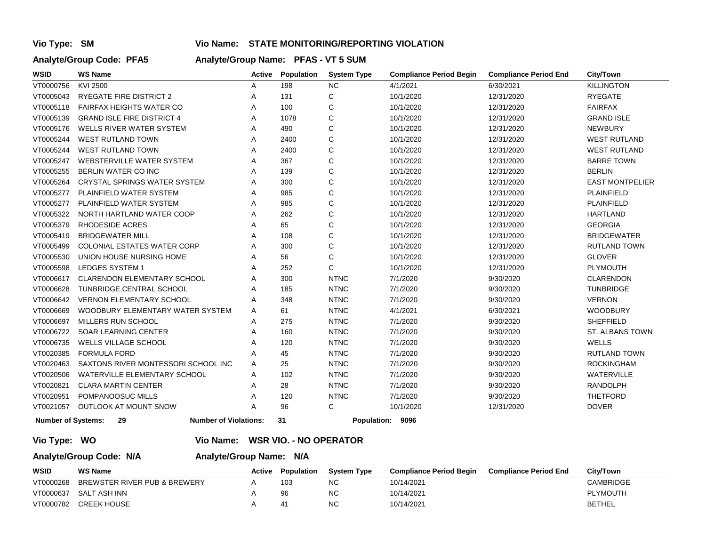# **Vio Type: SM Vio Name: STATE MONITORING/REPORTING VIOLATION**

# **Analyte/Group Code: PFA5 Analyte/Group Name: PFAS - VT 5 SUM**

| <b>WSID</b>               | <b>WS Name</b>                      | Active | Population | <b>System Type</b> | <b>Compliance Period Begin</b> | <b>Compliance Period End</b> | <b>City/Town</b>       |
|---------------------------|-------------------------------------|--------|------------|--------------------|--------------------------------|------------------------------|------------------------|
| VT0000756                 | KVI 2500                            | Α      | 198        | <b>NC</b>          | 4/1/2021                       | 6/30/2021                    | <b>KILLINGTON</b>      |
| VT0005043                 | <b>RYEGATE FIRE DISTRICT 2</b>      | Α      | 131        | С                  | 10/1/2020                      | 12/31/2020                   | <b>RYEGATE</b>         |
| VT0005118                 | <b>FAIRFAX HEIGHTS WATER CO</b>     | Α      | 100        | C                  | 10/1/2020                      | 12/31/2020                   | <b>FAIRFAX</b>         |
| VT0005139                 | <b>GRAND ISLE FIRE DISTRICT 4</b>   | Α      | 1078       | C                  | 10/1/2020                      | 12/31/2020                   | <b>GRAND ISLE</b>      |
| VT0005176                 | WELLS RIVER WATER SYSTEM            | Α      | 490        | C                  | 10/1/2020                      | 12/31/2020                   | <b>NEWBURY</b>         |
| VT0005244                 | <b>WEST RUTLAND TOWN</b>            | Α      | 2400       | C                  | 10/1/2020                      | 12/31/2020                   | <b>WEST RUTLAND</b>    |
| VT0005244                 | <b>WEST RUTLAND TOWN</b>            | Α      | 2400       | $\mathsf C$        | 10/1/2020                      | 12/31/2020                   | <b>WEST RUTLAND</b>    |
| VT0005247                 | <b>WEBSTERVILLE WATER SYSTEM</b>    | Α      | 367        | C                  | 10/1/2020                      | 12/31/2020                   | <b>BARRE TOWN</b>      |
| VT0005255                 | BERLIN WATER CO INC                 | Α      | 139        | C                  | 10/1/2020                      | 12/31/2020                   | <b>BERLIN</b>          |
| VT0005264                 | <b>CRYSTAL SPRINGS WATER SYSTEM</b> | Α      | 300        | C                  | 10/1/2020                      | 12/31/2020                   | <b>EAST MONTPELIER</b> |
| VT0005277                 | PLAINFIELD WATER SYSTEM             | Α      | 985        | C                  | 10/1/2020                      | 12/31/2020                   | <b>PLAINFIELD</b>      |
| VT0005277                 | PLAINFIELD WATER SYSTEM             | Α      | 985        | C                  | 10/1/2020                      | 12/31/2020                   | PLAINFIELD             |
| VT0005322                 | NORTH HARTLAND WATER COOP           | Α      | 262        | $\mathsf C$        | 10/1/2020                      | 12/31/2020                   | <b>HARTLAND</b>        |
| VT0005379                 | <b>RHODESIDE ACRES</b>              | Α      | 65         | $\mathsf C$        | 10/1/2020                      | 12/31/2020                   | <b>GEORGIA</b>         |
| VT0005419                 | <b>BRIDGEWATER MILL</b>             | Α      | 108        | $\mathsf C$        | 10/1/2020                      | 12/31/2020                   | <b>BRIDGEWATER</b>     |
| VT0005499                 | <b>COLONIAL ESTATES WATER CORP</b>  | Α      | 300        | $\mathsf{C}$       | 10/1/2020                      | 12/31/2020                   | <b>RUTLAND TOWN</b>    |
| VT0005530                 | UNION HOUSE NURSING HOME            | Α      | 56         | C                  | 10/1/2020                      | 12/31/2020                   | <b>GLOVER</b>          |
| VT0005598                 | <b>LEDGES SYSTEM 1</b>              | Α      | 252        | $\mathsf{C}$       | 10/1/2020                      | 12/31/2020                   | PLYMOUTH               |
| VT0006617                 | CLARENDON ELEMENTARY SCHOOL         | Α      | 300        | <b>NTNC</b>        | 7/1/2020                       | 9/30/2020                    | <b>CLARENDON</b>       |
| VT0006628                 | TUNBRIDGE CENTRAL SCHOOL            | Α      | 185        | <b>NTNC</b>        | 7/1/2020                       | 9/30/2020                    | <b>TUNBRIDGE</b>       |
| VT0006642                 | <b>VERNON ELEMENTARY SCHOOL</b>     | Α      | 348        | <b>NTNC</b>        | 7/1/2020                       | 9/30/2020                    | <b>VERNON</b>          |
| VT0006669                 | WOODBURY ELEMENTARY WATER SYSTEM    | Α      | 61         | <b>NTNC</b>        | 4/1/2021                       | 6/30/2021                    | <b>WOODBURY</b>        |
| VT0006697                 | <b>MILLERS RUN SCHOOL</b>           | Α      | 275        | <b>NTNC</b>        | 7/1/2020                       | 9/30/2020                    | <b>SHEFFIELD</b>       |
| VT0006722                 | <b>SOAR LEARNING CENTER</b>         | Α      | 160        | <b>NTNC</b>        | 7/1/2020                       | 9/30/2020                    | ST. ALBANS TOWN        |
| VT0006735                 | <b>WELLS VILLAGE SCHOOL</b>         | Α      | 120        | <b>NTNC</b>        | 7/1/2020                       | 9/30/2020                    | <b>WELLS</b>           |
| VT0020385                 | <b>FORMULA FORD</b>                 | Α      | 45         | <b>NTNC</b>        | 7/1/2020                       | 9/30/2020                    | <b>RUTLAND TOWN</b>    |
| VT0020463                 | SAXTONS RIVER MONTESSORI SCHOOL INC | Α      | 25         | <b>NTNC</b>        | 7/1/2020                       | 9/30/2020                    | <b>ROCKINGHAM</b>      |
| VT0020506                 | WATERVILLE ELEMENTARY SCHOOL        | Α      | 102        | <b>NTNC</b>        | 7/1/2020                       | 9/30/2020                    | WATERVILLE             |
| VT0020821                 | <b>CLARA MARTIN CENTER</b>          | Α      | 28         | <b>NTNC</b>        | 7/1/2020                       | 9/30/2020                    | <b>RANDOLPH</b>        |
| VT0020951                 | POMPANOOSUC MILLS                   | Α      | 120        | <b>NTNC</b>        | 7/1/2020                       | 9/30/2020                    | <b>THETFORD</b>        |
| VT0021057                 | <b>OUTLOOK AT MOUNT SNOW</b>        | А      | 96         | C                  | 10/1/2020                      | 12/31/2020                   | <b>DOVER</b>           |
| <b>Number of Systems:</b> | 29<br><b>Number of Violations:</b>  |        | 31         | <b>Population:</b> | 9096                           |                              |                        |

### **Vio Type: WO Vio Name: WSR VIO. - NO OPERATOR**

### **Analyte/Group Code: N/A Analyte/Group Name: N/A**

| WSID      | <b>WS Name</b>               | Active | <b>Population</b> | <b>System Type</b> | <b>Compliance Period Begin</b> | <b>Compliance Period End</b> | City/Town       |
|-----------|------------------------------|--------|-------------------|--------------------|--------------------------------|------------------------------|-----------------|
| VT0000268 | BREWSTER RIVER PUB & BREWERY |        | 103               | <b>NC</b>          | 10/14/2021                     |                              | CAMBRIDGE       |
| VT0000637 | SALT ASH INN                 |        | 96                | <b>NC</b>          | 10/14/2021                     |                              | <b>PLYMOUTH</b> |
| VT0000782 | <b>CREEK HOUSE</b>           |        | $4^{\prime}$      | <b>NC</b>          | 10/14/2021                     |                              | BETHEL          |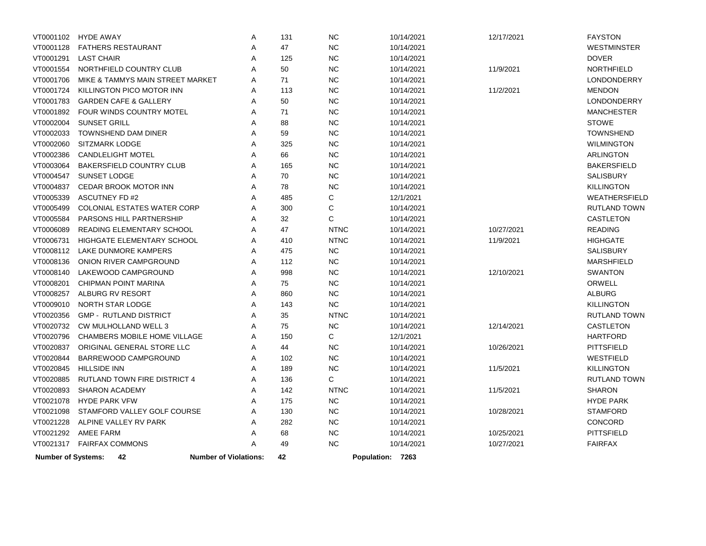| VT0001102                 | HYDE AWAY                        | Α                            | 131 | <b>NC</b>   | 10/14/2021       | 12/17/2021 | <b>FAYSTON</b>      |
|---------------------------|----------------------------------|------------------------------|-----|-------------|------------------|------------|---------------------|
| VT0001128                 | <b>FATHERS RESTAURANT</b>        | A                            | 47  | <b>NC</b>   | 10/14/2021       |            | <b>WESTMINSTER</b>  |
| VT0001291                 | <b>LAST CHAIR</b>                | Α                            | 125 | <b>NC</b>   | 10/14/2021       |            | <b>DOVER</b>        |
| VT0001554                 | NORTHFIELD COUNTRY CLUB          | A                            | 50  | <b>NC</b>   | 10/14/2021       | 11/9/2021  | <b>NORTHFIELD</b>   |
| VT0001706                 | MIKE & TAMMYS MAIN STREET MARKET | Α                            | 71  | <b>NC</b>   | 10/14/2021       |            | <b>LONDONDERRY</b>  |
| VT0001724                 | KILLINGTON PICO MOTOR INN        | A                            | 113 | <b>NC</b>   | 10/14/2021       | 11/2/2021  | <b>MENDON</b>       |
| VT0001783                 | <b>GARDEN CAFE &amp; GALLERY</b> | A                            | 50  | <b>NC</b>   | 10/14/2021       |            | <b>LONDONDERRY</b>  |
| VT0001892                 | FOUR WINDS COUNTRY MOTEL         | A                            | 71  | <b>NC</b>   | 10/14/2021       |            | <b>MANCHESTER</b>   |
| VT0002004                 | <b>SUNSET GRILL</b>              | Α                            | 88  | <b>NC</b>   | 10/14/2021       |            | <b>STOWE</b>        |
| VT0002033                 | <b>TOWNSHEND DAM DINER</b>       | A                            | 59  | <b>NC</b>   | 10/14/2021       |            | <b>TOWNSHEND</b>    |
| VT0002060                 | SITZMARK LODGE                   | Α                            | 325 | <b>NC</b>   | 10/14/2021       |            | <b>WILMINGTON</b>   |
| VT0002386                 | <b>CANDLELIGHT MOTEL</b>         | Α                            | 66  | <b>NC</b>   | 10/14/2021       |            | <b>ARLINGTON</b>    |
| VT0003064                 | BAKERSFIELD COUNTRY CLUB         | A                            | 165 | <b>NC</b>   | 10/14/2021       |            | <b>BAKERSFIELD</b>  |
| VT0004547                 | SUNSET LODGE                     | Α                            | 70  | $NC$        | 10/14/2021       |            | SALISBURY           |
| VT0004837                 | CEDAR BROOK MOTOR INN            | A                            | 78  | <b>NC</b>   | 10/14/2021       |            | <b>KILLINGTON</b>   |
| VT0005339                 | <b>ASCUTNEY FD#2</b>             | A                            | 485 | С           | 12/1/2021        |            | WEATHERSFIELD       |
| VT0005499                 | COLONIAL ESTATES WATER CORP      | Α                            | 300 | $\mathsf C$ | 10/14/2021       |            | RUTLAND TOWN        |
| VT0005584                 | PARSONS HILL PARTNERSHIP         | Α                            | 32  | $\mathsf C$ | 10/14/2021       |            | CASTLETON           |
| VT0006089                 | READING ELEMENTARY SCHOOL        | A                            | 47  | <b>NTNC</b> | 10/14/2021       | 10/27/2021 | <b>READING</b>      |
| VT0006731                 | HIGHGATE ELEMENTARY SCHOOL       | A                            | 410 | <b>NTNC</b> | 10/14/2021       | 11/9/2021  | <b>HIGHGATE</b>     |
| VT0008112                 | LAKE DUNMORE KAMPERS             | A                            | 475 | <b>NC</b>   | 10/14/2021       |            | <b>SALISBURY</b>    |
| VT0008136                 | ONION RIVER CAMPGROUND           | Α                            | 112 | <b>NC</b>   | 10/14/2021       |            | <b>MARSHFIELD</b>   |
| VT0008140                 | LAKEWOOD CAMPGROUND              | A                            | 998 | <b>NC</b>   | 10/14/2021       | 12/10/2021 | <b>SWANTON</b>      |
| VT0008201                 | <b>CHIPMAN POINT MARINA</b>      | Α                            | 75  | <b>NC</b>   | 10/14/2021       |            | ORWELL              |
| VT0008257                 | ALBURG RV RESORT                 | A                            | 860 | <b>NC</b>   | 10/14/2021       |            | <b>ALBURG</b>       |
| VT0009010                 | <b>NORTH STAR LODGE</b>          | A                            | 143 | <b>NC</b>   | 10/14/2021       |            | <b>KILLINGTON</b>   |
| VT0020356                 | <b>GMP - RUTLAND DISTRICT</b>    | A                            | 35  | <b>NTNC</b> | 10/14/2021       |            | RUTLAND TOWN        |
| VT0020732                 | <b>CW MULHOLLAND WELL 3</b>      | Α                            | 75  | <b>NC</b>   | 10/14/2021       | 12/14/2021 | CASTLETON           |
| VT0020796                 | CHAMBERS MOBILE HOME VILLAGE     | Α                            | 150 | C           | 12/1/2021        |            | <b>HARTFORD</b>     |
| VT0020837                 | ORIGINAL GENERAL STORE LLC       | Α                            | 44  | <b>NC</b>   | 10/14/2021       | 10/26/2021 | <b>PITTSFIELD</b>   |
| VT0020844                 | BARREWOOD CAMPGROUND             | Α                            | 102 | <b>NC</b>   | 10/14/2021       |            | WESTFIELD           |
| VT0020845                 | <b>HILLSIDE INN</b>              | A                            | 189 | <b>NC</b>   | 10/14/2021       | 11/5/2021  | <b>KILLINGTON</b>   |
| VT0020885                 | RUTLAND TOWN FIRE DISTRICT 4     | Α                            | 136 | C           | 10/14/2021       |            | <b>RUTLAND TOWN</b> |
| VT0020893                 | <b>SHARON ACADEMY</b>            | A                            | 142 | <b>NTNC</b> | 10/14/2021       | 11/5/2021  | <b>SHARON</b>       |
| VT0021078                 | <b>HYDE PARK VFW</b>             | Α                            | 175 | <b>NC</b>   | 10/14/2021       |            | <b>HYDE PARK</b>    |
| VT0021098                 | STAMFORD VALLEY GOLF COURSE      | A                            | 130 | <b>NC</b>   | 10/14/2021       | 10/28/2021 | <b>STAMFORD</b>     |
| VT0021228                 | ALPINE VALLEY RV PARK            | Α                            | 282 | <b>NC</b>   | 10/14/2021       |            | CONCORD             |
| VT0021292                 | <b>AMEE FARM</b>                 | Α                            | 68  | <b>NC</b>   | 10/14/2021       | 10/25/2021 | PITTSFIELD          |
| VT0021317                 | <b>FAIRFAX COMMONS</b>           | A                            | 49  | <b>NC</b>   | 10/14/2021       | 10/27/2021 | <b>FAIRFAX</b>      |
| <b>Number of Systems:</b> | 42                               | <b>Number of Violations:</b> | 42  |             | Population: 7263 |            |                     |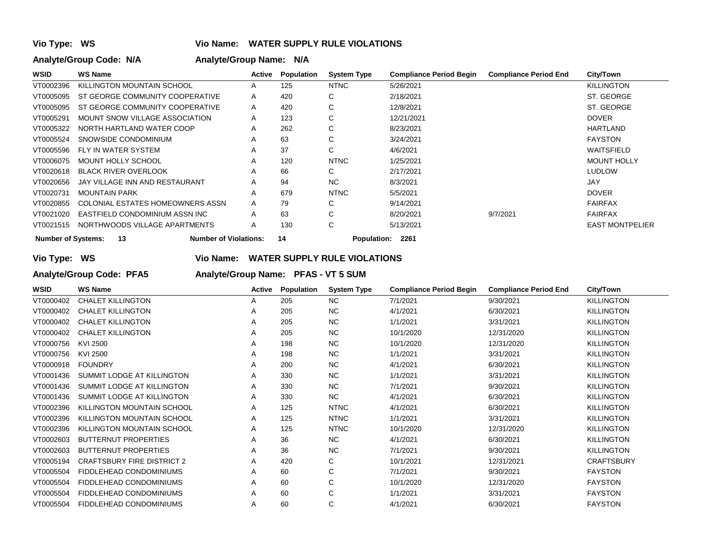# **Vio Type: WS Vio Name: WATER SUPPLY RULE VIOLATIONS**

# **Analyte/Group Code: N/A Analyte/Group Name: N/A**

| WSID                      | <b>WS Name</b>                     | Active | Population                 | <b>System Type</b> | <b>Compliance Period Begin</b> | <b>Compliance Period End</b> | City/Town              |
|---------------------------|------------------------------------|--------|----------------------------|--------------------|--------------------------------|------------------------------|------------------------|
| VT0002396                 | KILLINGTON MOUNTAIN SCHOOL         | A      | 125                        | <b>NTNC</b>        | 5/26/2021                      |                              | <b>KILLINGTON</b>      |
| VT0005095                 | ST GEORGE COMMUNITY COOPERATIVE    | A      | 420                        | C                  | 2/18/2021                      |                              | ST. GEORGE             |
| VT0005095                 | ST GEORGE COMMUNITY COOPERATIVE    | A      | 420                        | С                  | 12/8/2021                      |                              | ST. GEORGE             |
| VT0005291                 | MOUNT SNOW VILLAGE ASSOCIATION     | A      | 123                        | С                  | 12/21/2021                     |                              | <b>DOVER</b>           |
| VT0005322                 | NORTH HARTLAND WATER COOP          | A      | 262                        | С                  | 8/23/2021                      |                              | <b>HARTLAND</b>        |
| VT0005524                 | SNOWSIDE CONDOMINIUM               | A      | 63                         | С                  | 3/24/2021                      |                              | <b>FAYSTON</b>         |
| VT0005596                 | FLY IN WATER SYSTEM                | A      | 37                         | C                  | 4/6/2021                       |                              | <b>WAITSFIELD</b>      |
| VT0006075                 | <b>MOUNT HOLLY SCHOOL</b>          | A      | 120                        | <b>NTNC</b>        | 1/25/2021                      |                              | <b>MOUNT HOLLY</b>     |
| VT0020618                 | <b>BLACK RIVER OVERLOOK</b>        | A      | 66                         | C                  | 2/17/2021                      |                              | <b>LUDLOW</b>          |
| VT0020656                 | JAY VILLAGE INN AND RESTAURANT     | A      | 94                         | NC.                | 8/3/2021                       |                              | <b>JAY</b>             |
| VT0020731                 | <b>MOUNTAIN PARK</b>               | A      | 679                        | <b>NTNC</b>        | 5/5/2021                       |                              | <b>DOVER</b>           |
| VT0020855                 | COLONIAL ESTATES HOMEOWNERS ASSN   | A      | 79                         | С                  | 9/14/2021                      |                              | <b>FAIRFAX</b>         |
| VT0021020                 | EASTFIELD CONDOMINIUM ASSN INC     | A      | 63                         | С                  | 8/20/2021                      | 9/7/2021                     | <b>FAIRFAX</b>         |
| VT0021515                 | NORTHWOODS VILLAGE APARTMENTS      | A      | 130                        | C                  | 5/13/2021                      |                              | <b>EAST MONTPELIER</b> |
| <b>Number of Systems:</b> | <b>Number of Violations:</b><br>13 | 14     | <b>Population:</b><br>2261 |                    |                                |                              |                        |

**Vio Type: WS Vio Name: WATER SUPPLY RULE VIOLATIONS**

**Analyte/Group Code: PFA5 Analyte/Group Name: PFAS - VT 5 SUM** 

| <b>WSID</b> | <b>WS Name</b>                    | Active | Population | <b>System Type</b> | <b>Compliance Period Begin</b> | <b>Compliance Period End</b> | <b>City/Town</b>  |
|-------------|-----------------------------------|--------|------------|--------------------|--------------------------------|------------------------------|-------------------|
| VT0000402   | <b>CHALET KILLINGTON</b>          | Α      | 205        | NC.                | 7/1/2021                       | 9/30/2021                    | <b>KILLINGTON</b> |
| VT0000402   | <b>CHALET KILLINGTON</b>          | Α      | 205        | NC.                | 4/1/2021                       | 6/30/2021                    | <b>KILLINGTON</b> |
| VT0000402   | <b>CHALET KILLINGTON</b>          | A      | 205        | NC.                | 1/1/2021                       | 3/31/2021                    | <b>KILLINGTON</b> |
| VT0000402   | <b>CHALET KILLINGTON</b>          | A      | 205        | NC.                | 10/1/2020                      | 12/31/2020                   | <b>KILLINGTON</b> |
| VT0000756   | KVI 2500                          | A      | 198        | NC.                | 10/1/2020                      | 12/31/2020                   | <b>KILLINGTON</b> |
| VT0000756   | KVI 2500                          | Α      | 198        | NC.                | 1/1/2021                       | 3/31/2021                    | <b>KILLINGTON</b> |
| VT0000918   | <b>FOUNDRY</b>                    | Α      | 200        | NC.                | 4/1/2021                       | 6/30/2021                    | <b>KILLINGTON</b> |
| VT0001436   | SUMMIT LODGE AT KILLINGTON        | A      | 330        | NC.                | 1/1/2021                       | 3/31/2021                    | <b>KILLINGTON</b> |
| VT0001436   | SUMMIT LODGE AT KILLINGTON        | A      | 330        | NC.                | 7/1/2021                       | 9/30/2021                    | <b>KILLINGTON</b> |
| VT0001436   | SUMMIT LODGE AT KILLINGTON        | A      | 330        | NC.                | 4/1/2021                       | 6/30/2021                    | <b>KILLINGTON</b> |
| VT0002396   | KILLINGTON MOUNTAIN SCHOOL        | Α      | 125        | <b>NTNC</b>        | 4/1/2021                       | 6/30/2021                    | <b>KILLINGTON</b> |
| VT0002396   | KILLINGTON MOUNTAIN SCHOOL        | A      | 125        | <b>NTNC</b>        | 1/1/2021                       | 3/31/2021                    | <b>KILLINGTON</b> |
| VT0002396   | KILLINGTON MOUNTAIN SCHOOL        | A      | 125        | <b>NTNC</b>        | 10/1/2020                      | 12/31/2020                   | <b>KILLINGTON</b> |
| VT0002603   | <b>BUTTERNUT PROPERTIES</b>       | A      | 36         | NC.                | 4/1/2021                       | 6/30/2021                    | <b>KILLINGTON</b> |
| VT0002603   | <b>BUTTERNUT PROPERTIES</b>       | Α      | 36         | NC.                | 7/1/2021                       | 9/30/2021                    | <b>KILLINGTON</b> |
| VT0005194   | <b>CRAFTSBURY FIRE DISTRICT 2</b> | Α      | 420        | С                  | 10/1/2021                      | 12/31/2021                   | <b>CRAFTSBURY</b> |
| VT0005504   | FIDDLEHEAD CONDOMINIUMS           | Α      | 60         | С                  | 7/1/2021                       | 9/30/2021                    | <b>FAYSTON</b>    |
| VT0005504   | FIDDLEHEAD CONDOMINIUMS           | Α      | 60         | С                  | 10/1/2020                      | 12/31/2020                   | <b>FAYSTON</b>    |
| VT0005504   | FIDDLEHEAD CONDOMINIUMS           | Α      | 60         | C                  | 1/1/2021                       | 3/31/2021                    | <b>FAYSTON</b>    |
| VT0005504   | FIDDLEHEAD CONDOMINIUMS           | A      | 60         | С                  | 4/1/2021                       | 6/30/2021                    | <b>FAYSTON</b>    |